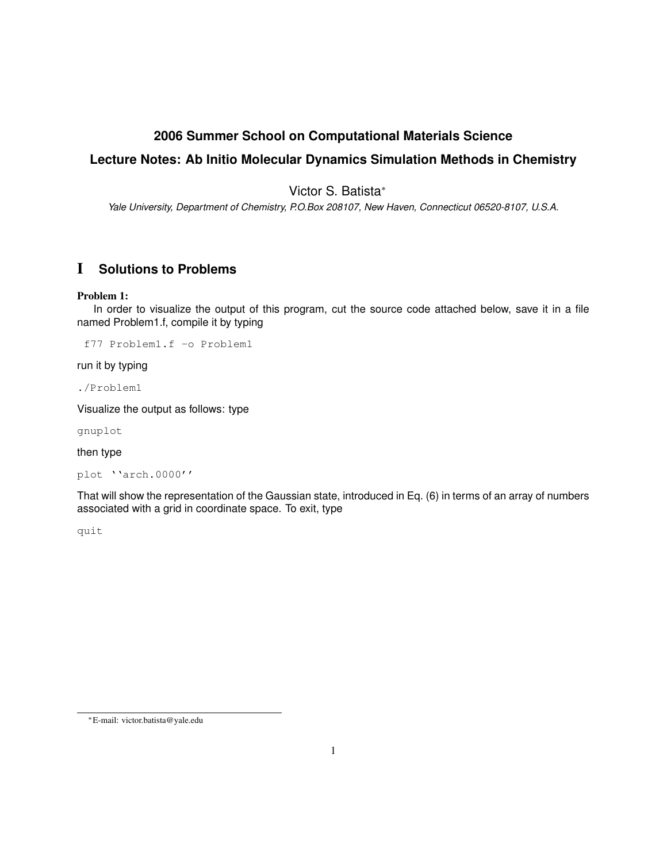## **2006 Summer School on Computational Materials Science**

# **Lecture Notes: Ab Initio Molecular Dynamics Simulation Methods in Chemistry**

Victor S. Batista<sup>∗</sup>

*Yale University, Department of Chemistry, P.O.Box 208107, New Haven, Connecticut 06520-8107, U.S.A.*

# I **Solutions to Problems**

## Problem 1:

In order to visualize the output of this program, cut the source code attached below, save it in a file named Problem1.f, compile it by typing

f77 Problem1.f -o Problem1

run it by typing

./Problem1

Visualize the output as follows: type

gnuplot

then type

plot ''arch.0000''

That will show the representation of the Gaussian state, introduced in Eq. (6) in terms of an array of numbers associated with a grid in coordinate space. To exit, type

quit

<sup>∗</sup>E-mail: victor.batista@yale.edu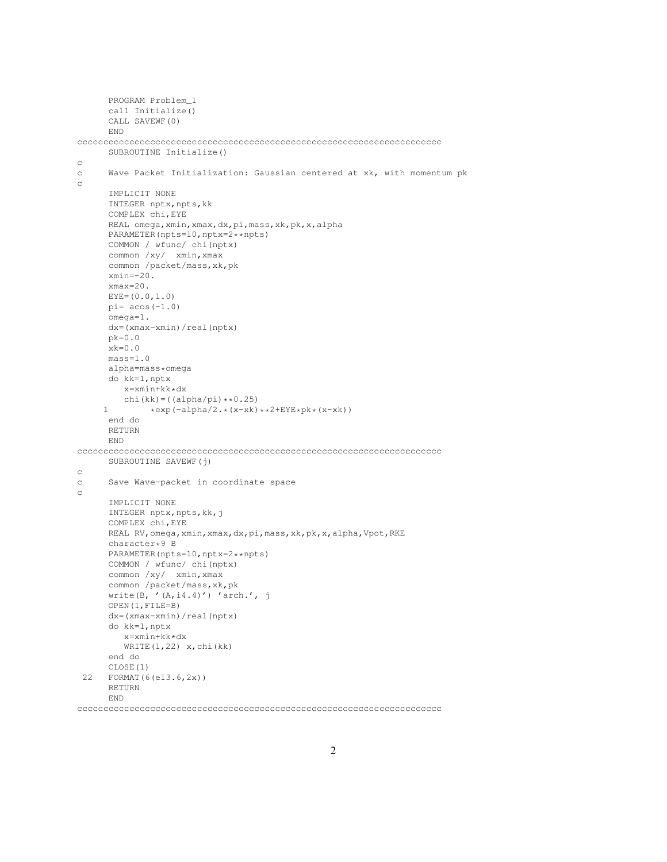```
PROGRAM Problem_1
      call Initialize()
      CALL SAVEWF(0)
      END
cccccccccccccccccccccccccccccccccccccccccccccccccccccccccccccccccccccc
      SUBROUTINE Initialize()
c
c Wave Packet Initialization: Gaussian centered at xk, with momentum pk
\rm _cIMPLICIT NONE
      INTEGER nptx, npts, kk
      COMPLEX chi,EYE
      REAL omega,xmin,xmax,dx,pi,mass,xk,pk,x,alpha
      PARAMETER(npts=10,nptx=2**npts)
      COMMON / wfunc/ chi(nptx)
      common /xy/ xmin,xmax
      common /packet/mass,xk,pk
      xmin=-20.
      xmax=20.
      EYE=(0.0,1.0)pi= acos(-1.0)omega=1.
      dx=(xmax-xmin)/real(nptx)
      pk=0.0xk=0.0mass=1.0
      alpha=mass*omega
      do kk=1,nptx
        x=xmin+kk*dx
         chi(kk) = ( (alpha/pi) * *0.25)1 *exp(-alpha/2.*(x-xk)**2+EYE*pk*(x-xk))
      end do
      RETURN
      END
cccccccccccccccccccccccccccccccccccccccccccccccccccccccccccccccccccccc
      SUBROUTINE SAVEWF(j)
c
c Save Wave-packet in coordinate space
c
      IMPLICIT NONE
      INTEGER nptx,npts,kk,j
      COMPLEX chi,EYE
      REAL RV,omega,xmin,xmax,dx,pi,mass,xk,pk,x,alpha,Vpot,RKE
      character*9 B
      PARAMETER(npts=10,nptx=2**npts)
      COMMON / wfunc/ chi(nptx)
      common /xy/ xmin,xmax
      common /packet/mass,xk,pk
      write(B, '(A,i4.4)') 'arch,' , jOPEN(1,FILE=B)
      dx=(xmax-xmin)/real(nptx)
      do kk=1,nptx
        x=xmin+kk*dx
         WRITE(1,22) x, chi(kk)
      end do
      CLOSE(1)
 22 FORMAT(6(e13.6,2x))
      RETURN
      END
```
cccccccccccccccccccccccccccccccccccccccccccccccccccccccccccccccccccccc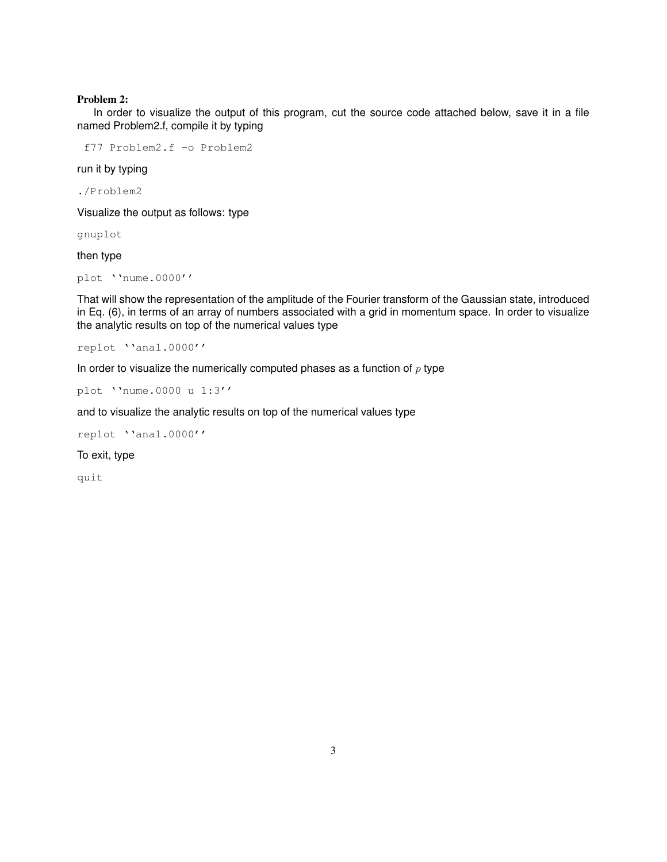#### Problem 2:

In order to visualize the output of this program, cut the source code attached below, save it in a file named Problem2.f, compile it by typing

f77 Problem2.f -o Problem2

run it by typing

./Problem2

Visualize the output as follows: type

gnuplot

then type

plot ''nume.0000''

That will show the representation of the amplitude of the Fourier transform of the Gaussian state, introduced in Eq. (6), in terms of an array of numbers associated with a grid in momentum space. In order to visualize the analytic results on top of the numerical values type

replot ''anal.0000''

In order to visualize the numerically computed phases as a function of  $p$  type

plot ''nume.0000 u 1:3''

and to visualize the analytic results on top of the numerical values type

replot ''anal.0000''

To exit, type

quit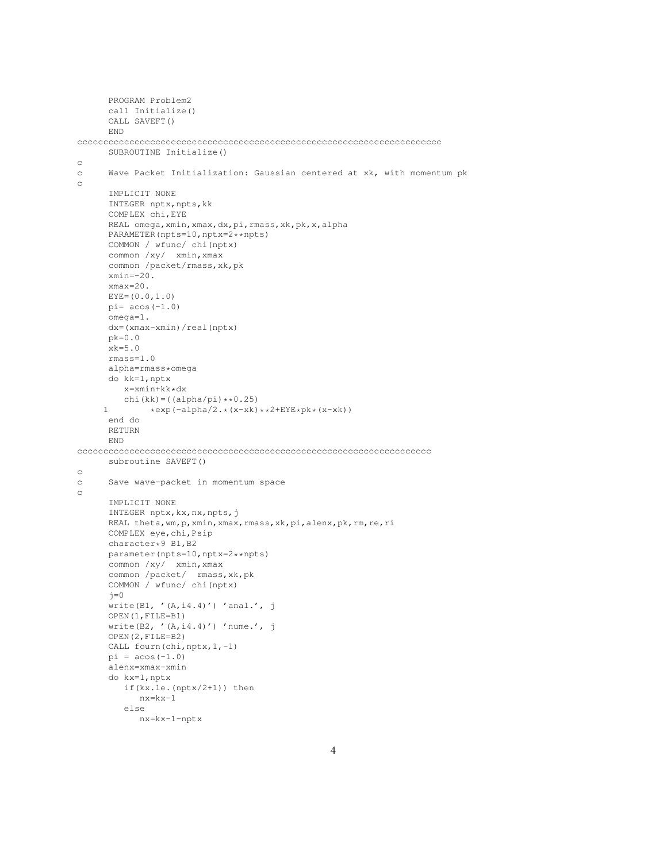```
PROGRAM Problem2
      call Initialize()
      CALL SAVEFT()
      END
cccccccccccccccccccccccccccccccccccccccccccccccccccccccccccccccccccccc
      SUBROUTINE Initialize()
\simc Wave Packet Initialization: Gaussian centered at xk, with momentum pk
\rm _cIMPLICIT NONE
      INTEGER nptx, npts, kk
      COMPLEX chi,EYE
      REAL omega,xmin,xmax,dx,pi,rmass,xk,pk,x,alpha
      PARAMETER(npts=10,nptx=2**npts)
      COMMON / wfunc/ chi(nptx)
      common /xy/ xmin,xmax
      common /packet/rmass,xk,pk
      xmin=-20.
      xmax=20.
      EYE=(0.0,1.0)pi= acos(-1.0)omega=1.
      dx=(xmax-xmin)/real(nptx)
      pk=0.0
      xk=5.0
      rmass=1.0
      alpha=rmass*omega
      do kk=1,nptx
        x=xmin+kk*dx
         chi(kk) = ( (alpha/pi) * *0.25)1 *exp(-alpha/2.*(x-xk)**2+EYE*pk*(x-xk))
      end do
      RETURN
      END
cccccccccccccccccccccccccccccccccccccccccccccccccccccccccccccccccccc
      subroutine SAVEFT()
c
c Save wave-packet in momentum space
c
      IMPLICIT NONE
      INTEGER nptx,kx,nx,npts,j
      REAL theta, wm, p, xmin, xmax, rmass, xk, pi, alenx, pk, rm, re, ri
      COMPLEX eye,chi,Psip
      character*9 B1,B2
      parameter(npts=10,nptx=2**npts)
      common /xy/ xmin, xmax
      common /packet/ rmass,xk,pk
      COMMON / wfunc/ chi(nptx)
      j=0write(B1, '(A,i4.4)') 'anal.', j
      OPEN(1,FILE=B1)
      write(B2, '(A, i4.4)') ' nume.', j
      OPEN(2,FILE=B2)
      CALL fourn(chi, nptx, 1,-1)
      pi = a cos(-1.0)alenx=xmax-xmin
      do kx=1,nptx
        if(kx.le.(nptx/2+1)) then
           nx=kx-1
         else
            nx=kx-1-nptx
```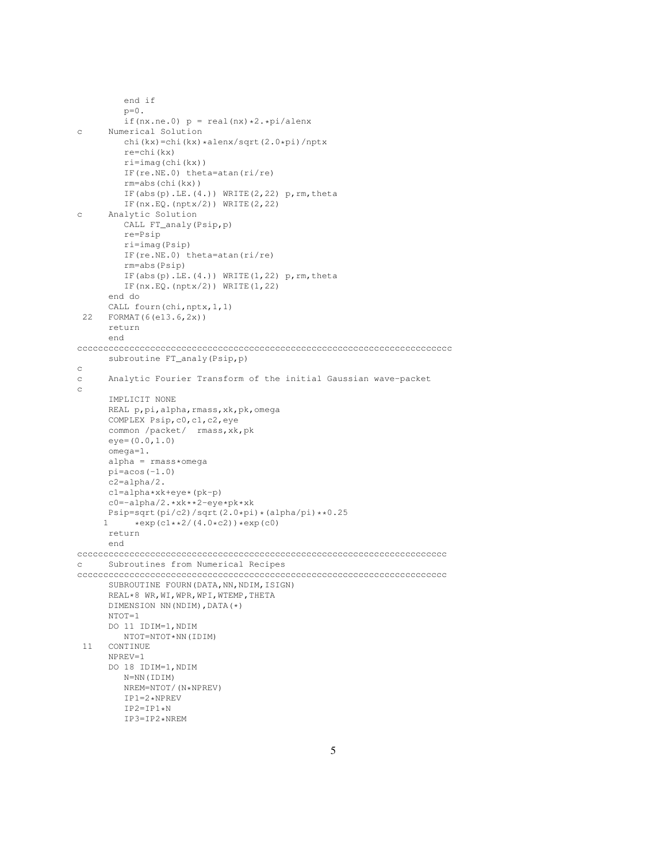```
end if
         p=0.
         if(nx.ne.0) p = \text{real}(nx) * 2.*pi/alenxc Numerical Solution
         chi(kx)=chi(kx)*alenx/sqrt(2.0*pi)/nptx
         re=chi(kx)
         ri=imag(chi(kx))
         IF(re.NE.0) theta=atan(ri/re)
         rm=abs(chi(kx))
         IF(abs(p).LE.(4.)) WRITE(2, 22) p, rm, theta
         IF(nx.EQ.(nptx/2)) WRITE(2,22)
c Analytic Solution
         CALL FT_analy(Psip,p)
         re=Psip
         ri=imag(Psip)
         IF(re.NE.0) theta=atan(ri/re)
         rm=abs(Psip)
         IF(abs(p).LE.(4.)) WRITE(1,22) p, rm, theta
         IF(nx.EQ.(nptx/2)) WRITE(1,22)
      end do
      CALL fourn(chi,nptx,1,1)
 22 FORMAT(6(e13.6,2x))
      return
      end
cccccccccccccccccccccccccccccccccccccccccccccccccccccccccccccccccccccccc
      subroutine FT_analy(Psip,p)
c
c Analytic Fourier Transform of the initial Gaussian wave-packet
c
      IMPLICIT NONE
      REAL p,pi,alpha,rmass,xk,pk,omega
      COMPLEX Psip,c0,c1,c2,eye
      common /packet/ rmass,xk,pk
      eye=(0.0,1.0)
      omega=1.
      alpha = rmass*omega
      pi = a cos(-1.0)c2=alpha/2.
      c1=alpha*xk+eye*(pk-p)
      c0=-alpha/2.*xk**2-eye*pk*xk
     Psip=sqrt(pi/c2)/sqrt(2.0*pi)*(alpha/pi)**0.25<br>1 *exp(c1**2/(4.0*c2))*exp(c0)
           *exp(c1**2/(4.0*C2))*exp(c0)return
      end
ccccccccccccccccccccccccccccccccccccccccccccccccccccccccccccccccccccccc
c Subroutines from Numerical Recipes
ccccccccccccccccccccccccccccccccccccccccccccccccccccccccccccccccccccccc
      SUBROUTINE FOURN(DATA, NN, NDIM, ISIGN)
      REAL*8 WR,WI,WPR,WPI,WTEMP,THETA
      DIMENSION NN(NDIM),DATA(*)
      NTOT=1
      DO 11 IDIM=1,NDIM
        NTOT=NTOT*NN(IDIM)
 11 CONTINUE
      NPREV=1
      DO 18 IDIM=1,NDIM
         N=NN(IDIM)
         NREM=NTOT/(N*NPREV)
         IP1=2*NPREV
         IP2=IP1*NIP3=IP2*NREM
```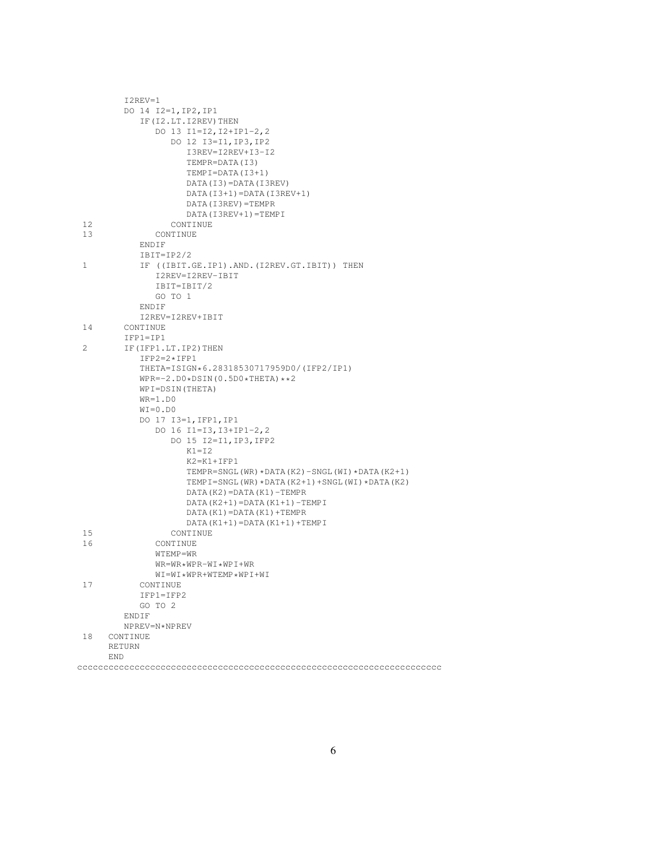|    | I2REV=1                                           |
|----|---------------------------------------------------|
|    | DO 14 I2=1, IP2, IP1                              |
|    | IF (I2.LT. I2REV) THEN                            |
|    | DO 13 I1=I2, I2+IP1-2, 2                          |
|    | DO 12 I3=I1, IP3, IP2                             |
|    | I3REV=I2REV+I3-I2                                 |
|    | TEMPR=DATA(I3)                                    |
|    | $TEMPI = DATA (I3+1)$                             |
|    | DATA(I3)=DATA(I3REV)                              |
|    | $DATA(I3+1)=DATA(I3REV+1)$                        |
|    | DATA (I3REV) = TEMPR                              |
|    | DATA (I3REV+1) = TEMPI                            |
| 12 | CONTINUE                                          |
| 13 | CONTINUE                                          |
|    | ENDIF                                             |
|    | $IBIT=IP2/2$                                      |
| 1  | IF ((IBIT.GE.IP1).AND.(I2REV.GT.IBIT)) THEN       |
|    | I2REV=I2REV-IBIT                                  |
|    | IBIT=IBIT/2                                       |
|    | GO TO 1                                           |
|    | ENDIF                                             |
|    | I2REV=I2REV+IBIT                                  |
| 14 | CONTINUE                                          |
|    | $IFPI=IP1$                                        |
| 2  | IF (IFP1.LT.IP2) THEN                             |
|    | $IFP2=2*IFP1$                                     |
|    | THETA=ISIGN*6.28318530717959D0/(IFP2/IP1)         |
|    | $WPR=-2. D0 * DSIM(0.5D0 * THETA) * *2$           |
|    | WPI=DSIN(THETA)                                   |
|    | $WR=1.D0$                                         |
|    | $WI = 0.DD0$                                      |
|    | DO 17 I3=1, IFP1, IP1                             |
|    | DO 16 I1=I3, I3+IP1-2, 2                          |
|    | DO 15 I2=I1, IP3, IFP2                            |
|    | $K1 = I2$                                         |
|    | $K2 = K1 + IFP1$                                  |
|    | TEMPR=SNGL(WR)*DATA(K2)-SNGL(WI)*DATA(K2+1)       |
|    | TEMPI=SNGL(WR) * DATA(K2+1) + SNGL(WI) * DATA(K2) |
|    | $DATA(K2) = DATA(K1) - TEMPR$                     |
|    | $DATA (K2+1) = DATA (K1+1) - TEMPI$               |
|    | $DATA(K1) = DATA(K1) + TEMPR$                     |
|    | $DATA(K1+1) = DATA(K1+1) + TEMPI$                 |
| 15 | CONTINUE                                          |
| 16 | CONTINUE                                          |
|    | WTEMP=WR                                          |
|    | $WR = WR * WPR - WI * WPI + WR$                   |
|    | WI=WI*WPR+WTEMP*WPI+WI                            |
| 17 | CONTINUE                                          |
|    | $IFPI=IFP2$                                       |
|    | GO TO 2                                           |
|    | ENDIF                                             |
|    | NPREV=N*NPREV                                     |
| 18 | CONTINUE                                          |
|    | RETURN                                            |
|    | <b>END</b>                                        |
|    |                                                   |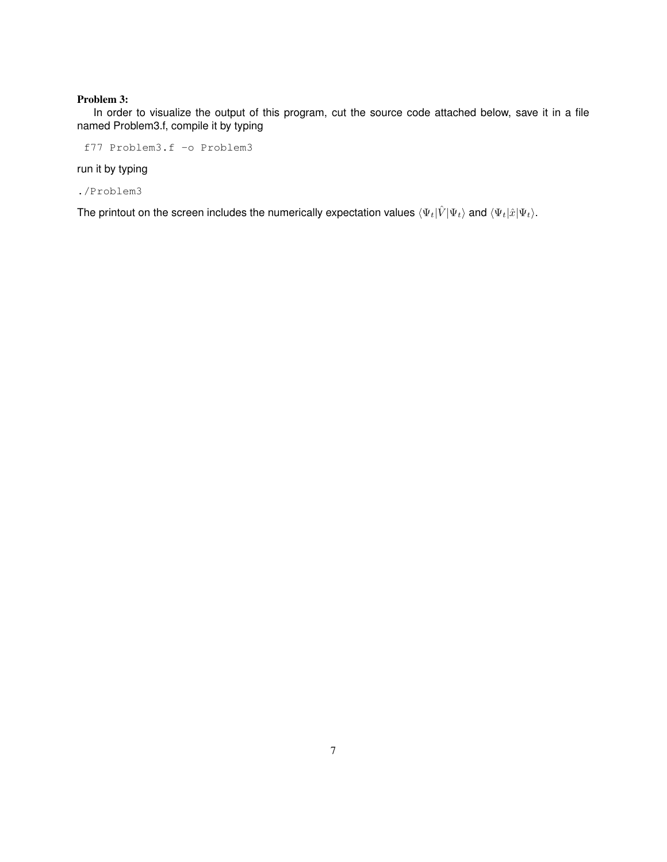### Problem 3:

In order to visualize the output of this program, cut the source code attached below, save it in a file named Problem3.f, compile it by typing

f77 Problem3.f -o Problem3

run it by typing

./Problem3

The printout on the screen includes the numerically expectation values  $\langle \Psi_t|\hat{V}|\Psi_t\rangle$  and  $\langle \Psi_t|\hat{x}|\Psi_t\rangle$ .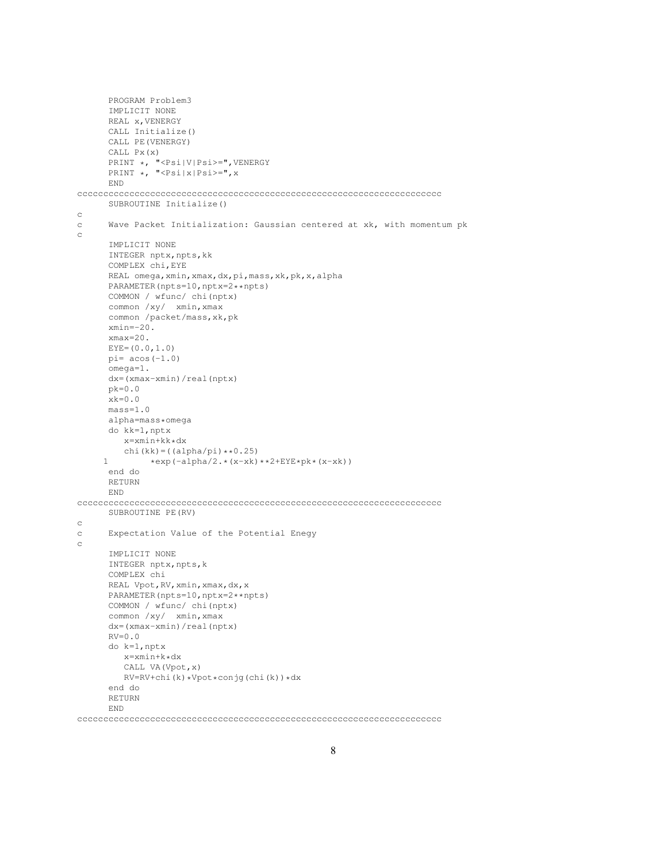```
PROGRAM Problem3
     IMPLICIT NONE
     REAL x, VENERGY
      CALL Initialize()
     CALL PE(VENERGY)
     CALL Px(x)
      PRINT *, "<Psi|V|Psi>=",VENERGY
      PRINT *, "<Psi|x|Psi>=",x
     END
cccccccccccccccccccccccccccccccccccccccccccccccccccccccccccccccccccccc
     SUBROUTINE Initialize()
c
c Wave Packet Initialization: Gaussian centered at xk, with momentum pk
c
     IMPLICIT NONE
     INTEGER nptx, npts, kk
     COMPLEX chi,EYE
     REAL omega,xmin,xmax,dx,pi,mass,xk,pk,x,alpha
     PARAMETER(npts=10,nptx=2**npts)
     COMMON / wfunc/ chi(nptx)
     common /xy/ xmin,xmax
     common /packet/mass,xk,pk
     xmin=-20.
     xmax=20.
     EYE=(0.0, 1.0)pi= acos(-1.0)omega=1.
     dx=(xmax-xmin)/real(nptx)
     pk=0.0
     xk=0.0mass=1.0
     alpha=mass*omega
     do kk=1,nptx
        x=xmin+kk*dx
        chi(kk) = ( (alpha/pi) * *0.25)1 *exp(-alpha/2.*(x-xk)**2+EYE*pk*(x-xk))
     end do
     RETURN
     END
cccccccccccccccccccccccccccccccccccccccccccccccccccccccccccccccccccccc
     SUBROUTINE PE(RV)
c
c Expectation Value of the Potential Enegy
c
     IMPLICIT NONE
     INTEGER nptx, npts, k
      COMPLEX chi
     REAL Vpot, RV, xmin, xmax, dx, x
     PARAMETER(npts=10,nptx=2**npts)
     COMMON / wfunc/ chi(nptx)
     common /xy/ xmin,xmax
     dx=(xmax-xmin)/real(nptx)
     RV=0.0do k=1,nptx
        x=xmin+k*dx
        CALL VA(Vpot,x)
        RV=RV+chi(k)*Vpot*conjg(chi(k))*dx
      end do
     RETURN
     END
```
cccccccccccccccccccccccccccccccccccccccccccccccccccccccccccccccccccccc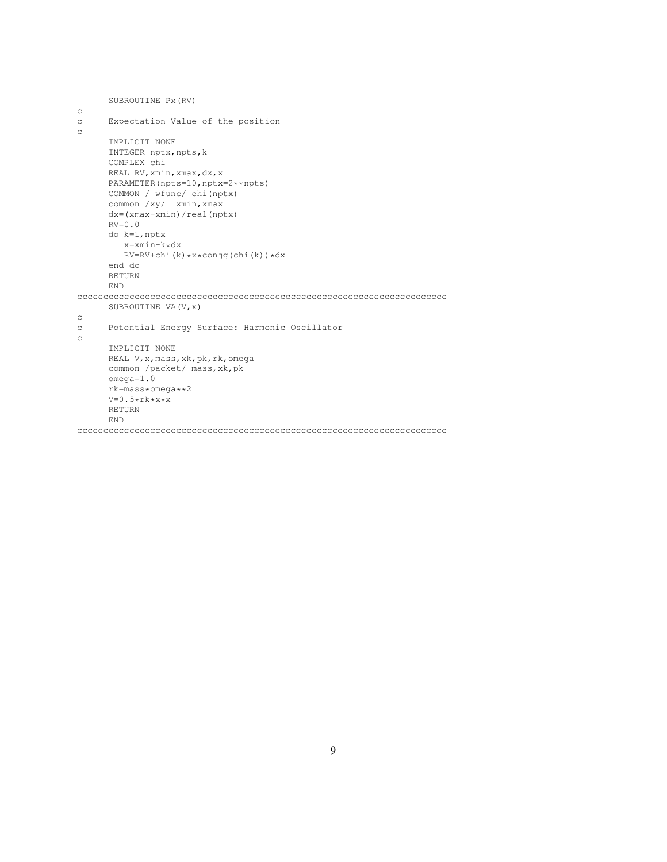```
SUBROUTINE Px(RV)
c
c Expectation Value of the position
c
     IMPLICIT NONE
     INTEGER nptx, npts, k
     COMPLEX chi
     REAL RV, xmin, xmax, dx, x
     PARAMETER(npts=10,nptx=2**npts)
     COMMON / wfunc/ chi(nptx)
     common /xy/ xmin,xmax
     dx=(xmax-xmin)/real(nptx)
     RV=0.0do k=1,nptx
        x=xmin+k*dx
        RV=RV+chi(k)*x*conjg(chi(k))*dx
     end do
     RETURN
     END
ccccccccccccccccccccccccccccccccccccccccccccccccccccccccccccccccccccccc
     SUBROUTINE VA(V,x)
c
c Potential Energy Surface: Harmonic Oscillator
\rm _CIMPLICIT NONE
     REAL V,x,mass,xk,pk,rk,omega
     common /packet/ mass,xk,pk
     omega=1.0
     rk=mass*omega**2
     V=0.5*rk*x*xRETURN
     END
```

```
ccccccccccccccccccccccccccccccccccccccccccccccccccccccccccccccccccccccc
```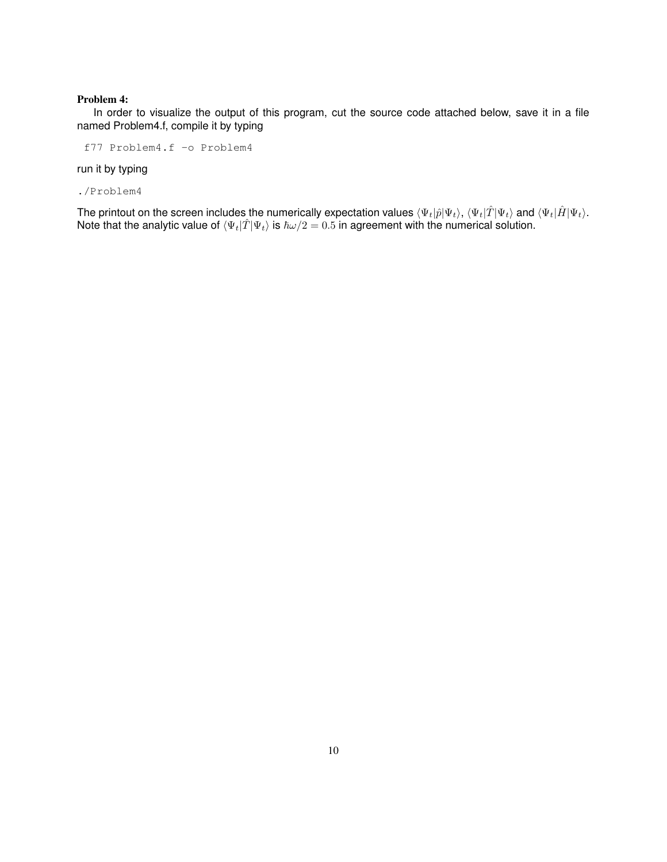#### Problem 4:

In order to visualize the output of this program, cut the source code attached below, save it in a file named Problem4.f, compile it by typing

f77 Problem4.f -o Problem4

run it by typing

./Problem4

The printout on the screen includes the numerically expectation values  $\langle \Psi_t|\hat{p}|\Psi_t\rangle$ ,  $\langle \Psi_t|\hat{T}|\Psi_t\rangle$  and  $\langle \Psi_t|\hat{H}|\Psi_t\rangle$ . Note that the analytic value of  $\langle \Psi_t|\hat{T}|\Psi_t\rangle$  is  $\hbar\omega/2 = 0.5$  in agreement with the numerical solution.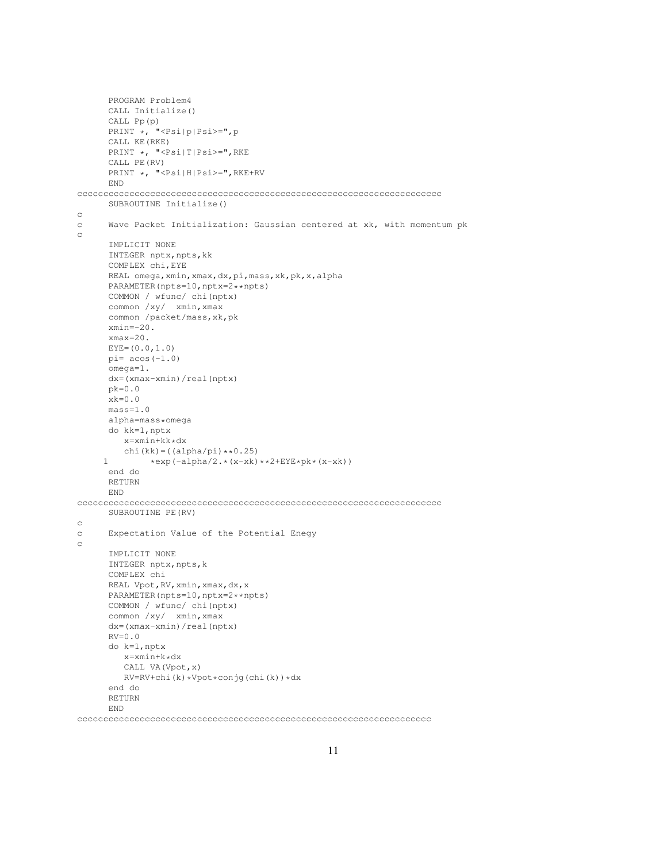```
PROGRAM Problem4
     CALL Initialize()
     CALL Pp(p)
     PRINT *, "<Psi|p|Psi>=",p
     CALL KE(RKE)
     PRINT *, "<Psi|T|Psi>=",RKE
     CALL PE(RV)
     PRINT *, "<Psi|H|Psi>=",RKE+RV
     END
cccccccccccccccccccccccccccccccccccccccccccccccccccccccccccccccccccccc
     SUBROUTINE Initialize()
c
c Wave Packet Initialization: Gaussian centered at xk, with momentum pk
c
     IMPLICIT NONE
     INTEGER nptx, npts, kk
     COMPLEX chi,EYE
     REAL omega,xmin,xmax,dx,pi,mass,xk,pk,x,alpha
     PARAMETER(npts=10,nptx=2**npts)
     COMMON / wfunc/ chi(nptx)
     common /xy/ xmin,xmax
     common /packet/mass,xk,pk
     xmin=-20.
     xmax=20.
     EYE=(0.0, 1.0)pi= acos(-1.0)omega=1.
     dx=(xmax-xmin)/real(nptx)
     pk=0.0
     xk=0.0mass=1.0
     alpha=mass*omega
     do kk=1,nptx
        x=xmin+kk*dx
        chi(kk) = ( (alpha/pi) * *0.25)1 *exp(-alpha/2.*(x-xk)**2+EYE*pk*(x-xk))
     end do
     RETURN
     END
cccccccccccccccccccccccccccccccccccccccccccccccccccccccccccccccccccccc
     SUBROUTINE PE(RV)
c
c Expectation Value of the Potential Enegy
c
     IMPLICIT NONE
     INTEGER nptx, npts, k
      COMPLEX chi
     REAL Vpot, RV, xmin, xmax, dx, x
     PARAMETER(npts=10,nptx=2**npts)
     COMMON / wfunc/ chi(nptx)
     common /xy/ xmin,xmax
     dx=(xmax-xmin)/real(nptx)
     RV=0.0do k=1,nptx
        x=xmin+k*dx
        CALL VA(Vpot,x)
        RV=RV+chi(k)*Vpot*conjg(chi(k))*dx
      end do
     RETURN
     END
```
cccccccccccccccccccccccccccccccccccccccccccccccccccccccccccccccccccc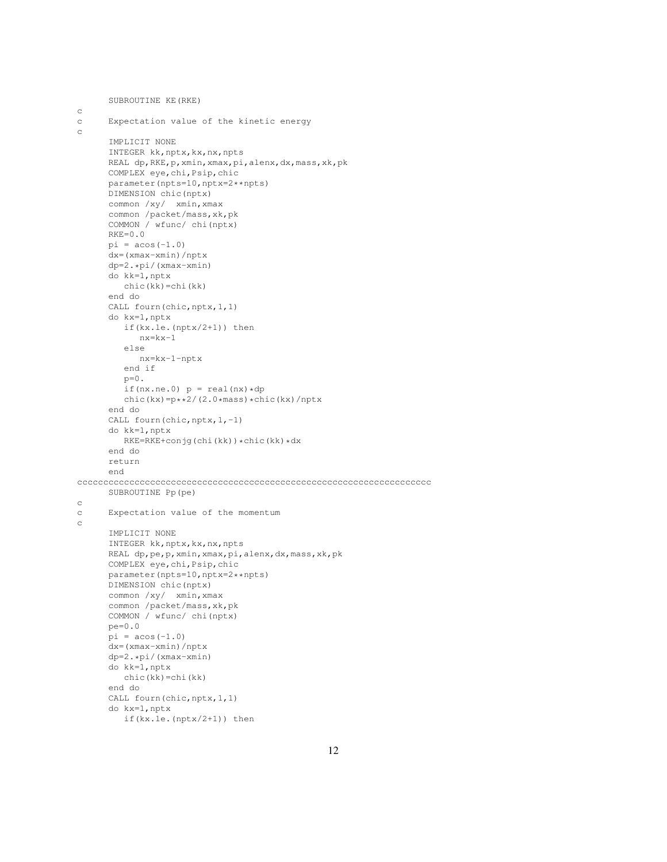```
SUBROUTINE KE(RKE)
c
c Expectation value of the kinetic energy
c
      IMPLICIT NONE
      INTEGER kk,nptx,kx,nx,npts
      REAL dp,RKE,p,xmin,xmax,pi,alenx,dx,mass,xk,pk
      COMPLEX eye,chi,Psip,chic
      parameter(npts=10,nptx=2**npts)
      DIMENSION chic(nptx)
      common /xy/ xmin,xmax
      common /packet/mass,xk,pk
      COMMON / wfunc/ chi(nptx)
      RKE=0.0pi = a cos(-1.0)dx=(xmax-xmin)/nptx
      dp=2.*pi/(xmax-xmin)
      do kk=1,nptx
        chic(kk)=chi(kk)
      end do
      CALL fourn(chic, nptx, 1, 1)
      do kx=1,nptx
         if(kx.le.(nptx/2+1)) then
           nx=kx-1
         else
           nx=kx-1-nptx
         end if
         p=0.
        if(nx.ne.0) p = real(nx) * dpchic(kx)=p**2/(2.0*mass)*chic(kx)/nptx
      end do
      CALL fourn(chic, nptx, 1,-1)
      do kk=1,nptx
        RKE=RKE+conjg(chi(kk))*chic(kk)*dx
      end do
      return
      end
cccccccccccccccccccccccccccccccccccccccccccccccccccccccccccccccccccc
     SUBROUTINE Pp(pe)
c
c Expectation value of the momentum
c
      IMPLICIT NONE
      INTEGER kk, nptx, kx, nx, npts
      REAL dp,pe,p,xmin,xmax,pi,alenx,dx,mass,xk,pk
      COMPLEX eye,chi,Psip,chic
      parameter(npts=10,nptx=2**npts)
      DIMENSION chic(nptx)
      common /xy/ xmin,xmax
      common /packet/mass,xk,pk
      COMMON / wfunc/ chi(nptx)
      pe=0.0
      pi = a cos(-1.0)dx=(xmax-xmin)/nptx
      dp=2.*pi/(xmax-xmin)
      do kk=1,nptx
        chic(kk)=chi(kk)
      end do
      CALL fourn(chic, nptx, 1, 1)
      do kx=1,nptx
         if(kx.le.(nptx/2+1)) then
```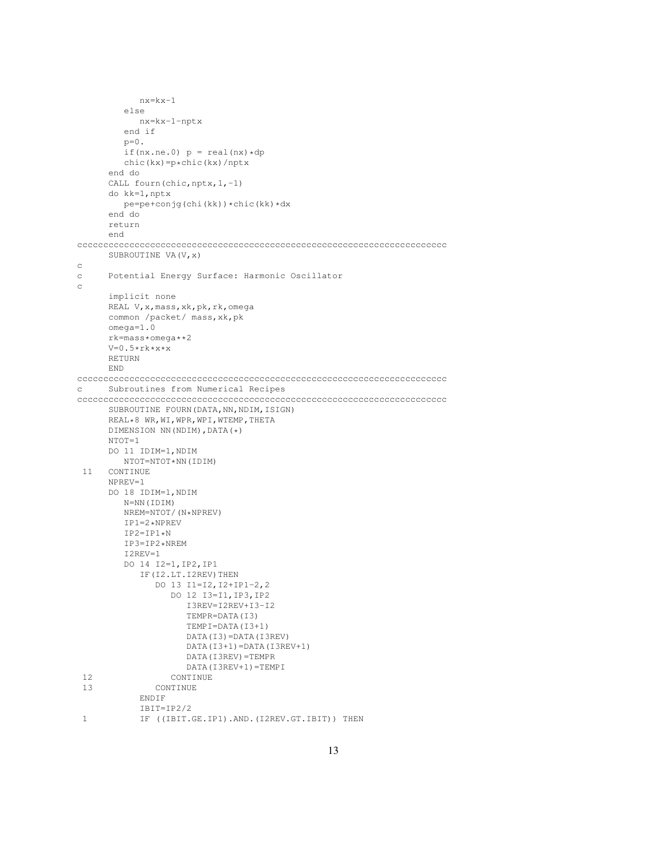```
nx=kx-1
         else
           nx=kx-1-nptx
         end if
        p=0.
         if(nx.ne.0) p = \text{real}(nx) * dpchic(kx)=p*chic(kx)/nptx
      end do
      CALL fourn(chic, nptx, 1,-1)
     do kk=1,nptx
        pe=pe+conjg(chi(kk))*chic(kk)*dx
      end do
     return
      end
ccccccccccccccccccccccccccccccccccccccccccccccccccccccccccccccccccccccc
     SUBROUTINE VA (V, x)
c
c Potential Energy Surface: Harmonic Oscillator
_{\rm C}implicit none
     REAL V,x,mass,xk,pk,rk,omega
     common /packet/ mass,xk,pk
      omega=1.0
     rk=mass*omega**2
     V=0.5*rk*x*xRETURN
     END
ccccccccccccccccccccccccccccccccccccccccccccccccccccccccccccccccccccccc
c Subroutines from Numerical Recipes
ccccccccccccccccccccccccccccccccccccccccccccccccccccccccccccccccccccccc
     SUBROUTINE FOURN(DATA, NN, NDIM, ISIGN)
     REAL*8 WR,WI,WPR,WPI,WTEMP,THETA
     DIMENSION NN(NDIM),DATA(*)
     NTOT=1
     DO 11 IDIM=1,NDIM
       NTOT=NTOT*NN(IDIM)
 11 CONTINUE
     NPREV=1
     DO 18 IDIM=1,NDIM
        N=NN(IDIM)
        NREM=NTOT/(N*NPREV)
        IP1=2*NPREV
        IP2=IP1*NIP3=IP2*NREM
        I2REV=1
        DO 14 I2=1,IP2,IP1
           IF(I2.LT.I2REV)THEN
              DO 13 I1=I2,I2+IP1-2,2
                 DO 12 I3=I1,IP3,IP2
                    I3REV=I2REV+I3-I2
                    TEMPR=DATA(I3)
                    TEMPI=DATA(I3+1)
                    DATA(I3)=DATA(I3REV)
                    DATA(I3+1)=DATA(I3REV+1)
                    DATA(I3REV)=TEMPR
                    DATA(I3REV+1)=TEMPI
 12 CONTINUE
 13 CONTINUE
           ENDIF
           IBIT=IP2/2
 1 IF ((IBIT.GE.IP1).AND.(I2REV.GT.IBIT)) THEN
```

```
13
```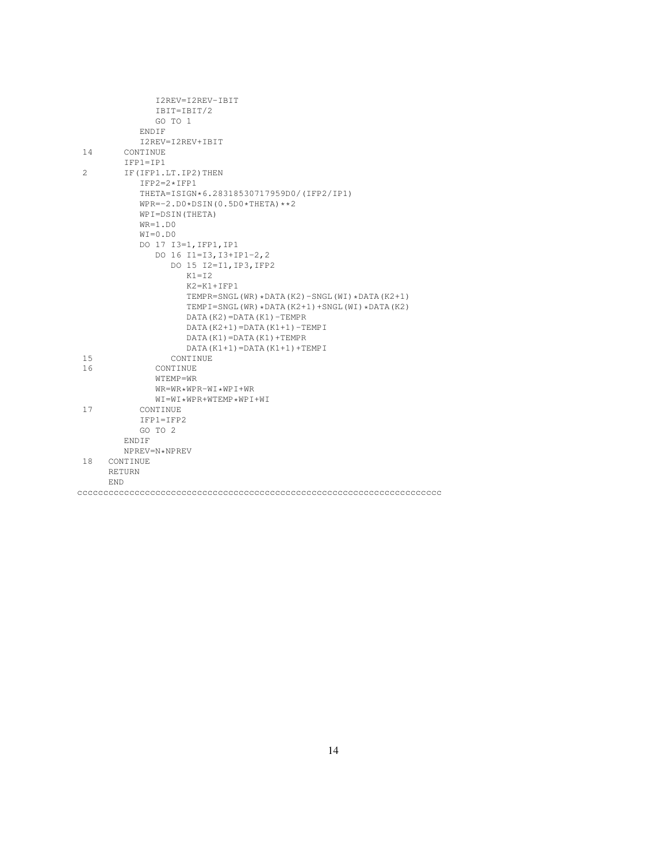|    | I2REV=I2REV-IBIT                               |  |
|----|------------------------------------------------|--|
|    | IBIT=IBIT/2                                    |  |
|    | GO TO 1                                        |  |
|    | ENDIF                                          |  |
|    | I2REV=I2REV+IBIT                               |  |
| 14 | CONTINUE                                       |  |
|    | $TFP1 = TP1$                                   |  |
| 2  | IF (IFP1.LT. IP2) THEN                         |  |
|    | $IFP2=2*IFP1$                                  |  |
|    | THETA=ISIGN*6.28318530717959D0/(IFP2/IP1)      |  |
|    | $WPR=-2. D0 * DSIM(0.5D0 * THETA) * *2$        |  |
|    | WPI=DSIN(THETA)                                |  |
|    | $WR=1.D0$                                      |  |
|    | $WI = 0.DD0$                                   |  |
|    | DO 17 I3=1, IFP1, IP1                          |  |
|    | DO 16 I1=I3, I3+IP1-2, 2                       |  |
|    | DO 15 I2=I1, IP3, IFP2                         |  |
|    | $K1 = I2$                                      |  |
|    | $K2 = K1 + IFP1$                               |  |
|    | TEMPR=SNGL(WR) *DATA(K2)-SNGL(WI) *DATA(K2+1)  |  |
|    | TEMPI=SNGL(WR) *DATA(K2+1) +SNGL(WI) *DATA(K2) |  |
|    | $DATA(K2) = DATA(K1) - TEMPR$                  |  |
|    | $DATA(K2+1) = DATA(K1+1) - TEMPI$              |  |
|    | $DATA(K1) = DATA(K1) + TEMPR$                  |  |
|    | $DATA(K1+1) = DATA(K1+1) + TEMPI$              |  |
| 15 | <b>CONTINUE</b>                                |  |
| 16 | CONTINUE                                       |  |
|    | WTEMP=WR                                       |  |
|    | $WR = WR * WPR - WI * WPI + WR$                |  |
|    | $WI = WI * WPR + WTEMP * WPI + WI$             |  |
| 17 | CONTINUE                                       |  |
|    | $IFPI=IFP2$                                    |  |
|    | GO TO 2                                        |  |
|    | ENDIF                                          |  |
|    | NPREV=N*NPREV                                  |  |
| 18 | CONTINUE                                       |  |
|    | RETURN                                         |  |
|    | <b>END</b>                                     |  |
|    |                                                |  |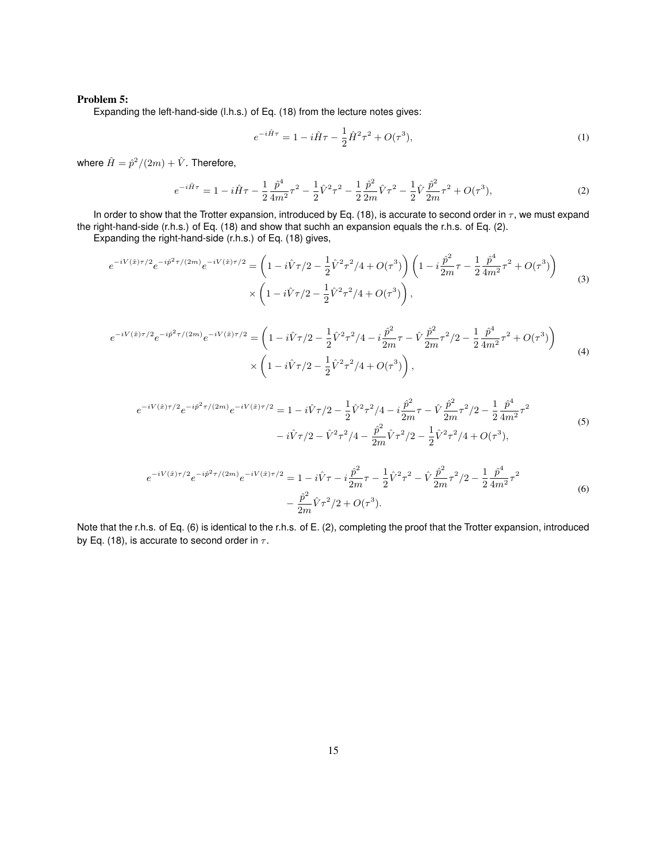#### Problem 5:

Expanding the left-hand-side (l.h.s.) of Eq. (18) from the lecture notes gives:

$$
e^{-i\hat{H}\tau} = 1 - i\hat{H}\tau - \frac{1}{2}\hat{H}^2\tau^2 + O(\tau^3),\tag{1}
$$

where  $\hat{H}=\hat{p}^2/(2m)+\hat{V}$ . Therefore,

$$
e^{-i\hat{H}\tau} = 1 - i\hat{H}\tau - \frac{1}{2}\frac{\hat{p}^4}{4m^2}\tau^2 - \frac{1}{2}\hat{V}^2\tau^2 - \frac{1}{2}\frac{\hat{p}^2}{2m}\hat{V}\tau^2 - \frac{1}{2}\hat{V}\frac{\hat{p}^2}{2m}\tau^2 + O(\tau^3),\tag{2}
$$

In order to show that the Trotter expansion, introduced by Eq. (18), is accurate to second order in  $\tau$ , we must expand the right-hand-side (r.h.s.) of Eq. (18) and show that suchh an expansion equals the r.h.s. of Eq. (2).

Expanding the right-hand-side (r.h.s.) of Eq. (18) gives,

$$
e^{-iV(\hat{x})\tau/2}e^{-i\hat{p}^{2}\tau/(2m)}e^{-iV(\hat{x})\tau/2} = \left(1 - i\hat{V}\tau/2 - \frac{1}{2}\hat{V}^{2}\tau^{2}/4 + O(\tau^{3})\right)\left(1 - i\frac{\hat{p}^{2}}{2m}\tau - \frac{1}{2}\frac{\hat{p}^{4}}{4m^{2}}\tau^{2} + O(\tau^{3})\right) \times \left(1 - i\hat{V}\tau/2 - \frac{1}{2}\hat{V}^{2}\tau^{2}/4 + O(\tau^{3})\right),
$$
\n(3)

$$
e^{-iV(\hat{x})\tau/2}e^{-i\hat{p}^{2}\tau/(2m)}e^{-iV(\hat{x})\tau/2} = \left(1 - i\hat{V}\tau/2 - \frac{1}{2}\hat{V}^{2}\tau^{2}/4 - i\frac{\hat{p}^{2}}{2m}\tau - \hat{V}\frac{\hat{p}^{2}}{2m}\tau^{2}/2 - \frac{1}{2}\frac{\hat{p}^{4}}{4m^{2}}\tau^{2} + O(\tau^{3})\right) \times \left(1 - i\hat{V}\tau/2 - \frac{1}{2}\hat{V}^{2}\tau^{2}/4 + O(\tau^{3})\right),
$$
\n(4)

$$
e^{-iV(\hat{x})\tau/2}e^{-i\hat{p}^{2}\tau/(2m)}e^{-iV(\hat{x})\tau/2} = 1 - i\hat{V}\tau/2 - \frac{1}{2}\hat{V}^{2}\tau^{2}/4 - i\frac{\hat{p}^{2}}{2m}\tau - \hat{V}\frac{\hat{p}^{2}}{2m}\tau^{2}/2 - \frac{1}{2}\frac{\hat{p}^{4}}{4m^{2}}\tau^{2}
$$
  

$$
-i\hat{V}\tau/2 - \hat{V}^{2}\tau^{2}/4 - \frac{\hat{p}^{2}}{2m}\hat{V}\tau^{2}/2 - \frac{1}{2}\hat{V}^{2}\tau^{2}/4 + O(\tau^{3}),
$$
 (5)

$$
e^{-iV(\hat{x})\tau/2}e^{-i\hat{p}^{2}\tau/(2m)}e^{-iV(\hat{x})\tau/2} = 1 - i\hat{V}\tau - i\frac{\hat{p}^{2}}{2m}\tau - \frac{1}{2}\hat{V}^{2}\tau^{2} - \hat{V}\frac{\hat{p}^{2}}{2m}\tau^{2}/2 - \frac{1}{2}\frac{\hat{p}^{4}}{4m^{2}}\tau^{2} - \frac{\hat{p}^{2}}{2m}\hat{V}\tau^{2}/2 + O(\tau^{3}).
$$
\n
$$
(6)
$$

Note that the r.h.s. of Eq. (6) is identical to the r.h.s. of E. (2), completing the proof that the Trotter expansion, introduced by Eq. (18), is accurate to second order in  $\tau$ .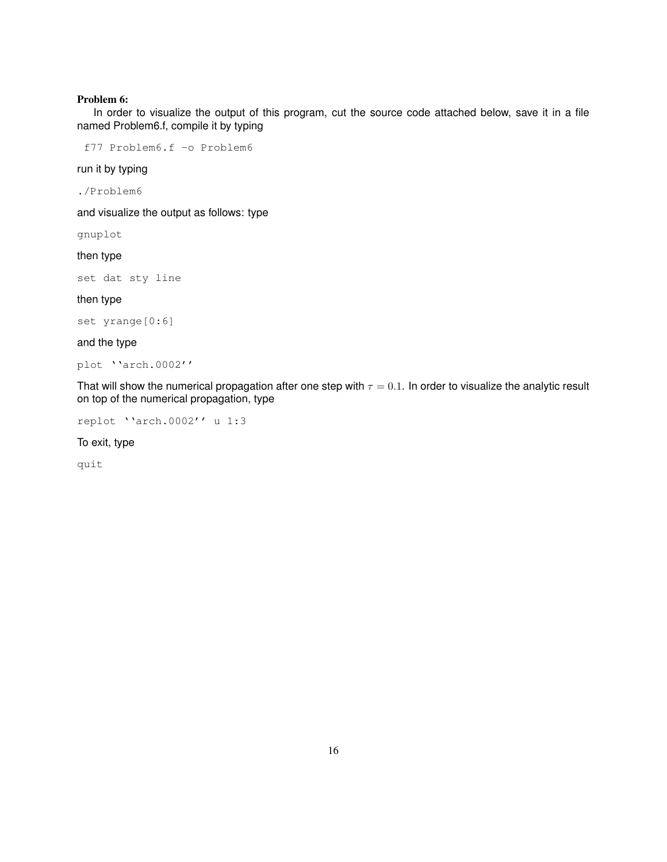#### Problem 6:

In order to visualize the output of this program, cut the source code attached below, save it in a file named Problem6.f, compile it by typing

f77 Problem6.f -o Problem6

run it by typing

./Problem6

and visualize the output as follows: type

gnuplot

then type

set dat sty line

then type

set yrange[0:6]

and the type

plot ''arch.0002''

That will show the numerical propagation after one step with  $\tau = 0.1$ . In order to visualize the analytic result on top of the numerical propagation, type

replot ''arch.0002'' u 1:3

To exit, type

quit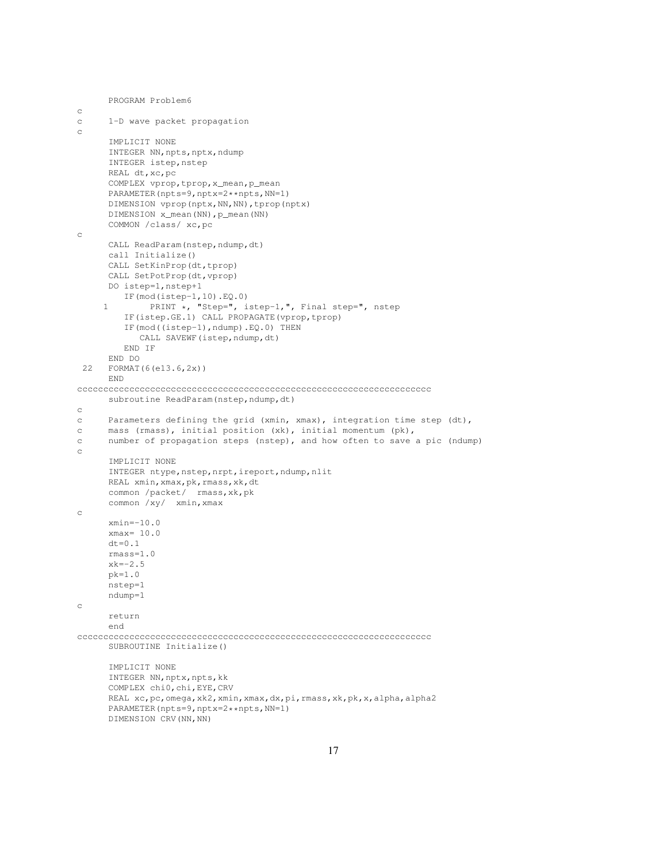```
PROGRAM Problem6
c
c 1-D wave packet propagation
c
      IMPLICIT NONE
      INTEGER NN, npts, nptx, ndump
      INTEGER istep, nstep
      REAL dt,xc,pc
      COMPLEX vprop,tprop,x_mean,p_mean
      PARAMETER(npts=9,nptx=2**npts,NN=1)
      DIMENSION vprop(nptx,NN,NN),tprop(nptx)
      DIMENSION x_mean(NN), p_mean(NN)
      COMMON /class/ xc,pc
c
      CALL ReadParam(nstep,ndump,dt)
      call Initialize()
      CALL SetKinProp(dt,tprop)
      CALL SetPotProp(dt, vprop)
      DO istep=1,nstep+1
        IF(mod(istep-1,10).EQ.0)
     1 PRINT *, "Step=", istep-1,", Final step=", nstep
         IF(istep.GE.1) CALL PROPAGATE(vprop,tprop)
         IF(mod((istep-1),ndump).EQ.0) THEN
            CALL SAVEWF(istep,ndump,dt)
         END IF
      END DO
 22 FORMAT(6(e13.6,2x))
      END
cccccccccccccccccccccccccccccccccccccccccccccccccccccccccccccccccccc
      subroutine ReadParam(nstep, ndump, dt)
c
c Parameters defining the grid (xmin, xmax), integration time step (dt),
c mass (rmass), initial position (xk), initial momentum (pk),
c number of propagation steps (nstep), and how often to save a pic (ndump)
c
      IMPLICIT NONE
      INTEGER ntype, nstep, nrpt, ireport, ndump, nlit
      REAL xmin, xmax, pk, rmass, xk, dt
      common /packet/ rmass,xk,pk
      common /xy/ xmin,xmax
c
      xmin=-10.0
      xmax= 10.0
      dt=0.1rmass=1.0
      xk=-2.5
      pk=1.0
      nstep=1
      ndump=1
c
      return
      end
cccccccccccccccccccccccccccccccccccccccccccccccccccccccccccccccccccc
      SUBROUTINE Initialize()
      IMPLICIT NONE
      INTEGER NN, nptx, npts, kk
      COMPLEX chi0,chi,EYE,CRV
      REAL xc,pc, omega, xk2, xmin, xmax, dx, pi, rmass, xk, pk, x, alpha, alpha2
      PARAMETER(npts=9,nptx=2**npts,NN=1)
      DIMENSION CRV(NN,NN)
```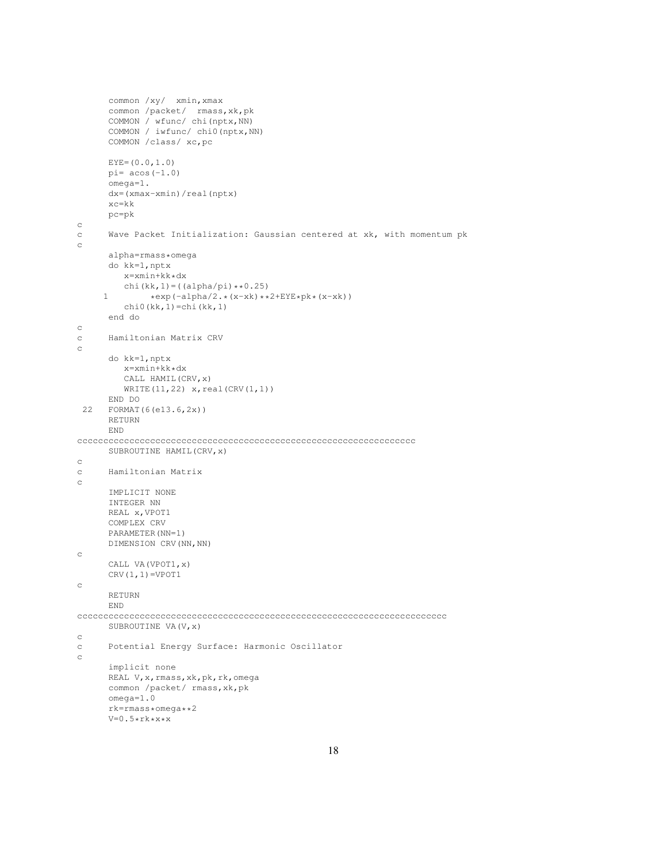```
common /xy/ xmin,xmax
     common /packet/ rmass,xk,pk
     COMMON / wfunc/ chi(nptx,NN)
      COMMON / iwfunc/ chi0(nptx,NN)
     COMMON /class/ xc,pc
     EYE=(0.0, 1.0)pi= acos(-1.0)omega=1.
     dx=(xmax-xmin)/real(nptx)
     xc=kk
     pc=pk
c
c Wave Packet Initialization: Gaussian centered at xk, with momentum pk
c
     alpha=rmass*omega
     do kk=1,nptx
        x=xmin+kk*dx
        chi(kk,1)=((alpha/pi)**0.25)
     1 *exp(-alpha/2.*(x-xk)**2+EYE*pk*(x-xk))chi0(kk,1)=chi(kk,1)
     end do
c
c Hamiltonian Matrix CRV
c
     do kk=1,nptx
        x=xmin+kk*dx
        CALL HAMIL(CRV,x)
        WRITE(11,22) x, real(CRV(1,1))
     END DO
 22 FORMAT(6(e13.6,2x))
     RETURN
     END
ccccccccccccccccccccccccccccccccccccccccccccccccccccccccccccccccc
     SUBROUTINE HAMIL(CRV,x)
c
c Hamiltonian Matrix
\rm _cIMPLICIT NONE
     INTEGER NN
     REAL x,VPOT1
     COMPLEX CRV
     PARAMETER(NN=1)
     DIMENSION CRV(NN,NN)
c
     CALL VA(VPOT1,x)
     CRV(1,1)=VPOT1c
     RETURN
     END
ccccccccccccccccccccccccccccccccccccccccccccccccccccccccccccccccccccccc
     SUBROUTINE VA (V, x)
c
c Potential Energy Surface: Harmonic Oscillator
\mathtt{C}implicit none
     REAL V,x,rmass,xk,pk,rk,omega
     common /packet/ rmass,xk,pk
     omega=1.0
     rk=rmass*omega**2
     V=0.5*rk*x*x
```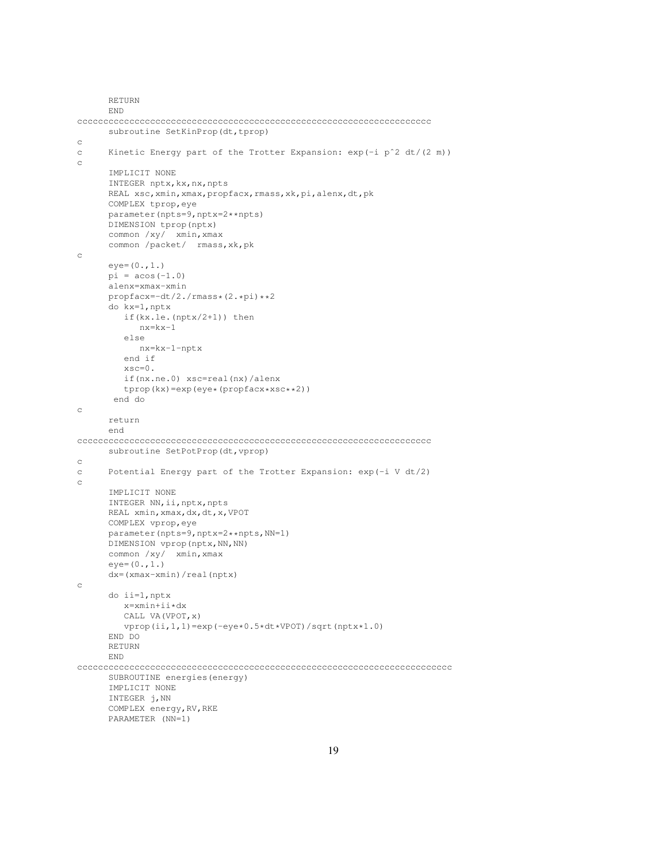```
RETURN
      END
cccccccccccccccccccccccccccccccccccccccccccccccccccccccccccccccccccc
      subroutine SetKinProp(dt,tprop)
c
c Kinetic Energy part of the Trotter Expansion: exp(-i pˆ2 dt/(2 m))
c
      IMPLICIT NONE
      INTEGER nptx, kx, nx, npts
      REAL xsc, xmin, xmax, propfacx, rmass, xk, pi, alenx, dt, pk
      COMPLEX tprop,eye
      parameter(npts=9,nptx=2**npts)
      DIMENSION tprop(nptx)
      common /xy/ xmin,xmax
      common /packet/ rmass,xk,pk
c
      eye=(0.,1.)
      pi = a cos(-1.0)alenx=xmax-xmin
      propfacx=-dt/2./rmass*(2.*pi)**2
      do kx=1,nptx
        if(kx.le.(nptx/2+1)) then
            nx=kx-1
         else
            nx=kx-1-nptx
         end if
         xsc=0.
         if(nx.ne.0) xsc=real(nx)/alenx
         tprop(kx)=exp(eye*(propfacx*xsc**2))
       end do
c
      return
      end
cccccccccccccccccccccccccccccccccccccccccccccccccccccccccccccccccccc
      subroutine SetPotProp(dt, vprop)
c
c Potential Energy part of the Trotter Expansion: exp(-i V dt/2)
\rm _cIMPLICIT NONE
      INTEGER NN, ii, nptx, npts
      REAL xmin,xmax,dx,dt,x,VPOT
      COMPLEX vprop,eye
      parameter(npts=9,nptx=2**npts,NN=1)
      DIMENSION vprop(nptx,NN,NN)
      common /xy/ xmin, xmax
      eye=(0.,1.)
      dx=(xmax-xmin)/real(nptx)
c
      do ii=1,nptx
        x=xmin+ii*dx
         CALL VA(VPOT,x)
         vprop(ii,1,1)=exp(-eye*0.5*dt*VPOT)/sqrt(nptx*1.0)
      END DO
      RETURN
      END
cccccccccccccccccccccccccccccccccccccccccccccccccccccccccccccccccccccccc
      SUBROUTINE energies(energy)
      IMPLICIT NONE
      INTEGER j,NN
      COMPLEX energy,RV,RKE
      PARAMETER (NN=1)
```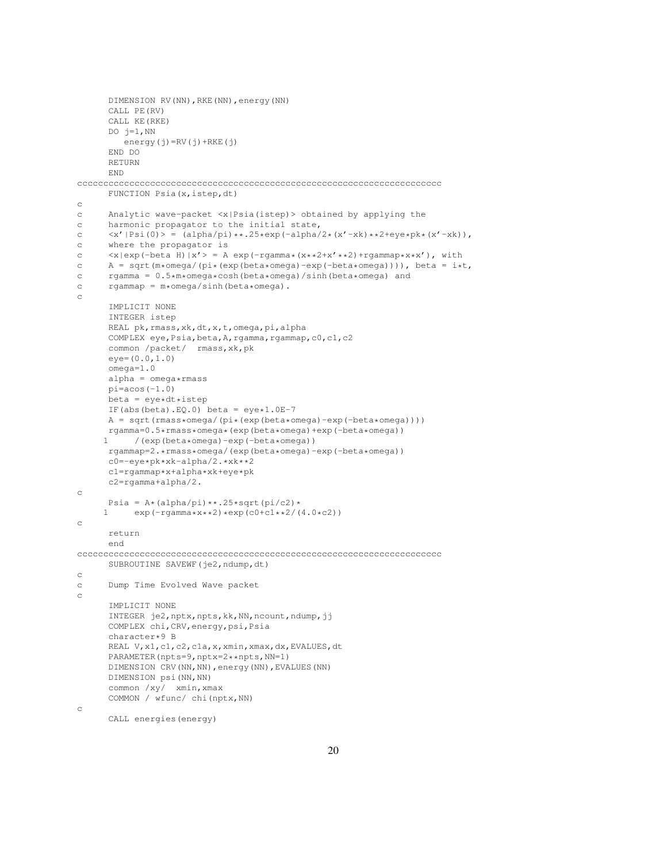```
DIMENSION RV(NN),RKE(NN),energy(NN)
       CALL PE(RV)
       CALL KE(RKE)
       DO j=1,NN
          energy(j)=RV(j)+RKE(j)
       END DO
       RETURN
       END
cccccccccccccccccccccccccccccccccccccccccccccccccccccccccccccccccccccc
      FUNCTION Psia(x, istep, dt)
c
c Analytic wave-packet <x|Psia(istep)> obtained by applying the
c harmonic propagator to the initial state,
c \langle x' | Psi(0) \rangle = (alpha/phaj)x*.25*exp(-alpha/2*(x'-xk)*2+eye*pk*(x'-xk)),<br>c where the propagator is
      where the propagator is
c \langle x | \exp(-\beta x) | x' \rangle = A \exp(-\beta x^* + 2^*x^* + 2) + \gamma x^* + 2^*x^*, with
c A = sqrt(m*omega/(pi*(exp(beta*omega)-exp(-beta*omega)))), beta = i*t,<br>c rgamma = 0.5*m*omega*cosh(beta*omega)/sinh(beta*omega) and
c rgamma = 0.5 \times m \times \text{omegax} \cosh(\text{beta} \times \text{omega}) / \sinh(\text{beta} \times \text{omega}) and rgammap = m \times \text{omegax} / \sinh(\text{beta} \times \text{omega}).
       rgammap = m*omega/sinh(beta*omega).
c
       IMPLICIT NONE
       INTEGER istep
       REAL pk,rmass,xk,dt,x,t,omega,pi,alpha
       COMPLEX eye, Psia, beta, A, rgamma, rgammap, c0, c1, c2
       common /packet/ rmass,xk,pk
       eye=(0.0,1.0)
       omega = 1.0alpha = \omega + \text{mass}pi=acos(-1.0)
       beta = eye*dt*istepIF(abs(beta).EQ.0) beta = eye*1.0E-7
       A = sqrt(rmass*omega/(pi*(exp(beta*omega)-exp(-beta*omega))))
      rgamma=0.5*rmass*omega*(exp(beta*omega)+exp(-beta*omega))<br>1 (exp(beta*omega)-exp(-beta*omega))
            1 /(exp(beta*omega)-exp(-beta*omega))
       rgammap=2.*rmass*omega/(exp(beta*omega)-exp(-beta*omega))
       c0=-eye*pk*xk-alpha/2.*xk**2
       c1=rgammap*x+alpha*xk+eye*pk
       c2=rgamma+alpha/2.
c
       Psia = A*(\text{alpha}/\text{pi})**.25*sqrt(\text{pi}/c2)*1 exp(-rgamma*x**2)*exp(c0+c1**2/(4.0*c2))
c
       return
       end
cccccccccccccccccccccccccccccccccccccccccccccccccccccccccccccccccccccc
       SUBROUTINE SAVEWF (je2,ndump,dt)
c
c Dump Time Evolved Wave packet
c
       IMPLICIT NONE
       INTEGER je2,nptx,npts,kk,NN,ncount,ndump,jj
       COMPLEX chi,CRV,energy,psi,Psia
       character*9 B
       REAL V, x1, c1, c2, c1a, x, xmin, xmax, dx, EVALUES, dt
       PARAMETER(npts=9,nptx=2**npts,NN=1)
       DIMENSION CRV(NN,NN),energy(NN),EVALUES(NN)
       DIMENSION psi(NN,NN)
       common /xy/ xmin,xmax
       COMMON / wfunc/ chi(nptx,NN)
c
```

```
CALL energies(energy)
```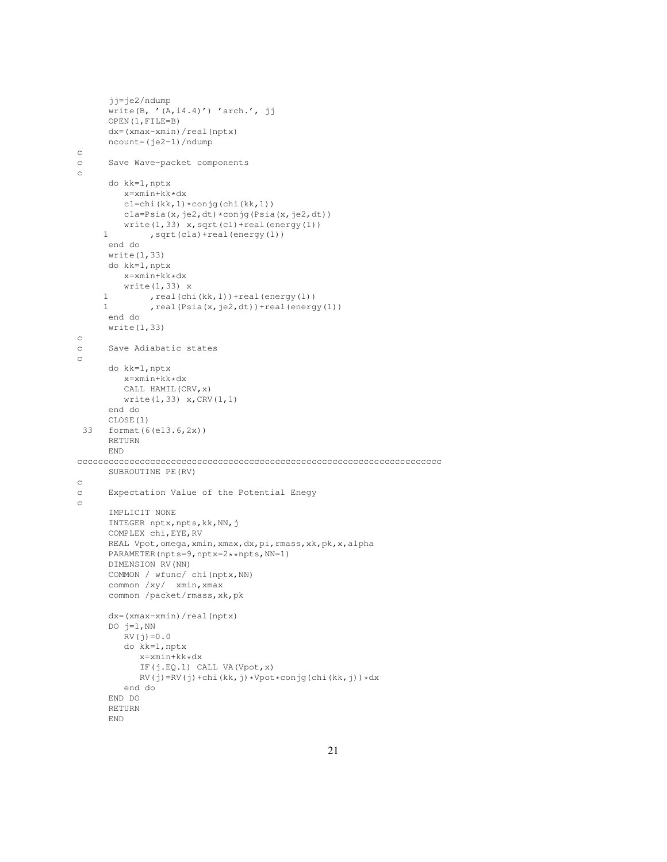```
jj=je2/ndump
      write(B, '(A, i4.4)') 'arch.', jj
      OPEN(1,FILE=B)
      dx=(xmax-xmin)/real(nptx)
      ncount=(je2-1)/ndump
c
c Save Wave-packet components
c
      do kk=1,nptx
        x=xmin+kk*dx
         c1=chi(kk,1)*conjg(chi(kk,1))
         cla = Psia(x, je2, dt) * conjg(Psia(x, je2, dt))write(1,33) x, sqrt(cl)+real(energy(l))
     1 , sqrt(cla) + real(energy(1))
      end do
      write(1,33)
      do kk=1,nptx
         x=xmin+kk*dx
         write(1,33) x
     1 , real(chi(kk, 1)) + real(energy(1))
     1 , real(Psia(x,je2,dt))+real(energy(1))
      end do
      write(1,33)
c
c Save Adiabatic states
c
      do kk=1,nptx
         x=xmin+kk*dx
        CALL HAMIL(CRV,x)
        write(1,33) x,CRV(1,1)
      end do
      CLOSE(1)
 33 format(6(e13.6,2x))
      RETURN
      END
cccccccccccccccccccccccccccccccccccccccccccccccccccccccccccccccccccccc
      SUBROUTINE PE(RV)
c
c Expectation Value of the Potential Enegy
c
      IMPLICIT NONE
      INTEGER nptx, npts, kk, NN, j
      COMPLEX chi,EYE,RV
      REAL Vpot,omega,xmin,xmax,dx,pi,rmass,xk,pk,x,alpha
      PARAMETER(npts=9,nptx=2**npts,NN=1)
      DIMENSION RV(NN)
      COMMON / wfunc/ chi(nptx,NN)
      common /xy/ xmin, xmax
      common /packet/rmass,xk,pk
      dx=(xmax-xmin)/real(nptx)
      DO j=1, NN
         RV(j)=0.0do kk=1,nptx
           x=xmin+kk*dx
            IF(j.EQ.1) CALL VA(Vpot,x)
            RV(j)=RV(j)+chi(kk,j)*Vpot*conjg(chi(kk,j))*dx
         end do
      END DO
      RETURN
      END
```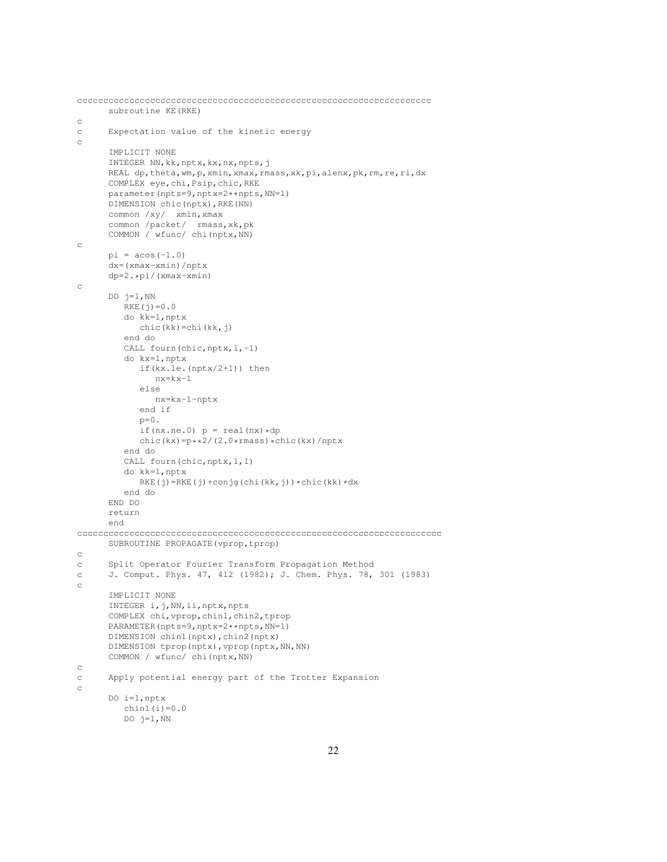```
cccccccccccccccccccccccccccccccccccccccccccccccccccccccccccccccccccc
      subroutine KE(RKE)
c
c Expectation value of the kinetic energy
c
      IMPLICIT NONE
      INTEGER NN,kk,nptx,kx,nx,npts,j
      REAL dp, theta, wm, p, xmin, xmax, rmass, xk, pi, alenx, pk, rm, re, ri, dx
      COMPLEX eye,chi,Psip,chic,RKE
      parameter(npts=9,nptx=2**npts,NN=1)
      DIMENSION chic(nptx),RKE(NN)
      common /xy/ xmin,xmax
      common /packet/ rmass,xk,pk
      COMMON / wfunc/ chi(nptx,NN)
c
      pi = a cos(-1.0)dx=(xmax-xmin)/nptx
      dp=2.*pi/(xmax-xmin)
c
      DO i=1, NN
        RKE(j)=0.0do kk=1,nptx
           chic(kk)=chi(kk,j)
         end do
         CALL fourn(chic, nptx, 1,-1)
         do kx=1,nptx
           if(kx.le.(nptx/2+1)) then
               nx=kx-1
            else
              nx=kx-1-nptx
            end if
            p=0.
            if(nx.ne.0) p = real(nx) * dpchic(kx)=p**2/(2.0*rmass)*chic(kx)/nptxend do
         CALL fourn(chic, nptx, 1, 1)
         do kk=1,nptx
           RKE(j)=RKE(j)+conjg(chi(kk,j))*chic(kk)*dx
         end do
      END DO
      return
      end
cccccccccccccccccccccccccccccccccccccccccccccccccccccccccccccccccccccc
      SUBROUTINE PROPAGATE(vprop, tprop)
c
c Split Operator Fourier Transform Propagation Method
c J. Comput. Phys. 47, 412 (1982); J. Chem. Phys. 78, 301 (1983)
c
      IMPLICIT NONE
      INTEGER i,j,NN,ii,nptx,npts
      COMPLEX chi,vprop,chin1,chin2,tprop
      PARAMETER(npts=9,nptx=2**npts,NN=1)
      DIMENSION chin1(nptx), chin2(nptx)
      DIMENSION tprop(nptx), vprop(nptx, NN, NN)
      COMMON / wfunc/ chi(nptx,NN)
c
c Apply potential energy part of the Trotter Expansion
c
      DO i=1,nptx
        chin1(i)=0.0DO j=1, NN
```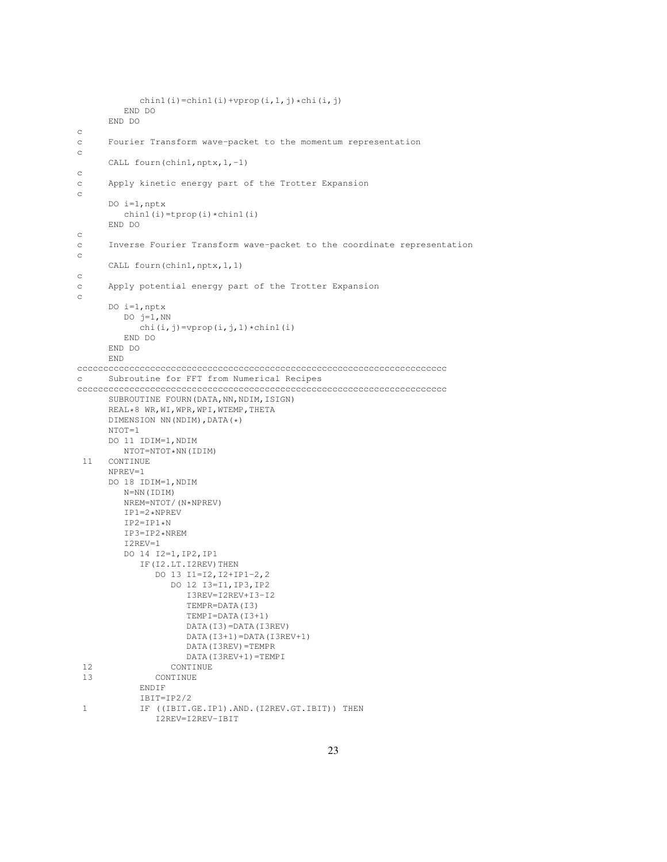```
chin1(i)=chin1(i)+vprop(i,1,j)*chi(i,j)
        END DO
     END DO
c
c Fourier Transform wave-packet to the momentum representation
c
     CALL fourn(chin1,nptx, 1,-1)
c
c Apply kinetic energy part of the Trotter Expansion
c
     DO i=1,nptx
        chin1(i)=tprop(i)*chin1(i)
     END DO
c
c Inverse Fourier Transform wave-packet to the coordinate representation
c
     CALL fourn(chin1,nptx,1,1)
c
c Apply potential energy part of the Trotter Expansion
c
     DO i=1,nptx
        DO j=1, NN
           chi(i,j)=vprop(i,j,1) *chin1(i)
        END DO
     END DO
     END
ccccccccccccccccccccccccccccccccccccccccccccccccccccccccccccccccccccccc
c Subroutine for FFT from Numerical Recipes
ccccccccccccccccccccccccccccccccccccccccccccccccccccccccccccccccccccccc
     SUBROUTINE FOURN (DATA, NN, NDIM, ISIGN)
     REAL*8 WR,WI,WPR,WPI,WTEMP,THETA
     DIMENSION NN(NDIM),DATA(*)
     NTOT=1DO 11 IDIM=1,NDIM
        NTOT=NTOT*NN(IDIM)
 11 CONTINUE
     NPREV=1
     DO 18 IDIM=1,NDIM
        N=NN(IDIM)
        NREM=NTOT/(N*NPREV)
        IP1=2*NPREVIP2=IP1*N
        IP3=IP2*NREM
        I2REV=1
        DO 14 I2=1,IP2,IP1
           IF(I2.LT.I2REV)THEN
              DO 13 I1=I2,I2+IP1-2,2
                 DO 12 I3=I1,IP3,IP2
                    I3REV=I2REV+I3-I2
                    TEMPR=DATA(I3)
                    TEMPI=DATA(I3+1)
                    DATA(I3)=DATA(I3REV)
                    DATA(I3+1)=DATA(I3REV+1)
                    DATA(I3REV)=TEMPR
                    DATA(I3REV+1)=TEMPI
 12 CONTINUE
 13 CONTINUE
           ENDIF
           IBIT=IP2/2
 1 IF ((IBIT.GE.IP1).AND.(I2REV.GT.IBIT)) THEN
              I2REV=I2REV-IBIT
```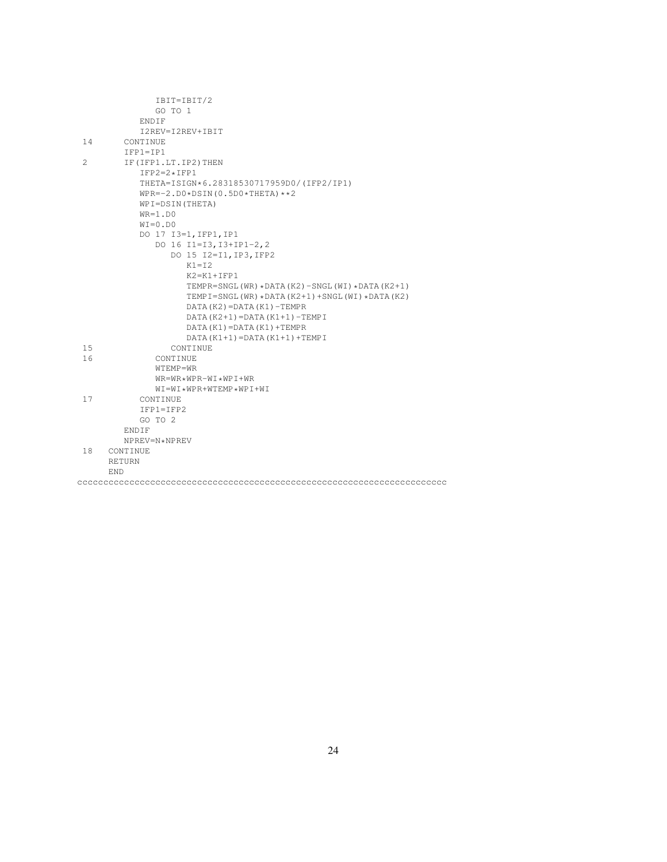|                | IBIT=IBIT/2                                       |
|----------------|---------------------------------------------------|
|                | GO TO 1                                           |
|                | ENDIF                                             |
|                | I2REV=I2REV+IBIT                                  |
| 14             | CONTINUE                                          |
|                | $IFPI=IP1$                                        |
| $\overline{2}$ | IF (IFP1.LT. IP2) THEN                            |
|                | $IFP2=2*IFP1$                                     |
|                | THETA=ISIGN*6.28318530717959D0/(IFP2/IP1)         |
|                | $WPR=-2. D0 * DSIM(0.5D0 * THETA) * *2$           |
|                | WPI=DSIN(THETA)                                   |
|                | $WR=1.D0$                                         |
|                | $WT=0. D0$                                        |
|                | DO 17 I3=1, IFP1, IP1                             |
|                | DO 16 I1=I3, I3+IP1-2, 2                          |
|                | DO 15 I2=I1, IP3, IFP2                            |
|                | $K1 = T2$                                         |
|                | $K2 = K1 + TFP1$                                  |
|                | TEMPR=SNGL(WR) *DATA(K2) -SNGL(WI) *DATA(K2+1)    |
|                | TEMPI=SNGL(WR) * DATA(K2+1) + SNGL(WI) * DATA(K2) |
|                | $DATA(K2) = DATA(K1) - TEMPR$                     |
|                | DATA $(K2+1)$ = DATA $(K1+1)$ - TEMP I            |
|                | $DATA(K1) = DATA(K1) + TEMPR$                     |
|                | $DATA(K1+1) = DATA(K1+1) + TEMPI$                 |
| 15             | CONTINUE                                          |
| 16             | CONTINUE                                          |
|                | WTEMP=WR                                          |
|                | $WR = WR * WPR - WI * WPI + WR$                   |
|                | $WT = WT * WPR + WTFMP * WPT + WT$                |
| 17             | CONTINUE                                          |
|                | $IFPI=IFP2$                                       |
|                | GO TO 2                                           |
|                | ENDIF                                             |
|                | NPREV=N*NPREV                                     |
| 18             | CONTINUE                                          |
|                | RETURN                                            |
|                | <b>END</b>                                        |
|                |                                                   |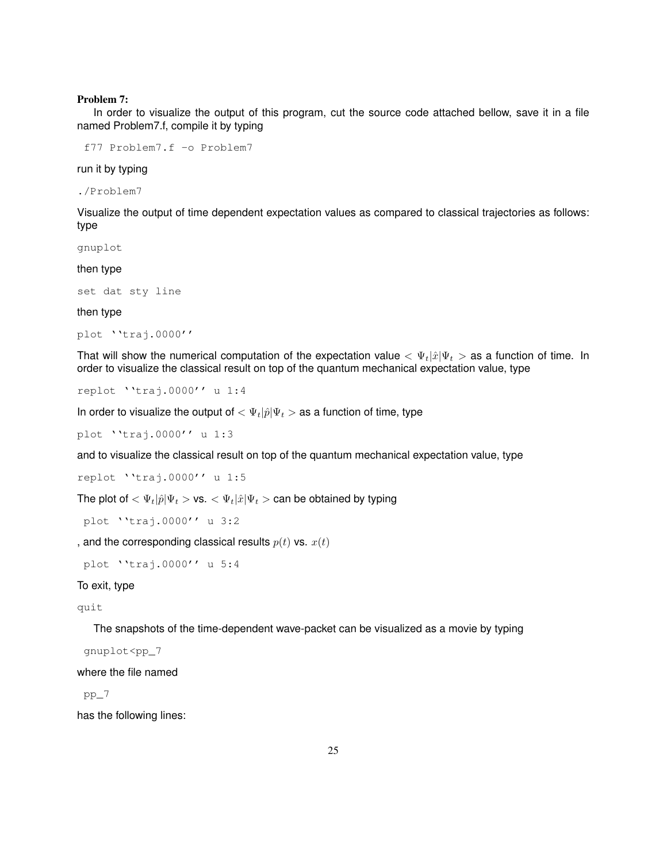#### Problem 7:

In order to visualize the output of this program, cut the source code attached bellow, save it in a file named Problem7.f, compile it by typing

f77 Problem7.f -o Problem7

run it by typing

./Problem7

Visualize the output of time dependent expectation values as compared to classical trajectories as follows: type

gnuplot

then type

set dat sty line

then type

```
plot ''traj.0000''
```
That will show the numerical computation of the expectation value  $\langle \Psi_t | \hat{x} | \Psi_t \rangle$  as a function of time. In order to visualize the classical result on top of the quantum mechanical expectation value, type

```
replot ''traj.0000'' u 1:4
```
In order to visualize the output of  $<\Psi_t|\hat{p}|\Psi_t>$  as a function of time, type

plot ''traj.0000'' u 1:3

and to visualize the classical result on top of the quantum mechanical expectation value, type

replot ''traj.0000'' u 1:5

The plot of  $<\Psi_t|\hat{p}|\Psi_t>$  vs.  $<\Psi_t|\hat{x}|\Psi_t>$  can be obtained by typing

plot ''traj.0000'' u 3:2

, and the corresponding classical results  $p(t)$  vs.  $x(t)$ 

plot ''traj.0000'' u 5:4

#### To exit, type

quit

The snapshots of the time-dependent wave-packet can be visualized as a movie by typing

gnuplot<pp\_7

where the file named

pp\_7

has the following lines: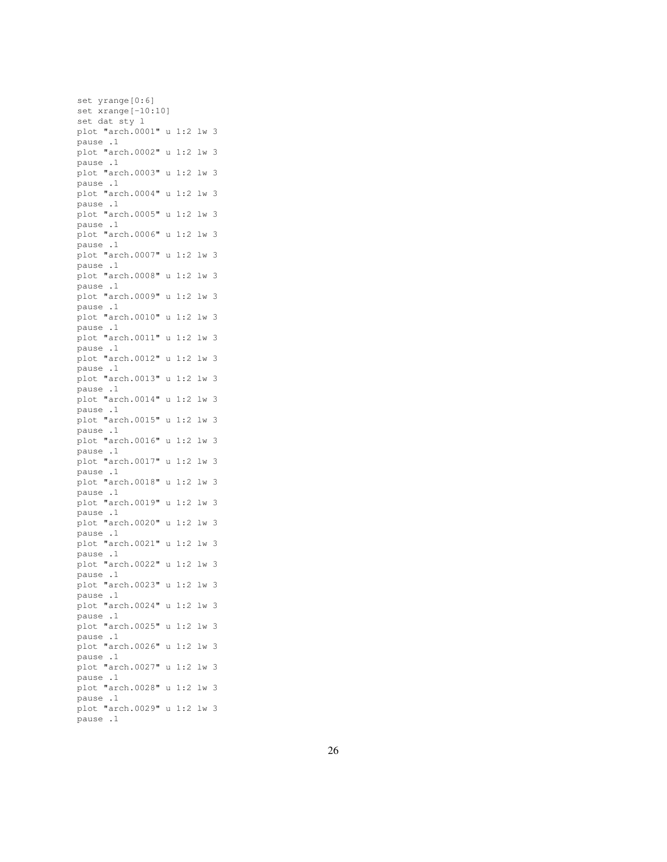set yrange[0:6] set xrange[-10:10] set dat sty l plot "arch.0001" u 1:2 lw 3 pause .1 plot "arch.0002" u 1:2 lw 3 pause .1 plot "arch.0003" u 1:2 lw 3 pause .1 plot "arch.0004" u 1:2 lw 3 pause .1 plot "arch.0005" u 1:2 lw 3 pause .1 plot "arch.0006" u 1:2 lw 3 pause .1 plot "arch.0007" u 1:2 lw 3 pause .1 plot "arch.0008" u 1:2 lw 3 pause .1 plot "arch.0009" u 1:2 lw 3 pause .1 plot "arch.0010" u 1:2 lw 3 pause .1 plot "arch.0011" u 1:2 lw 3 pause .1 plot "arch.0012" u 1:2 lw 3 pause .1 plot "arch.0013" u 1:2 lw 3 pause .1 plot "arch.0014" u 1:2 lw 3 pause .1 plot "arch.0015" u 1:2 lw 3 pause .1 plot "arch.0016" u 1:2 lw 3 pause .1 plot "arch.0017" u 1:2 lw 3 pause .1 plot "arch.0018" u 1:2 lw 3 pause .1 plot "arch.0019" u 1:2 lw 3 pause .1 plot "arch.0020" u 1:2 lw 3 pause .1 plot "arch.0021" u 1:2 lw 3 pause .1 plot "arch.0022" u 1:2 lw 3 pause .1 plot "arch.0023" u 1:2 lw 3 pause .1 plot "arch.0024" u 1:2 lw 3 pause .1 plot "arch.0025" u 1:2 lw 3 pause .1 plot "arch.0026" u 1:2 lw 3 pause .1 plot "arch.0027" u 1:2 lw 3 pause .1 plot "arch.0028" u 1:2 lw 3 pause .1 plot "arch.0029" u 1:2 lw 3 pause .1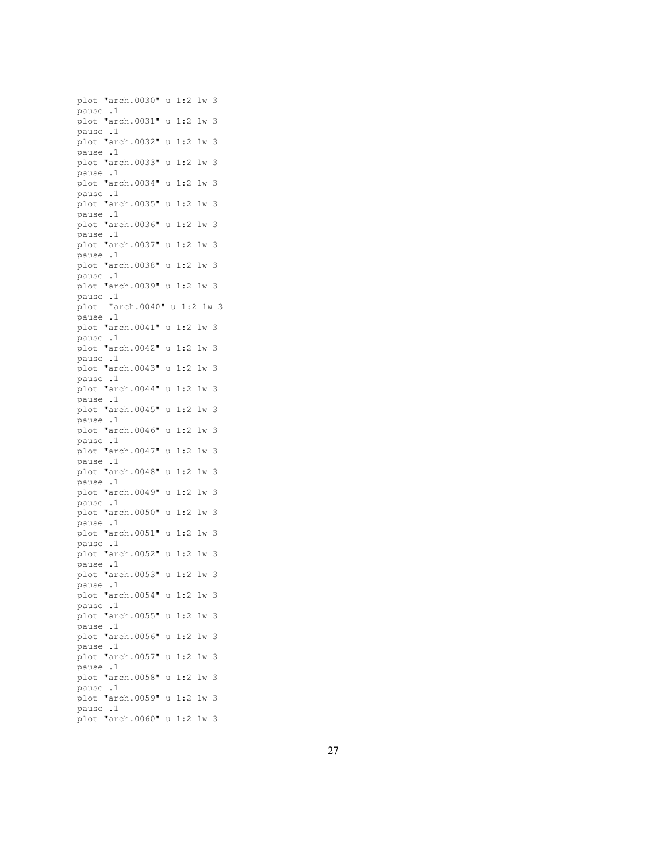plot "arch.0030" u 1:2 lw 3 pause .1 plot "arch.0031" u 1:2 lw 3 pause .1 plot "arch.0032" u 1:2 lw 3 pause .1 plot "arch.0033" u 1:2 lw 3 pause .1 plot "arch.0034" u 1:2 lw 3 pause .1 plot "arch.0035" u 1:2 lw 3 pause .1 plot "arch.0036" u 1:2 lw 3 pause .1 plot "arch.0037" u 1:2 lw 3 pause .1 plot "arch.0038" u 1:2 lw 3 pause .1 plot "arch.0039" u 1:2 lw 3 pause .1 plot "arch.0040" u 1:2 lw 3 pause .1 plot "arch.0041" u 1:2 lw 3 pause .1 plot "arch.0042" u 1:2 lw 3 pause .1 plot "arch.0043" u 1:2 lw 3 pause .1 plot "arch.0044" u 1:2 lw 3 pause .1 plot "arch.0045" u 1:2 lw 3 pause .1 plot "arch.0046" u 1:2 lw 3 pause .1 plot "arch.0047" u 1:2 lw 3 pause .1 plot "arch.0048" u 1:2 lw 3 pause .1 plot "arch.0049" u 1:2 lw 3 pause .1 plot "arch.0050" u 1:2 lw 3 pause .1 plot "arch.0051" u 1:2 lw 3 pause .1 plot "arch.0052" u 1:2 lw 3 pause .1 plot "arch.0053" u 1:2 lw 3 pause .1 plot "arch.0054" u 1:2 lw 3 pause .1 plot "arch.0055" u 1:2 lw 3 pause .1 plot "arch.0056" u 1:2 lw 3 pause .1 plot "arch.0057" u 1:2 lw 3 pause .1 plot "arch.0058" u 1:2 lw 3 pause .1 plot "arch.0059" u 1:2 lw 3 pause .1 plot "arch.0060" u 1:2 lw 3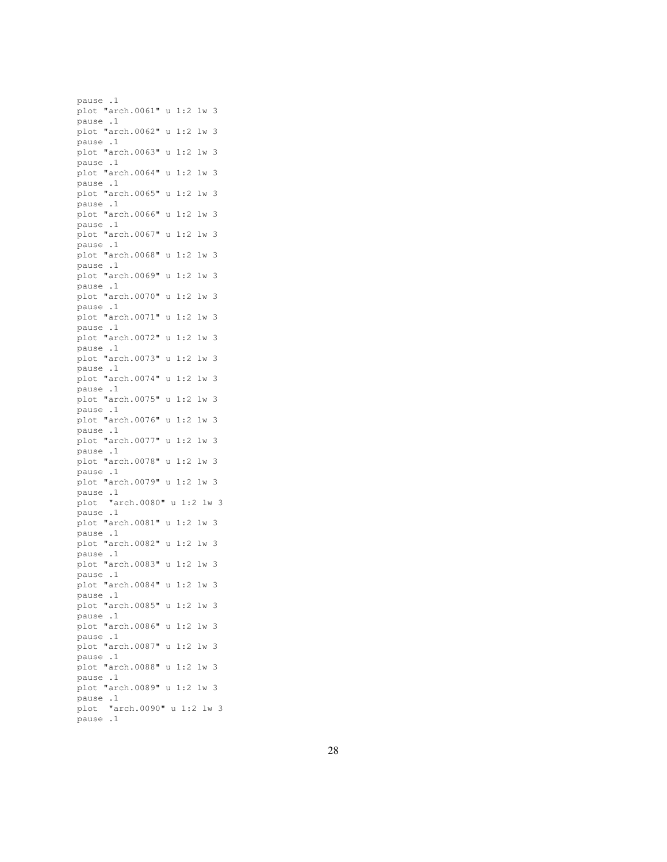pause .1 plot "arch.0061" u 1:2 lw 3 pause .1 plot "arch.0062" u 1:2 lw 3 pause .1 plot "arch.0063" u 1:2 lw 3 pause .1 plot "arch.0064" u 1:2 lw 3 pause .1 plot "arch.0065" u 1:2 lw 3 pause .1 plot "arch.0066" u 1:2 lw 3 pause .1 plot "arch.0067" u 1:2 lw 3 pause .1 plot "arch.0068" u 1:2 lw 3 pause .1 plot "arch.0069" u 1:2 lw 3 pause .1 plot "arch.0070" u 1:2 lw 3 pause .1 plot "arch.0071" u 1:2 lw 3 pause .1 plot "arch.0072" u 1:2 lw 3 pause .1 plot "arch.0073" u 1:2 lw 3 pause .1 plot "arch.0074" u 1:2 lw 3 pause .1 plot "arch.0075" u 1:2 lw 3 pause .1 plot "arch.0076" u 1:2 lw 3 pause .1 plot "arch.0077" u 1:2 lw 3 pause .1 plot "arch.0078" u 1:2 lw 3 pause .1 plot "arch.0079" u 1:2 lw 3 pause .1 plot "arch.0080" u 1:2 lw 3 pause .1 plot "arch.0081" u 1:2 lw 3 pause .1 plot "arch.0082" u 1:2 lw 3 pause .1 plot "arch.0083" u 1:2 lw 3 pause .1 plot "arch.0084" u 1:2 lw 3 pause .1 plot "arch.0085" u 1:2 lw 3 pause .1 plot "arch.0086" u 1:2 lw 3 pause .1 plot "arch.0087" u 1:2 lw 3 pause .1 plot "arch.0088" u 1:2 lw 3 pause .1 plot "arch.0089" u 1:2 lw 3 pause .1 plot "arch.0090" u 1:2 lw 3 pause .1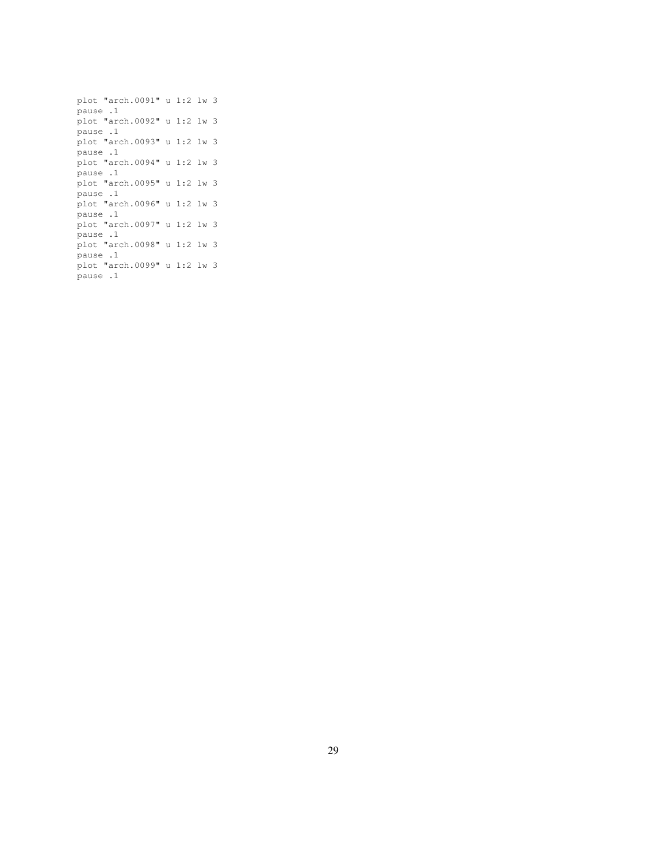```
plot "arch.0091" u 1:2 lw 3
pause .1
plot "arch.0092" u 1:2 lw 3
pause .1
plot "arch.0093" u 1:2 lw 3
pause .1
plot "arch.0094" u 1:2 lw 3
pause .1
plot "arch.0095" u 1:2 lw 3
pause .1
plot "arch.0096" u 1:2 lw 3
pause .1
plot "arch.0097" u 1:2 lw 3
pause .1
plot "arch.0098" u 1:2 lw 3
pause .1
plot "arch.0099" u 1:2 lw 3
pause .1
```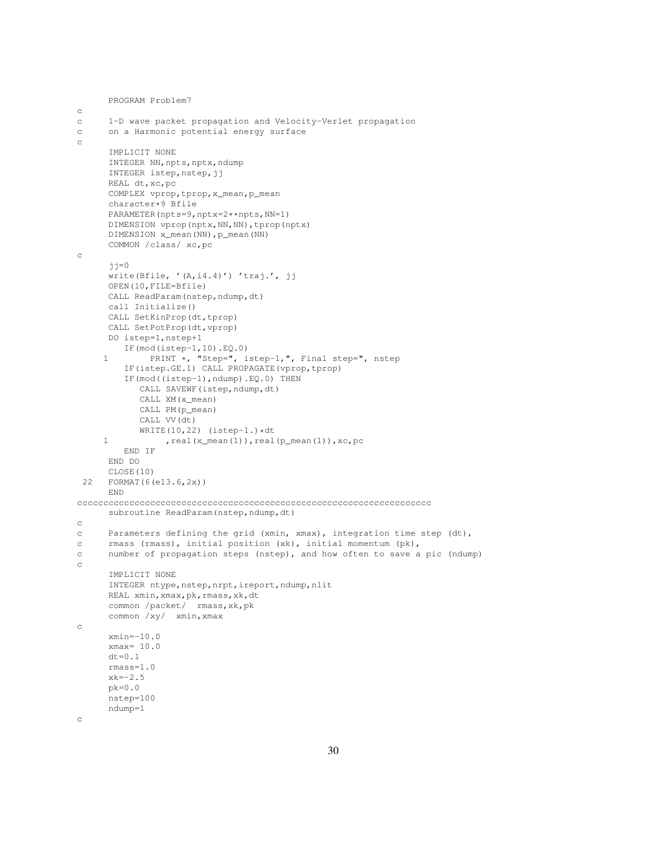```
PROGRAM Problem7
c
c 1-D wave packet propagation and Velocity-Verlet propagation
c on a Harmonic potential energy surface
c
      IMPLICIT NONE
      INTEGER NN, npts, nptx, ndump
      INTEGER istep, nstep, jj
      REAL dt,xc,pc
      COMPLEX vprop,tprop,x_mean,p_mean
      character*9 Bfile
      PARAMETER(npts=9,nptx=2**npts,NN=1)
      DIMENSION vprop(nptx,NN,NN),tprop(nptx)
      DIMENSION x_mean(NN), p_mean(NN)
      COMMON /class/ xc,pc
c
      jj=0
      write(Bfile, '(A,i4.4)') 'traj.', jj
      OPEN(10,FILE=Bfile)
      CALL ReadParam(nstep,ndump,dt)
      call Initialize()
      CALL SetKinProp(dt,tprop)
      CALL SetPotProp(dt,vprop)
      DO istep=1,nstep+1
        IF(mod(istep-1,10).EQ.0)
     1 PRINT *, "Step=", istep-1,", Final step=", nstep
         IF(istep.GE.1) CALL PROPAGATE(vprop,tprop)
         IF(mod((istep-1),ndump).EQ.0) THEN
            CALL SAVEWF(istep, ndump, dt)
            CALL XM(x_mean)
            CALL PM(p_mean)
            CALL VV(dt)
            WRITE(10, 22) (istep-1.) *dt1 , real(x_mean(1)), real(p_mean(1)), xc, pc
        END IF
      END DO
      CLOSE(10)
 22 FORMAT(6(e13.6,2x))
      END
cccccccccccccccccccccccccccccccccccccccccccccccccccccccccccccccccccc
      subroutine ReadParam(nstep, ndump, dt)
c
c Parameters defining the grid (xmin, xmax), integration time step (dt),
c rmass (rmass), initial position (xk), initial momentum (pk),
c number of propagation steps (nstep), and how often to save a pic (ndump)
c
      IMPLICIT NONE
      INTEGER ntype, nstep, nrpt, ireport, ndump, nlit
      REAL xmin, xmax, pk, rmass, xk, dt
      common /packet/ rmass,xk,pk
      common /xy/ xmin,xmax
c
      xmin=-10.0
      xmax= 10.0
      dt = 0.1rmass=1.0
      xk=-2.5pk=0.0
      nstep=100
      ndump=1
c
```

```
30
```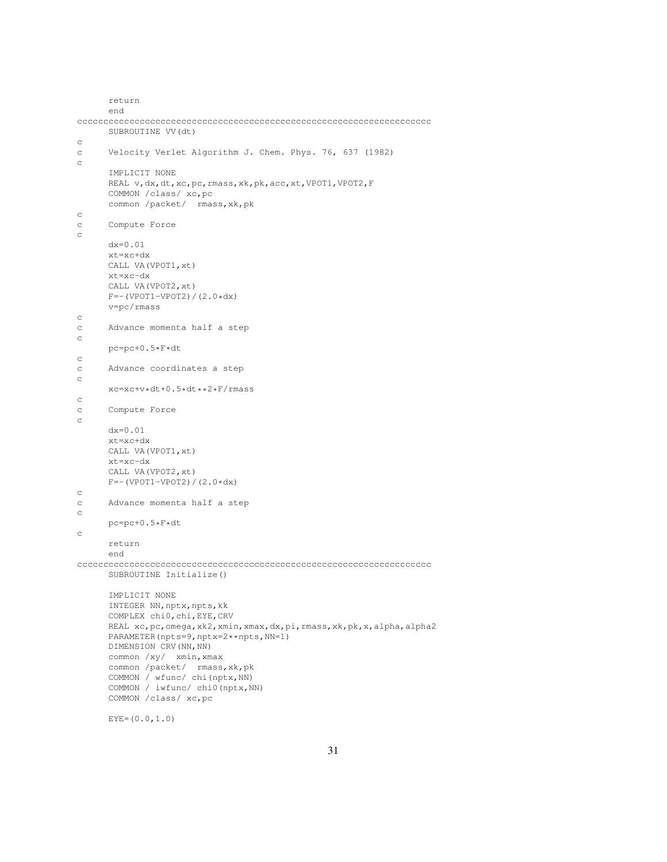```
return
      end
cccccccccccccccccccccccccccccccccccccccccccccccccccccccccccccccccccc
      SUBROUTINE VV(dt)
c
c Velocity Verlet Algorithm J. Chem. Phys. 76, 637 (1982)
c
      IMPLICIT NONE
      REAL v,dx,dt,xc,pc,rmass,xk,pk,acc,xt,VPOT1,VPOT2,F
      COMMON /class/ xc,pc
      common /packet/ rmass,xk,pk
c
c Compute Force
c
      dx=0.01
      xt=xc+dx
      CALL VA(VPOT1,xt)
      xt=xc-dx
      CALL VA(VPOT2,xt)
      F=-(VPOT1-VPOT2)/(2.0*dx)v=pc/rmass
c
c Advance momenta half a step
c
      pc=pc+0.5*F*dt
\mathtt{C}c Advance coordinates a step
c
      xc=xc+v*dt+0.5*dt**2*F/rmass
c
c Compute Force
c
      dx=0.01
      xt=xc+dx
      CALL VA(VPOT1,xt)
      xt=xc-dx
      CALL VA(VPOT2,xt)
      F=-(VPOT1-VPOT2)/(2.0*dx)c
c Advance momenta half a step
\simpc=pc+0.5*F*dt
c
      return
      end
cccccccccccccccccccccccccccccccccccccccccccccccccccccccccccccccccccc
     SUBROUTINE Initialize()
      IMPLICIT NONE
     INTEGER NN, nptx, npts, kk
      COMPLEX chi0,chi,EYE,CRV
      REAL xc,pc, omega, xk2, xmin, xmax, dx, pi, rmass, xk, pk, x, alpha, alpha2
      PARAMETER(npts=9,nptx=2**npts,NN=1)
      DIMENSION CRV (NN, NN)
      common /xy/ xmin,xmax
      common /packet/ rmass, xk, pk
      COMMON / wfunc/ chi(nptx,NN)
      COMMON / iwfunc/ chi0(nptx, NN)
      COMMON /class/ xc,pc
```
 $EYE=(0.0, 1.0)$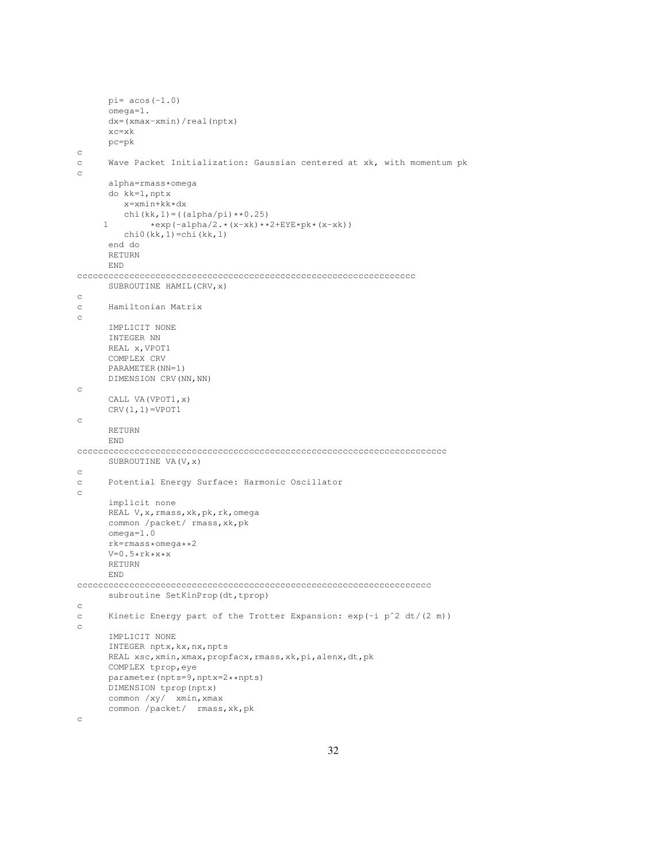```
pi= acos(-1.0)omega=1.
      dx=(xmax-xmin)/real(nptx)
      xc=xk
      pc=pk
c
c Wave Packet Initialization: Gaussian centered at xk, with momentum pk
c
      alpha=rmass*omega
      do kk=1,nptx
        x=xmin+kk*dx
         chi(kk,1) = ((\alphalpha/pi) **0.25)
     1 *exp(-alpha/2.*(x-xk)**2+EYE*pk*(x-xk))chi0(kk,1)=chi(kk,1)
      end do
      RETURN
      END
ccccccccccccccccccccccccccccccccccccccccccccccccccccccccccccccccc
      SUBROUTINE HAMIL(CRV,x)
c
c Hamiltonian Matrix
c
      IMPLICIT NONE
      INTEGER NN
      REAL x,VPOT1
      COMPLEX CRV
      PARAMETER(NN=1)
      DIMENSION CRV(NN,NN)
c
      CALL VA(VPOT1,x)
      CRV(1,1)=VPOT1c
      RETURN
      END
ccccccccccccccccccccccccccccccccccccccccccccccccccccccccccccccccccccccc
      SUBROUTINE VA(V,x)
c
c Potential Energy Surface: Harmonic Oscillator
c
      implicit none
      REAL V, x, rmass, xk, pk, rk, omega
      common /packet/ rmass,xk,pk
      omega=1.0
      rk=rmass*omega**2
      V=0.5*rk*x*xRETURN
      END
cccccccccccccccccccccccccccccccccccccccccccccccccccccccccccccccccccc
      subroutine SetKinProp(dt,tprop)
c
c Kinetic Energy part of the Trotter Expansion: exp(-i pˆ2 dt/(2 m))
c
      IMPLICIT NONE
      INTEGER nptx,kx,nx,npts
      REAL xsc, xmin, xmax, propfacx, rmass, xk, pi, alenx, dt, pk
      COMPLEX tprop,eye
      parameter(npts=9,nptx=2**npts)
      DIMENSION tprop(nptx)
      common /xy/ xmin,xmax
      common /packet/ rmass,xk,pk
```
c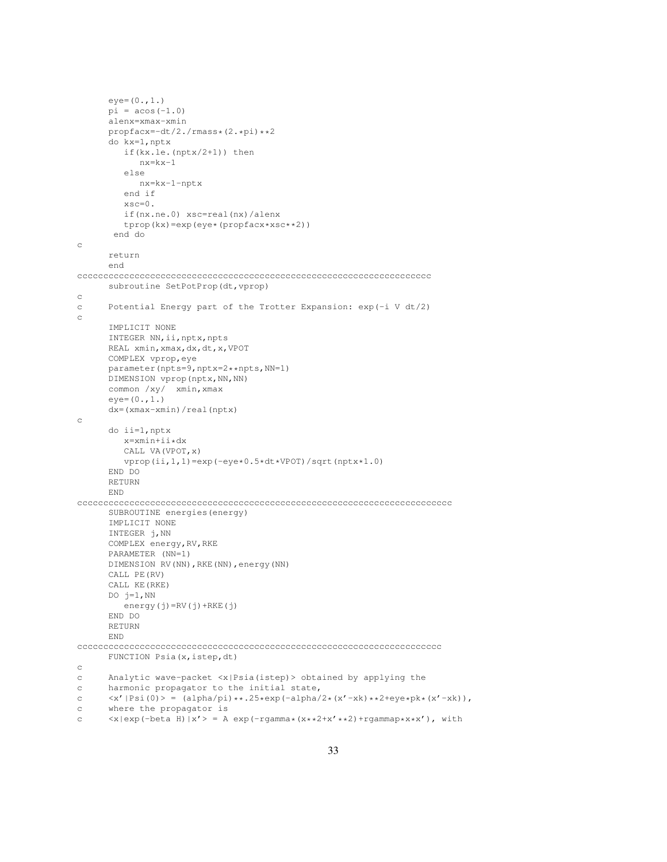```
eye=(0.,1.)pi = a cos(-1.0)alenx=xmax-xmin
      propfacx=-dt/2./rmass*(2.*pi)**2
      do kx=1,nptx
         if(kx.le.(nptx/2+1)) then
            nx=kx-1
         else
           nx=kx-1-nptx
         end if
         xsc=0.
         if(nx.ne.0) xsc=real(nx)/alenx
         tprop(kx)=exp(eye*(propfacx*xsc**2))
       end do
c
      return
      end
cccccccccccccccccccccccccccccccccccccccccccccccccccccccccccccccccccc
      subroutine SetPotProp(dt, vprop)
c
c Potential Energy part of the Trotter Expansion: exp(-i V dt/2)
c
      IMPLICIT NONE
      INTEGER NN, ii, nptx, npts
      REAL xmin,xmax,dx,dt,x,VPOT
      COMPLEX vprop,eye
      parameter(npts=9,nptx=2**npts,NN=1)
      DIMENSION vprop(nptx, NN, NN)
      common /xy/ xmin,xmax
      eye=(0.,1.)dx=(xmax-xmin)/real(nptx)
c
      do ii=1,nptx
        x=xmin+ii*dx
         CALL VA(VPOT,x)
        vprop(ii,1,1)=exp(-eye*0.5*dt*VPOT)/sqrt(nptx*1.0)
      END DO
      RETURN
      END
cccccccccccccccccccccccccccccccccccccccccccccccccccccccccccccccccccccccc
      SUBROUTINE energies(energy)
      IMPLICIT NONE
      INTEGER j,NN
      COMPLEX energy,RV,RKE
      PARAMETER (NN=1)
      DIMENSION RV(NN),RKE(NN),energy(NN)
      CALL PE(RV)
      CALL KE(RKE)
      DO i=1, NN
        energy(j)=RV(j)+RKE(j)
      END DO
      RETURN
      END
cccccccccccccccccccccccccccccccccccccccccccccccccccccccccccccccccccccc
      FUNCTION Psia(x, istep, dt)
c
c Analytic wave-packet <x|Psia(istep)> obtained by applying the
c harmonic propagator to the initial state,
c \langle x' | Psi(0)\rangle = (alpha/pi)**.25*exp(-alpha/2*(x'-xk)*2+eye*pk*(x'-xk)),c where the propagator is
```

```
c \langle x|e^{i\theta}\rangle (-beta H) |x'>| = A e^{i\theta} (-rgamma*(x**2+x'**2)+rgammap*x*x'), with
```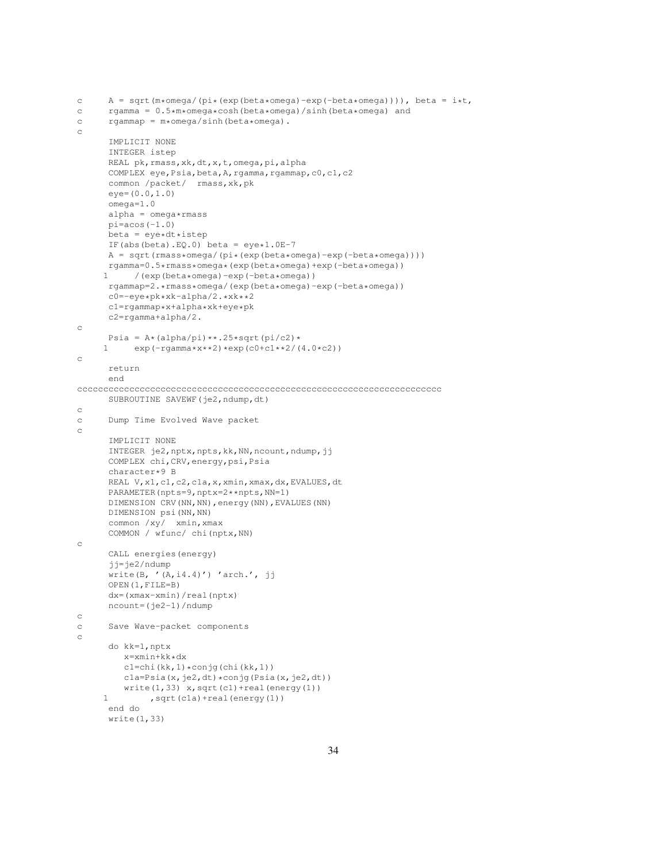```
c A = sqrt(m*omega/(pi*(exp(beta*omega)-exp(-beta*omega)))), beta = i*t,
c rgamma = 0.5*m*omega*cosh(beta*omega)/sinh(beta*omega) and
c rgammap = m*omega/sinh(beta*omega).
c
     IMPLICIT NONE
     INTEGER istep
     REAL pk, rmass, xk, dt, x, t, omega, pi, alpha
      COMPLEX eye, Psia, beta, A, rgamma, rgammap, c0, c1, c2
      common /packet/ rmass,xk,pk
      eye=(0.0,1.0)
      omega=1.0
      alpha = omega*rmasspi = a \cos(-1.0)beta = eye*dt*istepIF(abs(beta).EQ.0) beta = eve*1.0E-7
     A = sqrt(rmass*omega/(pi*(exp(beta*omega)-exp(-beta*omega))))
     rgamma=0.5*rmass*omega*(exp(beta*omega)+exp(-beta*omega))
           1 /(exp(beta*omega)-exp(-beta*omega))
     rgammap=2.*rmass*omega/(exp(beta*omega)-exp(-beta*omega))
      c0=-eye*pk*xk-alpha/2.*xk**2
      c1=rgammap*x+alpha*xk+eye*pk
     c2=rgamma+alpha/2.
c
     Psia = A*(\text{alpha}/\text{pi})**.25*sqrt(\text{pi}/c2)*1 \exp(-\text{rgamma} * x * x^2) * \exp(c0+c1**2/(4.0*c2))c
      return
      end
cccccccccccccccccccccccccccccccccccccccccccccccccccccccccccccccccccccc
     SUBROUTINE SAVEWF(je2,ndump,dt)
c
c Dump Time Evolved Wave packet
c
     IMPLICIT NONE
     INTEGER je2,nptx,npts,kk,NN,ncount,ndump,jj
     COMPLEX chi,CRV,energy,psi,Psia
      character*9 B
      REAL V,x1,c1,c2,c1a,x,xmin,xmax,dx,EVALUES,dt
     PARAMETER(npts=9,nptx=2**npts,NN=1)
      DIMENSION CRV(NN,NN),energy(NN),EVALUES(NN)
     DIMENSION psi(NN,NN)
     common /xy/ xmin,xmax
     COMMON / wfunc/ chi(nptx,NN)
c
     CALL energies(energy)
      jj=je2/ndump
      write(B, '(A,i4.4)') 'arch.', jj
     OPEN(1,FILE=B)
     dx=(xmax-xmin)/real(nptx)
     ncount=(je2-1)/ndump
c
c Save Wave-packet components
c
     do kk=1,nptx
         x=xmin+kk*dx
         c1=chi(kk,1)*conjg(chi(kk,1))
         cla=Psia(x,je2,dt)*conjg(Psia(x,je2,dt))
         write(1,33) x, sqrt(c1) + real(energy(1))1 , sqrt(cla) + real(energy(1))
      end do
      write(1,33)
```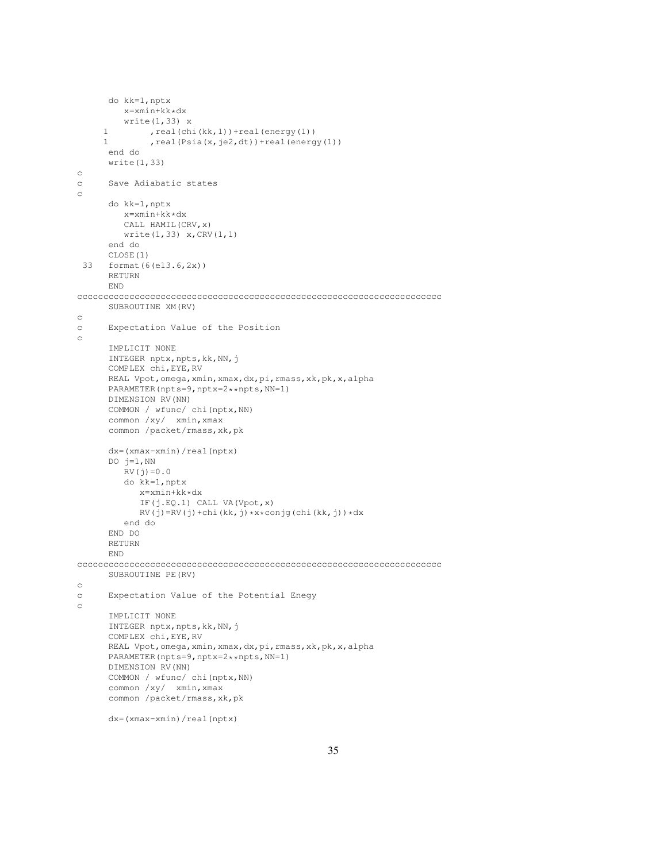```
do kk=1,nptx
         x=xmin+kk*dx
         write(1,33) x
     1 , real(chi(kk,1)) + real(energy(1))
     1 , real(Psia(x,je2,dt))+real(energy(1))
      end do
      write(1,33)
c
c Save Adiabatic states
c
      do kk=1,nptx
        x=xmin+kk*dx
         CALL HAMIL(CRV,x)
        write(1,33) x,CRV(1,1)
      end do
      CLOSE(1)
 33 format(6(e13.6,2x))
      RETURN
      END
cccccccccccccccccccccccccccccccccccccccccccccccccccccccccccccccccccccc
      SUBROUTINE XM(RV)
c
c Expectation Value of the Position
c
      IMPLICIT NONE
      INTEGER nptx, npts, kk, NN, j
      COMPLEX chi,EYE,RV
      REAL Vpot,omega,xmin,xmax,dx,pi,rmass,xk,pk,x,alpha
      PARAMETER(npts=9,nptx=2**npts,NN=1)
      DIMENSION RV(NN)
      COMMON / wfunc/ chi(nptx,NN)
      common /xy/ xmin,xmax
      common /packet/rmass,xk,pk
      dx=(xmax-xmin)/real(nptx)
      DO j=1, NN
         RV(j) = 0.0do kk=1,nptx
           x=xmin+kk*dx
            IF(j.EQ.1) CALL VA(Vpot,x)
            RV(j)=RV(j)+chi(kk,j)*x*conj(chi(kk,j))*dxend do
      END DO
      RETURN
      END
cccccccccccccccccccccccccccccccccccccccccccccccccccccccccccccccccccccc
      SUBROUTINE PE(RV)
c
c Expectation Value of the Potential Enegy
\mathtt{C}IMPLICIT NONE
      INTEGER nptx, npts, kk, NN, j
      COMPLEX chi,EYE,RV
      REAL Vpot,omega,xmin,xmax,dx,pi,rmass,xk,pk,x,alpha
      PARAMETER(npts=9,nptx=2**npts,NN=1)
      DIMENSION RV(NN)
      COMMON / wfunc/ chi(nptx,NN)
      common /xy/ xmin, xmax
      common /packet/rmass,xk,pk
```

```
dx=(xmax-xmin)/real(nptx)
```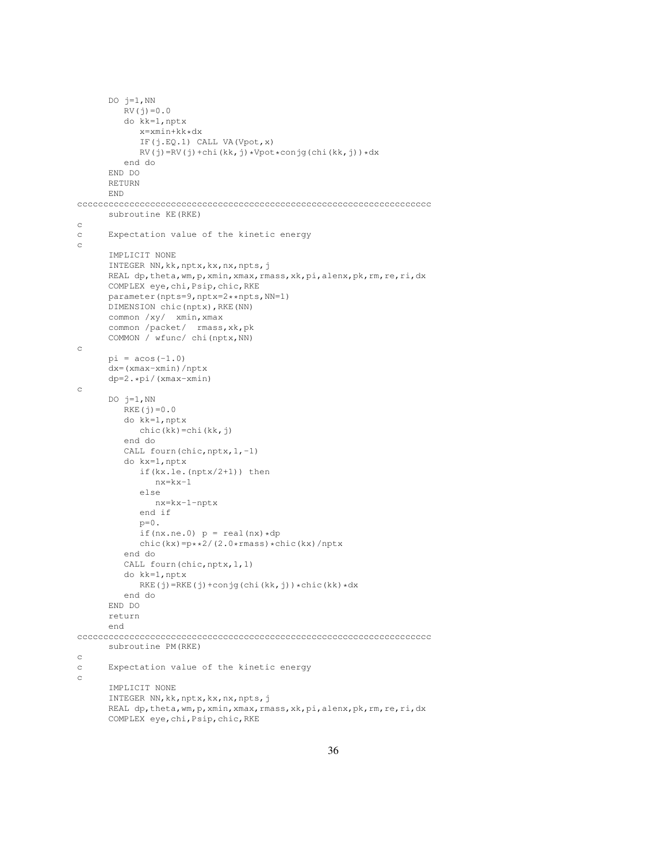```
DO j=1, NN
         RV(j) = 0.0do kk=1,nptx
            x=xmin+kk*dx
            IF(j.EQ.1) CALL VA(Vpot,x)
            RV(j)=RV(j)+chi(kk,j)*Vpot*conj(chi(kk,j))*dxend do
      END DO
      RETURN
      END
cccccccccccccccccccccccccccccccccccccccccccccccccccccccccccccccccccc
      subroutine KE(RKE)
c
c Expectation value of the kinetic energy
c
      IMPLICIT NONE
      INTEGER NN,kk,nptx,kx,nx,npts,j
      REAL dp, theta, wm, p, xmin, xmax, rmass, xk, pi, alenx, pk, rm, re, ri, dx
      COMPLEX eye,chi,Psip,chic,RKE
      parameter(npts=9,nptx=2**npts,NN=1)
      DIMENSION chic(nptx),RKE(NN)
      common /xy/ xmin,xmax
      common /packet/ rmass,xk,pk
      COMMON / wfunc/ chi(nptx,NN)
c
      pi = a cos(-1.0)dx=(xmax-xmin)/nptx
      dp=2.*pi/(xmax-xmin)
c
      DO j=1, NN
         RKE(j)=0.0do kk=1,nptx
            chic(kk)=chi(kk,j)
         end do
         CALL fourn(chic, nptx, 1,-1)
         do kx=1,nptx
            if(kx.le.(nptx/2+1)) then
               nx=kx-1
            else
               nx=kx-1-nptx
            end if
            p=0.
            if(nx.ne.0) p = real(nx) * dpchic(kx)=p**2/(2.0*rmass)*chic(kx)/nptx
         end do
         CALL fourn(chic, nptx, 1, 1)
         do kk=1,nptx
            RKE(j)=RKE(j)+conjg(chi(kk,j))*chic(kk)*dx
         end do
      END DO
      return
      end
cccccccccccccccccccccccccccccccccccccccccccccccccccccccccccccccccccc
      subroutine PM(RKE)
c
c Expectation value of the kinetic energy
c
      IMPLICIT NONE
      INTEGER NN,kk,nptx,kx,nx,npts,j
      REAL dp, theta, wm, p, xmin, xmax, rmass, xk, pi, alenx, pk, rm, re, ri, dx
      COMPLEX eye,chi,Psip,chic,RKE
```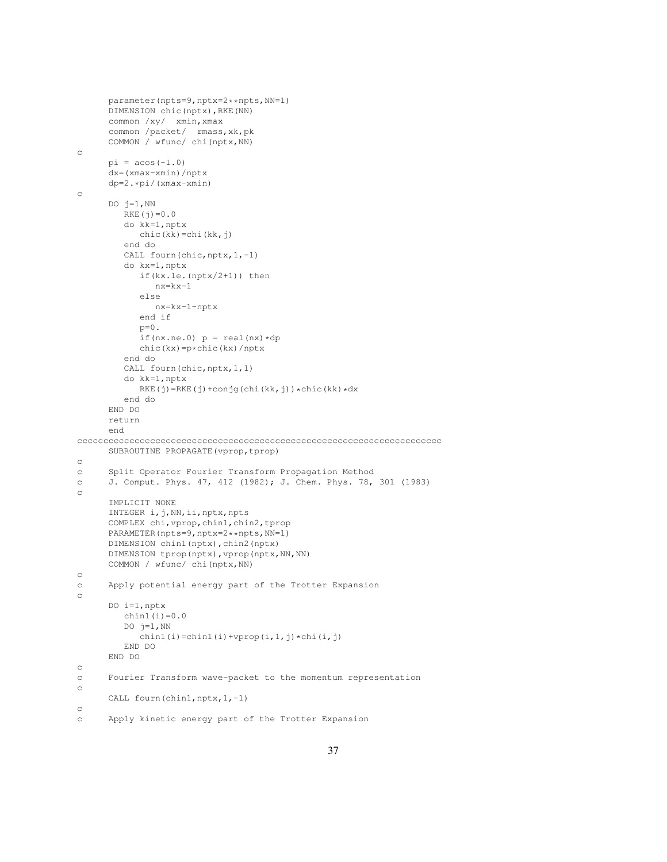```
parameter(npts=9,nptx=2**npts,NN=1)
      DIMENSION chic(nptx),RKE(NN)
      common /xy/ xmin, xmax
      common /packet/ rmass,xk,pk
      COMMON / wfunc/ chi(nptx,NN)
c
      pi = a cos(-1.0)dx=(xmax-xmin)/nptx
      dp=2.*pi/(xmax-xmin)
c
      DO j=1, NN
         RKE(j)=0.0do kk=1,nptx
           chic(kk)=chi(kk,j)
         end do
         CALL fourn(chic, nptx, 1,-1)
         do kx=1,nptx
            if(kx.le.(nptx/2+1)) then
              nx=kx-1
            else
               nx=kx-1-nptx
            end if
            p=0.
            if(nx.ne.0) p = real(nx) * dpchic(kx)=p*chic(kx)/nptx
         end do
         CALL fourn(chic, nptx, 1, 1)
         do kk=1,nptx
           RKE(j)=RKE(j)+conjg(chi(kk,j))*chic(kk)*dx
         end do
      END DO
      return
      end
cccccccccccccccccccccccccccccccccccccccccccccccccccccccccccccccccccccc
      SUBROUTINE PROPAGATE(vprop,tprop)
\simc Split Operator Fourier Transform Propagation Method
c J. Comput. Phys. 47, 412 (1982); J. Chem. Phys. 78, 301 (1983)
c
      IMPLICIT NONE
      INTEGER i,j,NN,ii,nptx,npts
      COMPLEX chi,vprop,chin1,chin2,tprop
      PARAMETER(npts=9,nptx=2**npts,NN=1)
      DIMENSION chin1(nptx),chin2(nptx)
      DIMENSION tprop(nptx), vprop(nptx, NN, NN)
      COMMON / wfunc/ chi(nptx,NN)
c
c Apply potential energy part of the Trotter Expansion
c
      DO i=1,nptx
         chin1(i)=0.0DO j=1, NN
           chin1(i)=chin1(i)+vprop(i,1,j)*chi(i,j)
         END DO
      END DO
c
c Fourier Transform wave-packet to the momentum representation
c
      CALL fourn(chin1,nptx, 1,-1)
c
c Apply kinetic energy part of the Trotter Expansion
```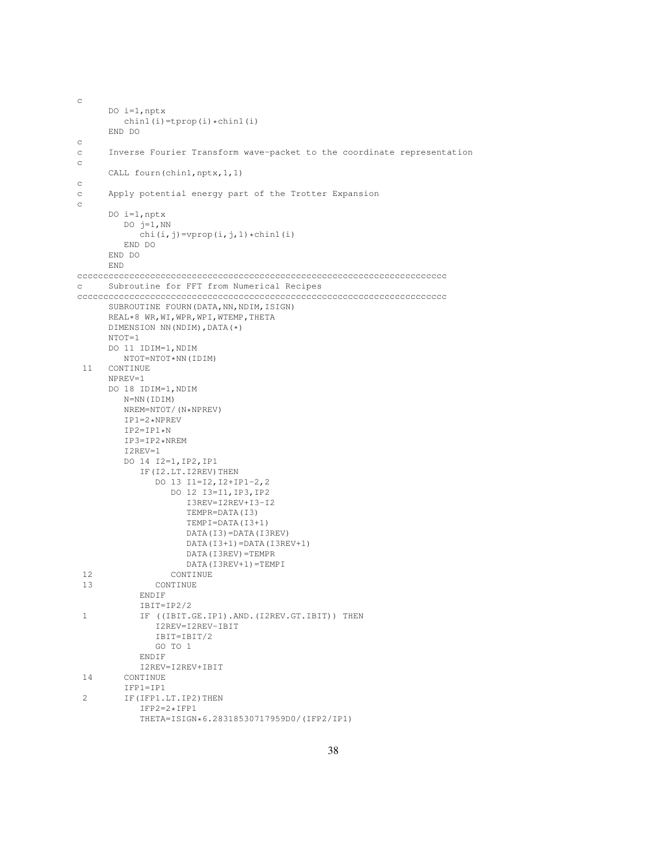```
c
     DO i=1,nptx
        chin1(i)=tprop(i)*chin1(i)END DO
c
c Inverse Fourier Transform wave-packet to the coordinate representation
c
     CALL fourn(chin1,nptx,1,1)
c
c Apply potential energy part of the Trotter Expansion
c
     DO i=1,nptx
        DO j=1, NN
           chi(i,j)=vprop(i,j,1)*chin1(i)
        END DO
     END DO
     END
ccccccccccccccccccccccccccccccccccccccccccccccccccccccccccccccccccccccc
c Subroutine for FFT from Numerical Recipes
ccccccccccccccccccccccccccccccccccccccccccccccccccccccccccccccccccccccc
     SUBROUTINE FOURN (DATA, NN, NDIM, ISIGN)
     REAL*8 WR,WI,WPR,WPI,WTEMP,THETA
     DIMENSION NN(NDIM),DATA(*)
     NTOT=1DO 11 IDIM=1,NDIM
        NTOT=NTOT*NN(IDIM)
 11 CONTINUE
     NPREV=1
     DO 18 IDIM=1,NDIM
        N=NN(IDIM)
        NREM=NTOT/(N*NPREV)
        IP1=2*NPREV
        IP2=IP1*N
        IP3=IP2*NREM
        I2REV=1
        DO 14 I2=1,IP2,IP1
           IF(I2.LT.I2REV)THEN
              DO 13 I1=I2,I2+IP1-2,2
                 DO 12 I3=I1,IP3,IP2
                    I3REV=I2REV+I3-I2
                    TEMPR=DATA(I3)
                    TEMPI=DATA(I3+1)
                    DATA(I3)=DATA(I3REV)
                    DATA(I3+1)=DATA(I3REV+1)
                    DATA(I3REV)=TEMPR
                    DATA(I3REV+1)=TEMPI
 12 CONTINUE
 13 CONTINUE
           ENDIF
           IBIT=IP2/2
 1 IF ((IBIT.GE.IP1).AND.(I2REV.GT.IBIT)) THEN
              I2REV=I2REV-IBIT
              IBIT=IBIT/2
              GO TO 1
           ENDIF
           I2REV=I2REV+IBIT
 14 CONTINUE
        IFP1=IP1
 2 IF(IFP1.LT.IP2)THEN
           IFP2=2*IFP1
           THETA=ISIGN*6.28318530717959D0/(IFP2/IP1)
```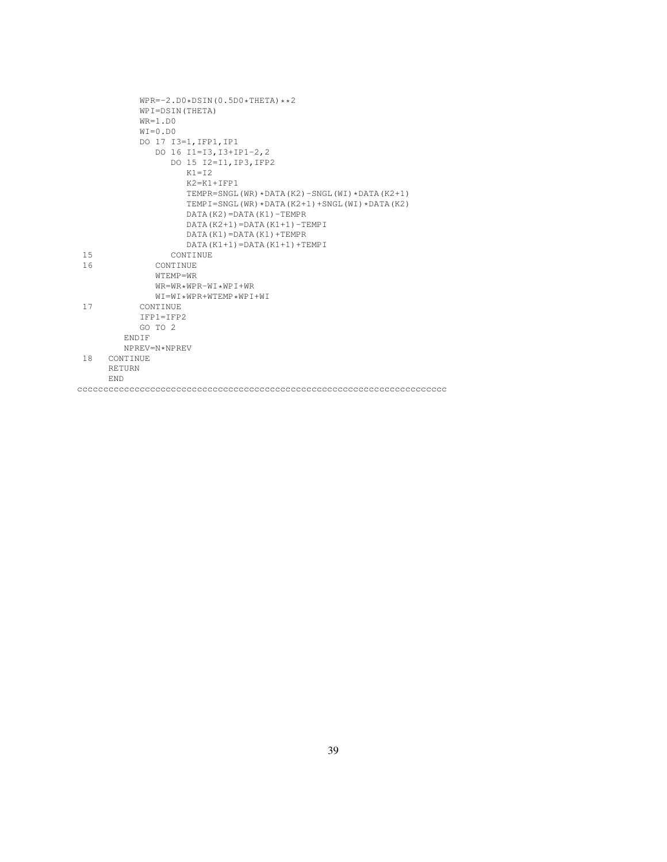|     | $WPR=-2. D0 * DSIM(0.5D0 * THETA) * *2$                       |
|-----|---------------------------------------------------------------|
|     | WPI=DSIN(THETA)                                               |
|     | $WR=1.$ DO                                                    |
|     | $WI = 0.DD0$                                                  |
|     | DO 17 I3=1, IFP1, IP1                                         |
|     | DO 16 I1=I3, I3+IP1-2, 2                                      |
|     | DO 15 I2=I1, IP3, IFP2                                        |
|     | $K1 = T2$                                                     |
|     | $K2=K1+TFP1$                                                  |
|     | TEMPR=SNGL(WR) $\star$ DATA(K2) – SNGL(WI) $\star$ DATA(K2+1) |
|     | TEMPI=SNGL(WR) *DATA(K2+1) +SNGL(WI) *DATA(K2)                |
|     | DATA (K2) = DATA (K1) - TEMPR                                 |
|     | $DATA(K2+1) = DATA(K1+1) - TEMPI$                             |
|     | $DATA(K1) = DATA(K1) + TEMPR$                                 |
|     | $DATA(K1+1) = DATA(K1+1) + TEMPI$                             |
| 1.5 | <b>CONTINUE</b>                                               |
| 16  | <b>CONTINUE</b>                                               |
|     | $WTFMP = WR$                                                  |
|     | $WR = WR * WPR - WT * WPT + WR$                               |
|     | $WT = WT * WPR + WTFMP * WPT + WT$                            |
| 17  | CONTINUE                                                      |
|     | $TFP1 = TFP2$                                                 |
|     | GO TO 2                                                       |
|     | <b>ENDIF</b>                                                  |
|     | NPREV=N*NPREV                                                 |
| 18  | CONTINUE                                                      |
|     | <b>RETURN</b>                                                 |
|     | <b>END</b>                                                    |
|     |                                                               |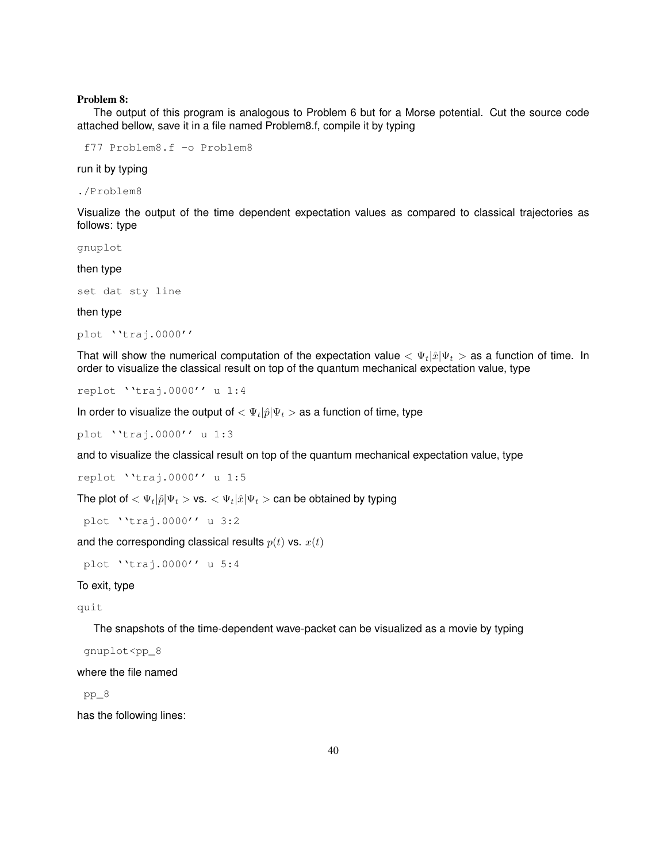### Problem 8:

The output of this program is analogous to Problem 6 but for a Morse potential. Cut the source code attached bellow, save it in a file named Problem8.f, compile it by typing

f77 Problem8.f -o Problem8

run it by typing

./Problem8

Visualize the output of the time dependent expectation values as compared to classical trajectories as follows: type

gnuplot

then type

set dat sty line

then type

```
plot ''traj.0000''
```
That will show the numerical computation of the expectation value  $\langle \Psi_t | \hat{x} | \Psi_t \rangle$  as a function of time. In order to visualize the classical result on top of the quantum mechanical expectation value, type

```
replot ''traj.0000'' u 1:4
```
In order to visualize the output of  $<\Psi_t|\hat{p}|\Psi_t>$  as a function of time, type

plot ''traj.0000'' u 1:3

and to visualize the classical result on top of the quantum mechanical expectation value, type

replot ''traj.0000'' u 1:5

The plot of  $<\Psi_t|\hat{p}|\Psi_t>$  vs.  $<\Psi_t|\hat{x}|\Psi_t>$  can be obtained by typing

plot ''traj.0000'' u 3:2

and the corresponding classical results  $p(t)$  vs.  $x(t)$ 

plot ''traj.0000'' u 5:4

## To exit, type

quit

The snapshots of the time-dependent wave-packet can be visualized as a movie by typing

gnuplot<pp\_8

where the file named

pp\_8

has the following lines: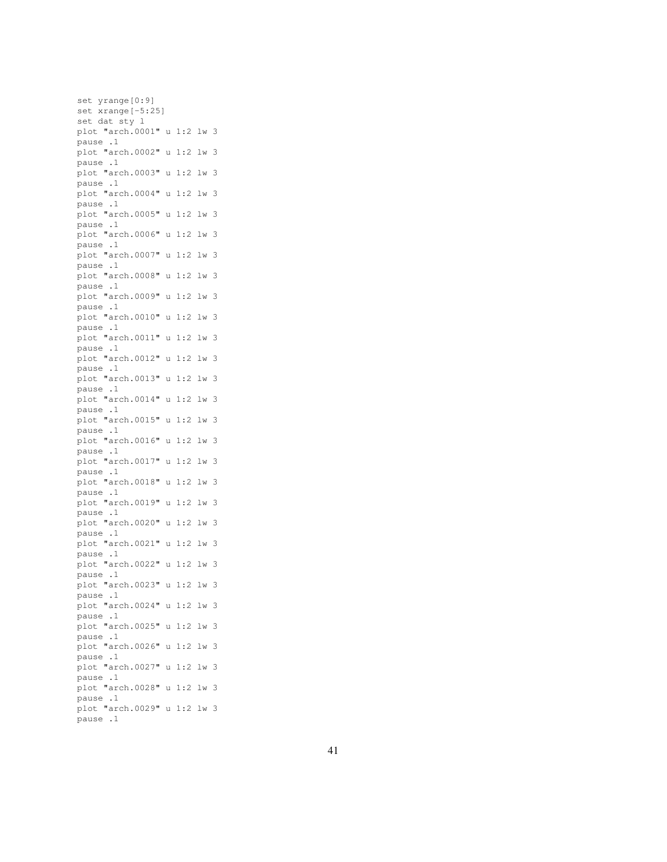set yrange[0:9] set xrange[-5:25] set dat sty l plot "arch.0001" u 1:2 lw 3 pause .1 plot "arch.0002" u 1:2 lw 3 pause .1 plot "arch.0003" u 1:2 lw 3 pause .1 plot "arch.0004" u 1:2 lw 3 pause .1 plot "arch.0005" u 1:2 lw 3 pause .1 plot "arch.0006" u 1:2 lw 3 pause .1 plot "arch.0007" u 1:2 lw 3 pause .1 plot "arch.0008" u 1:2 lw 3 pause .1 plot "arch.0009" u 1:2 lw 3 pause .1 plot "arch.0010" u 1:2 lw 3 pause .1 plot "arch.0011" u 1:2 lw 3 pause .1 plot "arch.0012" u 1:2 lw 3 pause .1 plot "arch.0013" u 1:2 lw 3 pause .1 plot "arch.0014" u 1:2 lw 3 pause .1 plot "arch.0015" u 1:2 lw 3 pause .1 plot "arch.0016" u 1:2 lw 3 pause .1 plot "arch.0017" u 1:2 lw 3 pause .1 plot "arch.0018" u 1:2 lw 3 pause .1 plot "arch.0019" u 1:2 lw 3 pause .1 plot "arch.0020" u 1:2 lw 3 pause .1 plot "arch.0021" u 1:2 lw 3 pause .1 plot "arch.0022" u 1:2 lw 3 pause .1 plot "arch.0023" u 1:2 lw 3 pause .1 plot "arch.0024" u 1:2 lw 3 pause .1 plot "arch.0025" u 1:2 lw 3 pause .1 plot "arch.0026" u 1:2 lw 3 pause .1 plot "arch.0027" u 1:2 lw 3 pause .1 plot "arch.0028" u 1:2 lw 3 pause .1 plot "arch.0029" u 1:2 lw 3 pause .1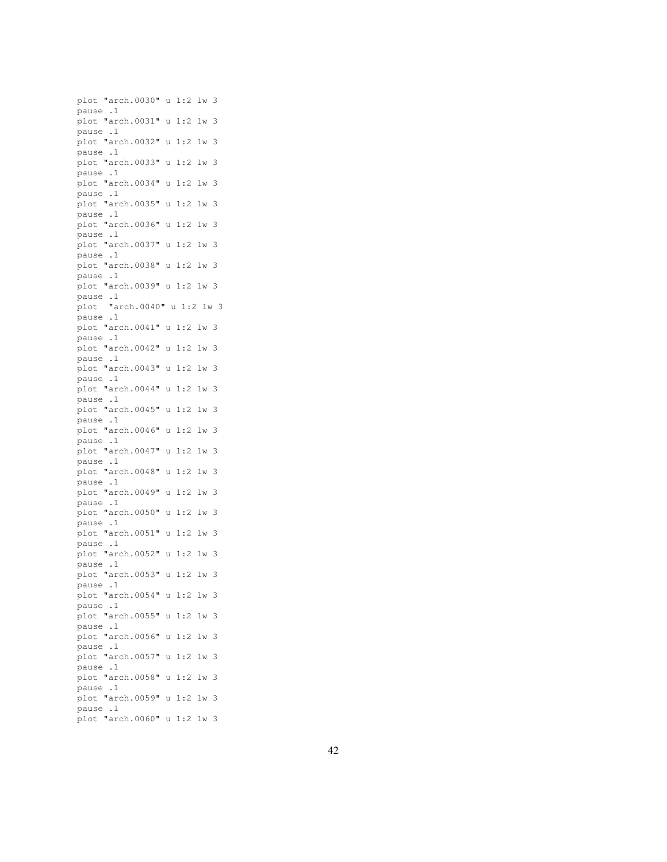plot "arch.0030" u 1:2 lw 3 pause .1 plot "arch.0031" u 1:2 lw 3 pause .1 plot "arch.0032" u 1:2 lw 3 pause .1 plot "arch.0033" u 1:2 lw 3 pause .1 plot "arch.0034" u 1:2 lw 3 pause .1 plot "arch.0035" u 1:2 lw 3 pause .1 plot "arch.0036" u 1:2 lw 3 pause .1 plot "arch.0037" u 1:2 lw 3 pause .1 plot "arch.0038" u 1:2 lw 3 pause .1 plot "arch.0039" u 1:2 lw 3 pause .1 plot "arch.0040" u 1:2 lw 3 pause .1 plot "arch.0041" u 1:2 lw 3 pause .1 plot "arch.0042" u 1:2 lw 3 pause .1 plot "arch.0043" u 1:2 lw 3 pause .1 plot "arch.0044" u 1:2 lw 3 pause .1 plot "arch.0045" u 1:2 lw 3 pause .1 plot "arch.0046" u 1:2 lw 3 pause .1 plot "arch.0047" u 1:2 lw 3 pause .1 plot "arch.0048" u 1:2 lw 3 pause .1 plot "arch.0049" u 1:2 lw 3 pause .1 plot "arch.0050" u 1:2 lw 3 pause .1 plot "arch.0051" u 1:2 lw 3 pause .1 plot "arch.0052" u 1:2 lw 3 pause .1 plot "arch.0053" u 1:2 lw 3 pause .1 plot "arch.0054" u 1:2 lw 3 pause .1 plot "arch.0055" u 1:2 lw 3 pause .1 plot "arch.0056" u 1:2 lw 3 pause .1 plot "arch.0057" u 1:2 lw 3 pause .1 plot "arch.0058" u 1:2 lw 3 pause .1 plot "arch.0059" u 1:2 lw 3 pause .1 plot "arch.0060" u 1:2 lw 3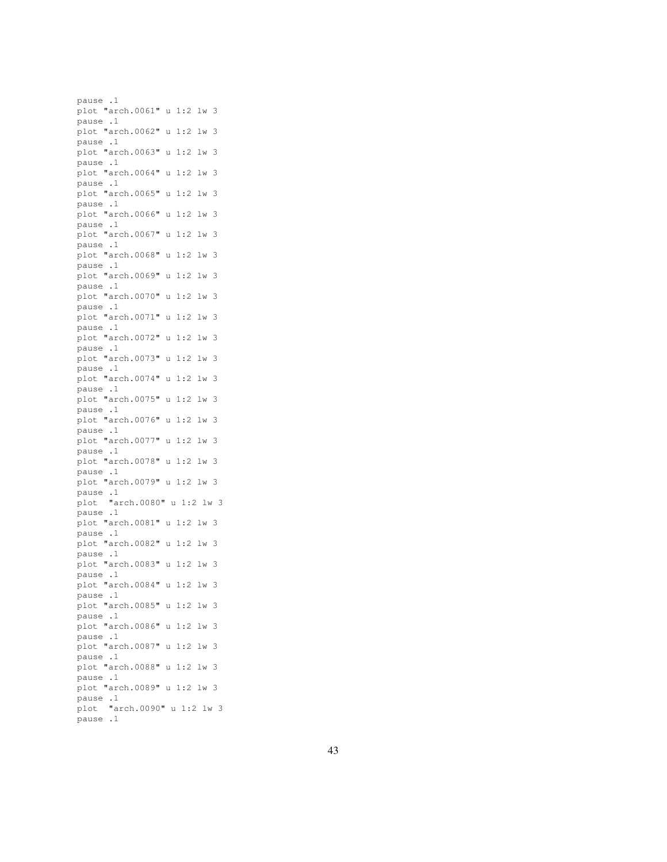pause .1 plot "arch.0061" u 1:2 lw 3 pause .1 plot "arch.0062" u 1:2 lw 3 pause .1 plot "arch.0063" u 1:2 lw 3 pause .1 plot "arch.0064" u 1:2 lw 3 pause .1 plot "arch.0065" u 1:2 lw 3 pause .1 plot "arch.0066" u 1:2 lw 3 pause .1 plot "arch.0067" u 1:2 lw 3 pause .1 plot "arch.0068" u 1:2 lw 3 pause .1 plot "arch.0069" u 1:2 lw 3 pause .1 plot "arch.0070" u 1:2 lw 3 pause .1 plot "arch.0071" u 1:2 lw 3 pause .1 plot "arch.0072" u 1:2 lw 3 pause .1 plot "arch.0073" u 1:2 lw 3 pause .1 plot "arch.0074" u 1:2 lw 3 pause .1 plot "arch.0075" u 1:2 lw 3 pause .1 plot "arch.0076" u 1:2 lw 3 pause .1 plot "arch.0077" u 1:2 lw 3 pause .1 plot "arch.0078" u 1:2 lw 3 pause .1 plot "arch.0079" u 1:2 lw 3 pause .1 plot "arch.0080" u 1:2 lw 3 pause .1 plot "arch.0081" u 1:2 lw 3 pause .1 plot "arch.0082" u 1:2 lw 3 pause .1 plot "arch.0083" u 1:2 lw 3 pause .1 plot "arch.0084" u 1:2 lw 3 pause .1 plot "arch.0085" u 1:2 lw 3 pause .1 plot "arch.0086" u 1:2 lw 3 pause .1 plot "arch.0087" u 1:2 lw 3 pause .1 plot "arch.0088" u 1:2 lw 3 pause .1 plot "arch.0089" u 1:2 lw 3 pause .1 plot "arch.0090" u 1:2 lw 3 pause .1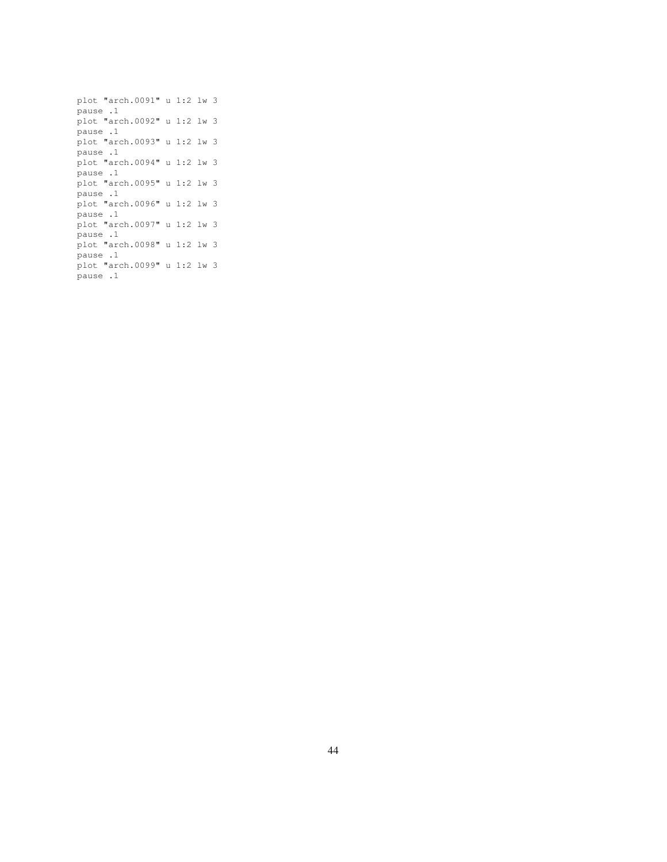```
plot "arch.0091" u 1:2 lw 3
pause .1
plot "arch.0092" u 1:2 lw 3
pause .1
plot "arch.0093" u 1:2 lw 3
pause .1
plot "arch.0094" u 1:2 lw 3
pause .1
plot "arch.0095" u 1:2 lw 3
pause .1
plot "arch.0096" u 1:2 lw 3
pause .1
plot "arch.0097" u 1:2 lw 3
pause .1
plot "arch.0098" u 1:2 lw 3
pause .1
plot "arch.0099" u 1:2 lw 3
pause .1
```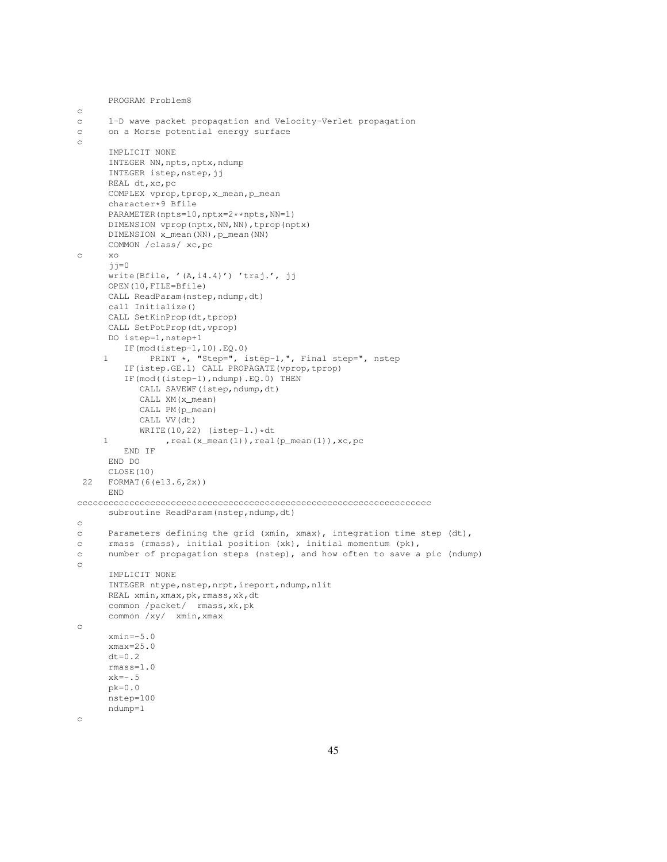```
PROGRAM Problem8
c
c 1-D wave packet propagation and Velocity-Verlet propagation
c on a Morse potential energy surface
c
     IMPLICIT NONE
     INTEGER NN, npts, nptx, ndump
      INTEGER istep, nstep, jj
      REAL dt,xc,pc
     COMPLEX vprop,tprop,x_mean,p_mean
      character*9 Bfile
     PARAMETER(npts=10,nptx=2**npts,NN=1)
     DIMENSION vprop(nptx,NN,NN),tprop(nptx)
     DIMENSION x_mean(NN), p_mean(NN)
     COMMON /class/ xc,pc
c xo
     jj=0
      write(Bfile, '(A,i4.4)') 'traj.', jj
     OPEN(10,FILE=Bfile)
     CALL ReadParam(nstep,ndump,dt)
     call Initialize()
     CALL SetKinProp(dt,tprop)
     CALL SetPotProp(dt,vprop)
     DO istep=1,nstep+1
        IF(mod(istep-1,10).EQ.0)
     1 PRINT *, "Step=", istep-1,", Final step=", nstep
         IF(istep.GE.1) CALL PROPAGATE(vprop,tprop)
         IF(mod((istep-1),ndump).EQ.0) THEN
           CALL SAVEWF(istep, ndump, dt)
           CALL XM(x_mean)
           CALL PM(p_mean)
            CALL VV(dt)
           WRITE(10, 22) (istep-1.) *dt1 , real(x_mean(1)), real(p_mean(1)), xc, pc
        END IF
     END DO
     CLOSE(10)
 22 FORMAT(6(e13.6,2x))
     END
cccccccccccccccccccccccccccccccccccccccccccccccccccccccccccccccccccc
     subroutine ReadParam(nstep, ndump, dt)
c
c Parameters defining the grid (xmin, xmax), integration time step (dt),
c rmass (rmass), initial position (xk), initial momentum (pk),
c number of propagation steps (nstep), and how often to save a pic (ndump)
c
      IMPLICIT NONE
      INTEGER ntype, nstep, nrpt, ireport, ndump, nlit
     REAL xmin, xmax, pk, rmass, xk, dt
      common /packet/ rmass,xk,pk
     common /xy/ xmin,xmax
c
     xmin=-5.0
     xmax=25.0
     dt = 0.2rmass=1.0
     xk=-.5
     pk=0.0
     nstep=100
     ndump=1
c
```
45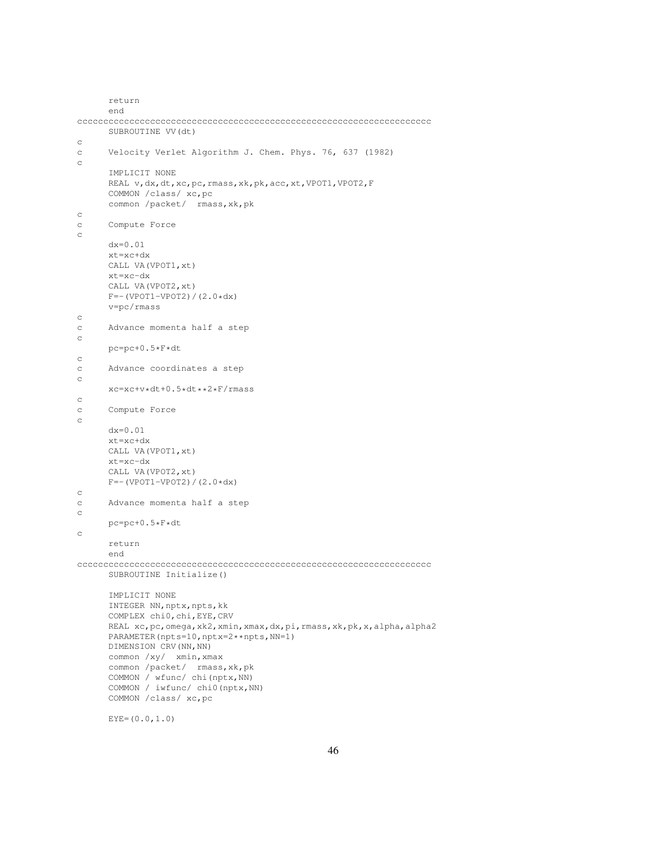```
return
      end
cccccccccccccccccccccccccccccccccccccccccccccccccccccccccccccccccccc
      SUBROUTINE VV(dt)
c
c Velocity Verlet Algorithm J. Chem. Phys. 76, 637 (1982)
c
      IMPLICIT NONE
      REAL v,dx,dt,xc,pc,rmass,xk,pk,acc,xt,VPOT1,VPOT2,F
      COMMON /class/ xc,pc
      common /packet/ rmass,xk,pk
c
c Compute Force
c
      dx=0.01
      xt=xc+dx
      CALL VA(VPOT1,xt)
      xt=xc-dx
      CALL VA(VPOT2,xt)
      F=-(VPOT1-VPOT2)/(2.0*dx)v=pc/rmass
c
c Advance momenta half a step
c
     pc=pc+0.5*F*dt
\mathtt{C}c Advance coordinates a step
c
      xc=xc+v*dt+0.5*dt**2*F/rmass
c
c Compute Force
c
      dx=0.01
      xt=xc+dx
      CALL VA(VPOT1,xt)
      xt=xc-dx
      CALL VA(VPOT2,xt)
      F=-(VPOT1-VPOT2)/(2.0*dx)c
c Advance momenta half a step
\simpc=pc+0.5*F*dt
c
      return
      end
cccccccccccccccccccccccccccccccccccccccccccccccccccccccccccccccccccc
     SUBROUTINE Initialize()
      IMPLICIT NONE
     INTEGER NN, nptx, npts, kk
      COMPLEX chi0,chi,EYE,CRV
      REAL xc,pc, omega, xk2, xmin, xmax, dx, pi, rmass, xk, pk, x, alpha, alpha2
      PARAMETER(npts=10,nptx=2**npts,NN=1)
      DIMENSION CRV (NN, NN)
      common /xy/ xmin,xmax
      common /packet/ rmass, xk, pk
      COMMON / wfunc/ chi(nptx,NN)
      COMMON / iwfunc/ chi0(nptx,NN)
      COMMON /class/ xc,pc
```

```
EYE=(0.0, 1.0)
```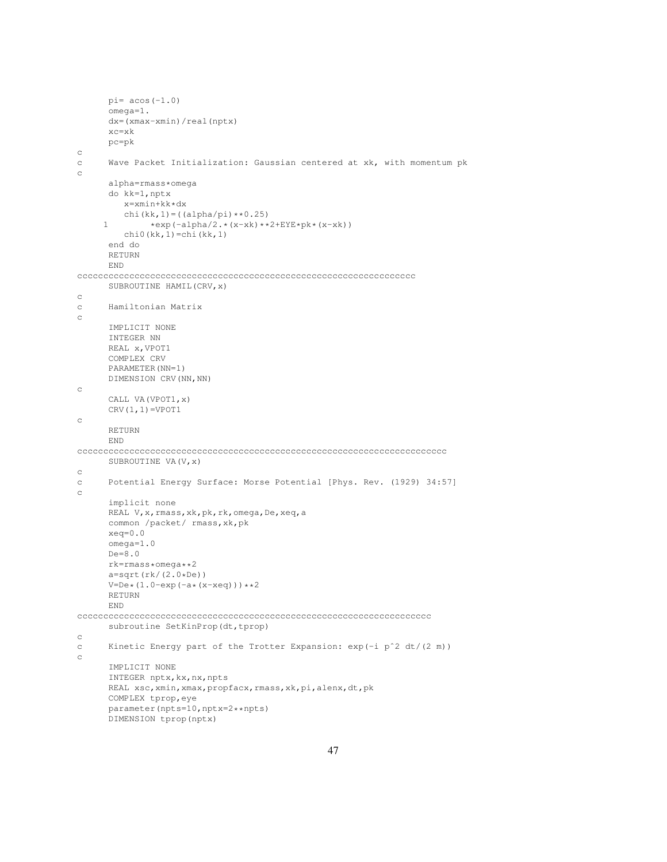```
pi= acos(-1.0)omega=1.
      dx=(xmax-xmin)/real(nptx)
      xc=xk
      pc=pk
\mathop{\rm c}\nolimitsc Wave Packet Initialization: Gaussian centered at xk, with momentum pk
c
      alpha=rmass*omega
      do kk=1,nptx
         x=xmin+kk*dx
         chi(kk, 1) = ((alpha/pi) **0.25)
     1 *exp(-alpha/2.*(x-xk)**2+EYE*pk*(x-xk))chi0(kk,1)=chi(kk,1)
      end do
      RETURN
      END
ccccccccccccccccccccccccccccccccccccccccccccccccccccccccccccccccc
      SUBROUTINE HAMIL(CRV,x)
c
c Hamiltonian Matrix
c
      IMPLICIT NONE
      INTEGER NN
      REAL x,VPOT1
      COMPLEX CRV
      PARAMETER(NN=1)
      DIMENSION CRV(NN,NN)
c
      CALL VA(VPOT1,x)
      CRV(1,1)=VPOT1c
      RETURN
      END
ccccccccccccccccccccccccccccccccccccccccccccccccccccccccccccccccccccccc
      SUBROUTINE VA(V,x)
c
c Potential Energy Surface: Morse Potential [Phys. Rev. (1929) 34:57]
c
      implicit none
      REAL V,x,rmass,xk,pk,rk,omega,De,xeq,a
      common /packet/ rmass,xk,pk
      xeq=0.0
      omega=1.0
      De=8.0
      rk=rmass*omega**2
      a=sqrt(rk/(2.0*De))V=De*(1.0-exp(-a*(x-xeq)))**2
      RETURN
      END
cccccccccccccccccccccccccccccccccccccccccccccccccccccccccccccccccccc
      subroutine SetKinProp(dt,tprop)
c
c Kinetic Energy part of the Trotter Expansion: \exp(-i p^2 dt/(2 m))c
      IMPLICIT NONE
      INTEGER nptx, kx, nx, npts
      REAL xsc, xmin, xmax, propfacx, rmass, xk, pi, alenx, dt, pk
      COMPLEX tprop,eye
      parameter(npts=10,nptx=2**npts)
      DIMENSION tprop(nptx)
```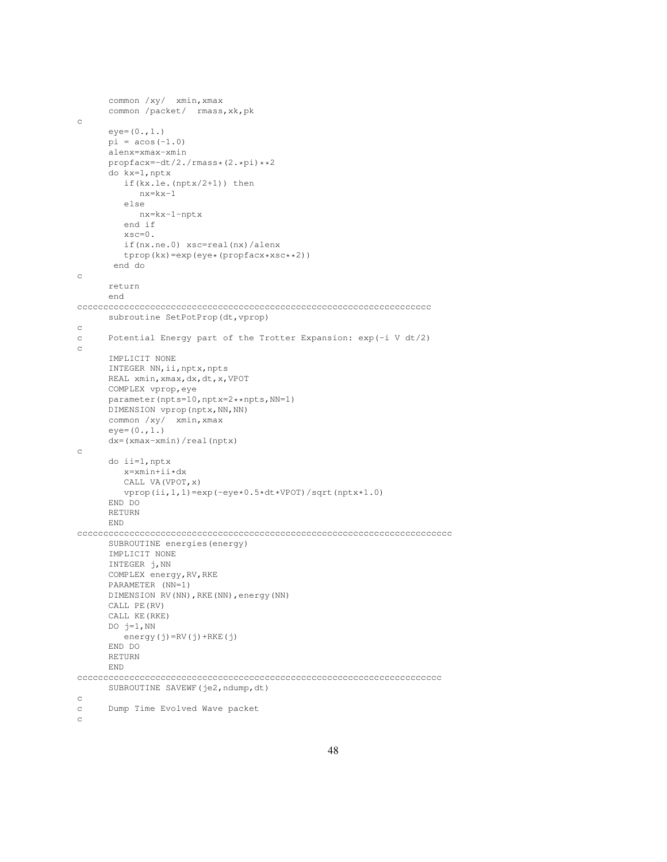```
common /xy/ xmin,xmax
      common /packet/ rmass,xk,pk
c
      eye=(0.,1.)
      pi = a cos(-1.0)alenx=xmax-xmin
      propfacx=-dt/2./rmass*(2.*pi)**2
      do kx=1,nptx
        if(kx.le.(nptx/2+1)) then
           nx=kx-1
         else
            nx=kx-1-nptx
         end if
         xsc=0.
         if(nx.ne.0) xsc=real(nx)/alenx
         tprop(kx)=exp(eye*(propfacx*xsc**2))
       end do
c
      return
      end
cccccccccccccccccccccccccccccccccccccccccccccccccccccccccccccccccccc
      subroutine SetPotProp(dt, vprop)
c
c Potential Energy part of the Trotter Expansion: exp(-i V dt/2)
c
      IMPLICIT NONE
      INTEGER NN, ii, nptx, npts
      REAL xmin,xmax,dx,dt,x,VPOT
      COMPLEX vprop,eye
      parameter(npts=10,nptx=2**npts,NN=1)
      DIMENSION vprop(nptx, NN, NN)
      common /xy/ xmin,xmax
      eye=(0.,1.)dx=(xmax-xmin)/real(nptx)
\rm _cdo ii=1,nptx
        x=xmin+ii*dx
        CALL VA(VPOT,x)
        vprop(ii,1,1)=exp(-eye*0.5*dt*VPOT)/sqrt(nptx*1.0)
      END DO
      RETURN
      END
cccccccccccccccccccccccccccccccccccccccccccccccccccccccccccccccccccccccc
      SUBROUTINE energies(energy)
      IMPLICIT NONE
      INTEGER j,NN
      COMPLEX energy,RV,RKE
      PARAMETER (NN=1)
      DIMENSION RV(NN),RKE(NN),energy(NN)
      CALL PE(RV)
      CALL KE(RKE)
      DO j=1, NN
        energy(j)=RV(j)+RKE(j)
      END DO
      RETURN
      END
cccccccccccccccccccccccccccccccccccccccccccccccccccccccccccccccccccccc
      SUBROUTINE SAVEWF(je2,ndump,dt)
c
c Dump Time Evolved Wave packet
c
```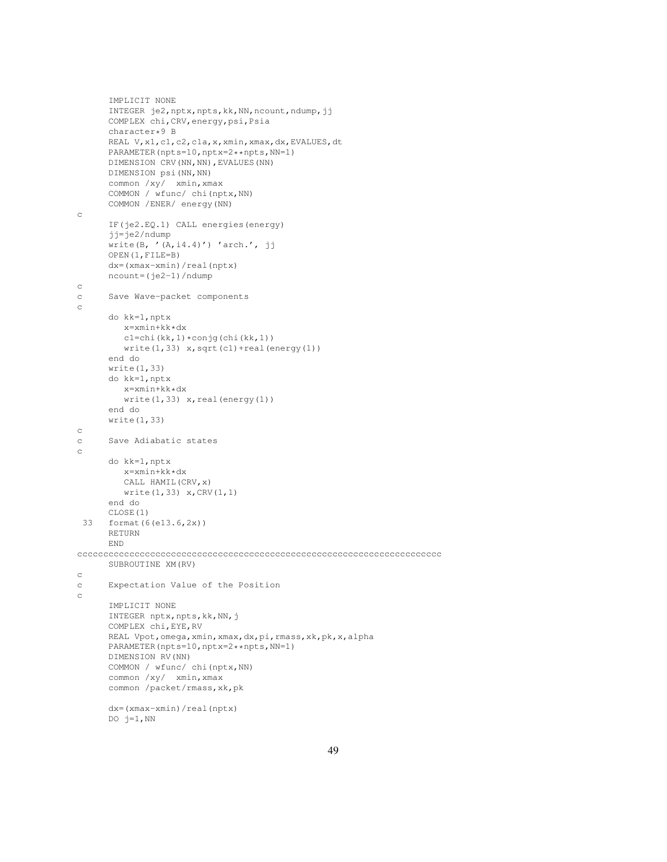```
IMPLICIT NONE
      INTEGER je2,nptx,npts,kk,NN,ncount,ndump,jj
      COMPLEX chi,CRV,energy,psi,Psia
      character*9 B
      REAL V, x1, c1, c2, c1a, x, xmin, xmax, dx, EVALUES, dt
      PARAMETER(npts=10,nptx=2**npts,NN=1)
      DIMENSION CRV(NN,NN),EVALUES(NN)
      DIMENSION psi(NN,NN)
      common /xy/ xmin,xmax
      COMMON / wfunc/ chi(nptx,NN)
      COMMON /ENER/ energy(NN)
c
      IF(je2.EQ.1) CALL energies(energy)
      jj=je2/ndump
      write(B, '(A, i4.4)') 'arch.', jj
      OPEN(1,FILE=B)
      dx=(xmax-xmin)/real(nptx)
      ncount=(je2-1)/ndump
c
c Save Wave-packet components
c
      do kk=1,nptx
         x=xmin+kk*dx
        c1=chi(kk,1)*conjg(chi(kk,1))
        write(1,33) x, sqrt(c1) + real(energy(1))end do
      write(1,33)
      do kk=1,nptx
        x=xmin+kk*dx
        write(1,33) x, real (energy(1))
      end do
      write(1,33)
c
c Save Adiabatic states
c
      do kk=1,nptx
        x=xmin+kk*dx
         CALL HAMIL(CRV,x)
        write(1,33) x,CRV(1,1)
      end do
      CLOSE(1)
 33 format(6(e13.6,2x))
      RETURN
      END
cccccccccccccccccccccccccccccccccccccccccccccccccccccccccccccccccccccc
      SUBROUTINE XM(RV)
c
c Expectation Value of the Position
c
      IMPLICIT NONE
      INTEGER nptx, npts, kk, NN, j
      COMPLEX chi,EYE,RV
      REAL Vpot,omega,xmin,xmax,dx,pi,rmass,xk,pk,x,alpha
      PARAMETER(npts=10,nptx=2**npts,NN=1)
      DIMENSION RV(NN)
      COMMON / wfunc/ chi(nptx,NN)
      common /xy/ xmin,xmax
      common /packet/rmass,xk,pk
      dx=(xmax-xmin)/real(nptx)
```

```
DO j=1, NN
```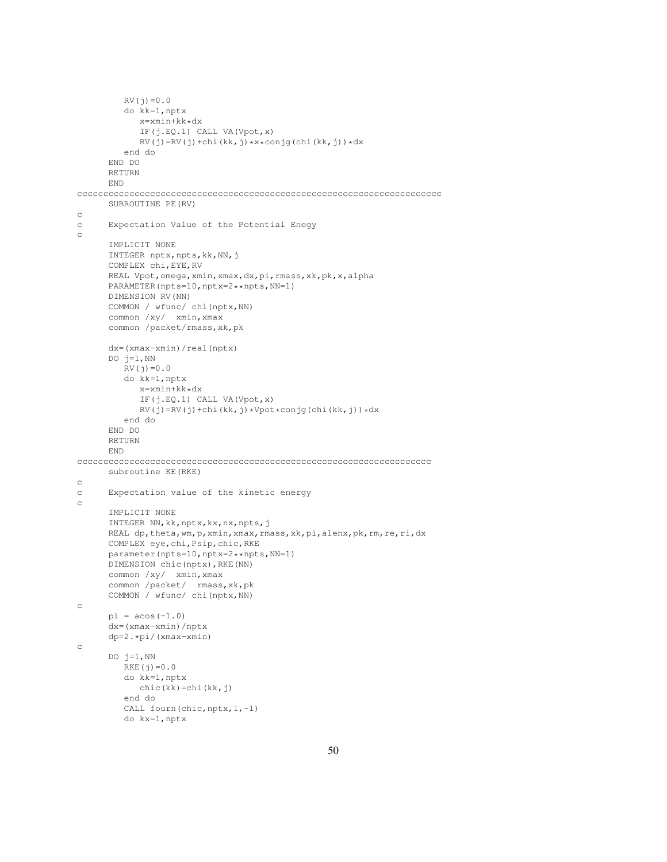```
RV(j) = 0.0do kk=1,nptx
            x=xmin+kk*dx
            IF(j.EQ.1) CALL VA(Vpot,x)
            RV(j)=RV(j)+chi(kk,j)*x*conj(chi(kk,j))*dxend do
      END DO
      RETURN
      END
cccccccccccccccccccccccccccccccccccccccccccccccccccccccccccccccccccccc
      SUBROUTINE PE(RV)
c
c Expectation Value of the Potential Enegy
c
      IMPLICIT NONE
      INTEGER nptx, npts, kk, NN, j
      COMPLEX chi,EYE,RV
      REAL Vpot, omega, xmin, xmax, dx, pi, rmass, xk, pk, x, alpha
      PARAMETER(npts=10,nptx=2**npts,NN=1)
      DIMENSION RV(NN)
      COMMON / wfunc/ chi(nptx,NN)
      common /xy/ xmin, xmax
      common /packet/rmass,xk,pk
      dx=(xmax-xmin)/real(nptx)
      DO j=1, NN
         RV(j) = 0.0do kk=1,nptx
           x=xmin+kk*dx
            IF(j.EQ.1) CALL VA(Vpot,x)
            RV(j)=RV(j)+chi(kk,j)*Vpot*conj(chi(kk,j))*dxend do
      END DO
      RETURN
      END
cccccccccccccccccccccccccccccccccccccccccccccccccccccccccccccccccccc
      subroutine KE(RKE)
c
c Expectation value of the kinetic energy
c
      IMPLICIT NONE
      INTEGER NN,kk,nptx,kx,nx,npts,j
      REAL dp, theta, wm, p, xmin, xmax, rmass, xk, pi, alenx, pk, rm, re, ri, dx
      COMPLEX eye,chi,Psip,chic,RKE
      parameter(npts=10,nptx=2**npts,NN=1)
      DIMENSION chic(nptx),RKE(NN)
      common /xy/ xmin,xmax
      common /packet/ rmass,xk,pk
      COMMON / wfunc/ chi(nptx,NN)
c
      pi = a cos(-1.0)dx=(xmax-xmin)/nptx
      dp=2.*pi/(xmax-xmin)
c
      DO j=1, NN
         RKE(j) = 0.0do kk=1,nptx
           chic(kk)=chi(kk,j)
         end do
         CALL fourn(chic, nptx, 1,-1)
         do kx=1,nptx
```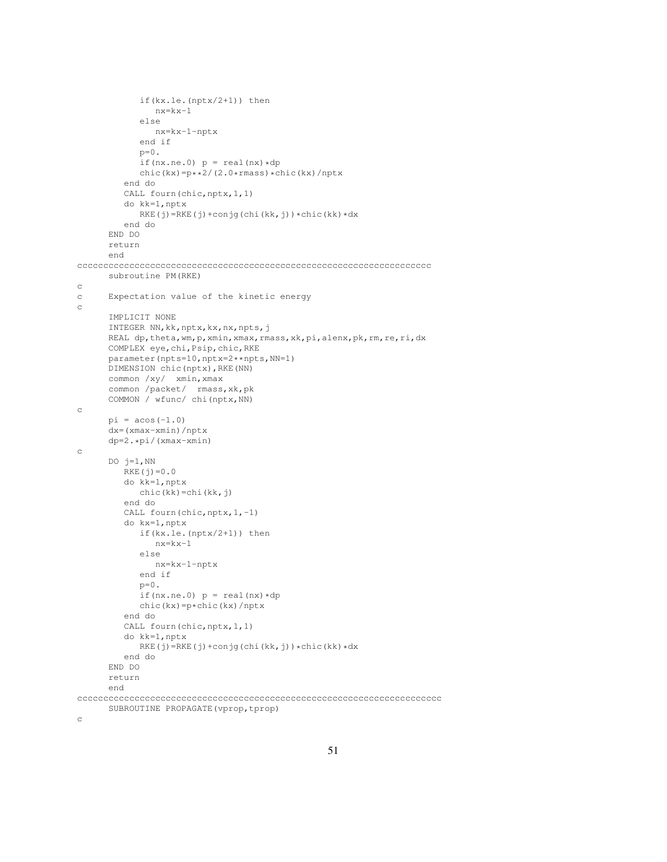```
if(kx.le.(nptx/2+1)) then
               n x=kx-1else
               nx=kx-1-nptx
            end if
            p=0.
            if(nx.ne.0) p = real(nx) * dpchic(kx)=p**2/(2.0*rmass)*chic(kx)/nptx
         end do
         CALL fourn(chic,nptx,1,1)
         do kk=1,nptx
            RKE(j)=RKE(j)+conjg(chi(kk,j))*chic(kk)*dx
         end do
      END DO
      return
      end
cccccccccccccccccccccccccccccccccccccccccccccccccccccccccccccccccccc
      subroutine PM(RKE)
c
c Expectation value of the kinetic energy
c
      IMPLICIT NONE
      INTEGER NN,kk,nptx,kx,nx,npts,j
      REAL dp, theta, wm, p, xmin, xmax, rmass, xk, pi, alenx, pk, rm, re, ri, dx
      COMPLEX eye,chi,Psip,chic,RKE
      parameter(npts=10,nptx=2**npts,NN=1)
      DIMENSION chic(nptx),RKE(NN)
      common /xy/ xmin,xmax
      common /packet/ rmass,xk,pk
      COMMON / wfunc/ chi(nptx,NN)
c
      pi = a cos(-1.0)dx=(xmax-xmin)/nptx
      dp=2.*pi/(xmax-xmin)
c
      DO j=1, NN
         RKE(j) = 0.0do kk=1,nptx
           chic(kk)=chi(kk,j)
         end do
         CALL fourn(chic, nptx, 1,-1)
         do kx=1,nptx
            if(kx.le.(nptx/2+1)) then
               nx=kx-1
            else
               nx=kx-1-nptx
            end if
            p=0.
            if(nx.ne.0) p = \text{real}(nx) * dpchic(kx)=p*chic(kx)/nptx
         end do
         CALL fourn(chic, nptx, 1, 1)
         do kk=1,nptx
            RKE(j)=RKE(j)+conjg(chi(kk,j))*chic(kk)*dx
         end do
      END DO
      return
      end
cccccccccccccccccccccccccccccccccccccccccccccccccccccccccccccccccccccc
      SUBROUTINE PROPAGATE(vprop, tprop)
```

```
c
```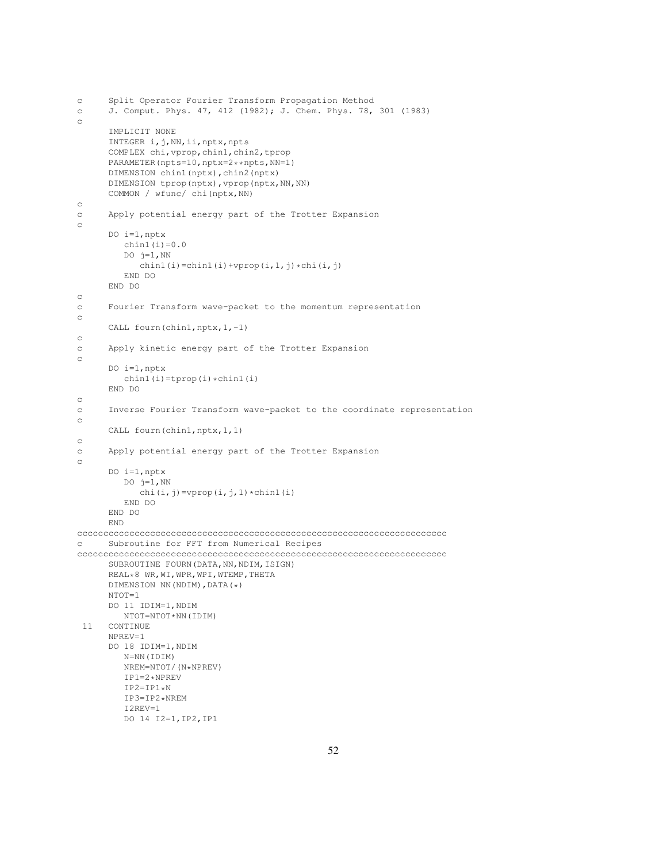```
c Split Operator Fourier Transform Propagation Method
c J. Comput. Phys. 47, 412 (1982); J. Chem. Phys. 78, 301 (1983)
c
      IMPLICIT NONE
     INTEGER i,j,NN,ii,nptx,npts
     COMPLEX chi,vprop,chin1,chin2,tprop
     PARAMETER(npts=10,nptx=2**npts,NN=1)
     DIMENSION chin1(nptx),chin2(nptx)
     DIMENSION tprop(nptx), vprop(nptx, NN, NN)
     COMMON / wfunc/ chi(nptx,NN)
c
c Apply potential energy part of the Trotter Expansion
c
     DO i=1,nptx
        chin1(i)=0.0DO j=1, NN
           chin1(i)=chin1(i)+vprop(i,1,j)*chi(i,j)
        END DO
     END DO
c
c Fourier Transform wave-packet to the momentum representation
c
     CALL fourn(chin1,nptx, 1,-1)
c
c Apply kinetic energy part of the Trotter Expansion
c
     DO i=1, nptxchin1(i)=tprop(i)*chin1(i)END DO
c
c Inverse Fourier Transform wave-packet to the coordinate representation
c
     CALL fourn(chin1,nptx,1,1)
c
c Apply potential energy part of the Trotter Expansion
c
     DO i=1,nptx
        DO j=1, NN
           chi(i,j)=vprop(i,j,1)*chin1(i)
        END DO
     END DO
      END
ccccccccccccccccccccccccccccccccccccccccccccccccccccccccccccccccccccccc
c Subroutine for FFT from Numerical Recipes
ccccccccccccccccccccccccccccccccccccccccccccccccccccccccccccccccccccccc
     SUBROUTINE FOURN(DATA, NN, NDIM, ISIGN)
      REAL*8 WR,WI,WPR,WPI,WTEMP,THETA
     DIMENSION NN(NDIM),DATA(*)
     NTOT=1
     DO 11 IDIM=1,NDIM
        NTOT=NTOT*NN(IDIM)
 11 CONTINUE
     NPREV=1
     DO 18 IDIM=1,NDIM
        N=NN(IDIM)
        NREM=NTOT/(N*NPREV)
        IP1=2*NPREV
        TP2 = TP1*NIP3=IP2*NREM
        I2REV=1
        DO 14 I2=1,IP2,IP1
```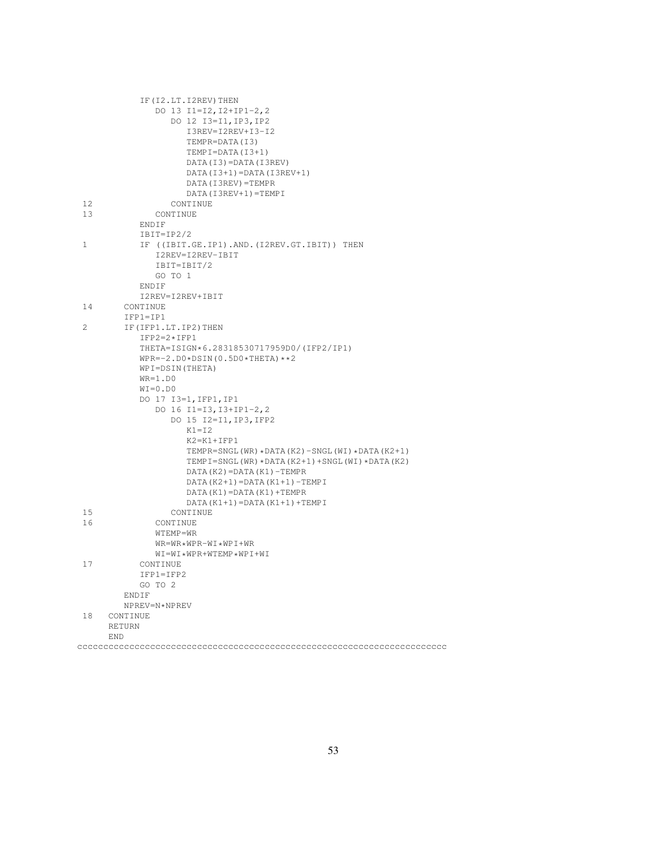|                | IF (I2.LT. I2REV) THEN                         |
|----------------|------------------------------------------------|
|                | DO 13 I1=I2, I2+IP1-2, 2                       |
|                | DO 12 I3=I1, IP3, IP2                          |
|                | I3REV=I2REV+I3-I2                              |
|                | TEMPR=DATA(I3)                                 |
|                | TEMPI=DATA(I3+1)                               |
|                | DATA(I3)=DATA(I3REV)                           |
|                | $DATA(I3+1)=DATA(I3REV+1)$                     |
|                | DATA (I3REV) = TEMPR                           |
|                | DATA (I3REV+1) = TEMPI                         |
| 12             | CONTINUE                                       |
| 13             | CONTINUE                                       |
|                | ENDIF                                          |
|                | $IBIT=IP2/2$                                   |
| $\mathbf{1}$   | IF ((IBIT.GE.IP1).AND.(I2REV.GT.IBIT)) THEN    |
|                | I2REV=I2REV-IBIT                               |
|                | IBIT=IBIT/2                                    |
|                | GO TO 1                                        |
|                |                                                |
|                | ENDIF                                          |
|                | I2REV=I2REV+IBIT                               |
| 14             | CONTINUE                                       |
|                | $IFPI=IP1$                                     |
| $\overline{2}$ | IF (IFP1.LT.IP2) THEN                          |
|                | $IFP2=2*IFP1$                                  |
|                | THETA=ISIGN*6.28318530717959D0/(IFP2/IP1)      |
|                | $WPR=-2. D0 * DSIM(0.5D0 * THETA) * *2$        |
|                | WPI=DSIN(THETA)                                |
|                | $WR=1.D0$                                      |
|                | $WI = 0.DD0$                                   |
|                | DO 17 I3=1, IFP1, IP1                          |
|                | DO 16 I1=I3, I3+IP1-2, 2                       |
|                | DO 15 I2=I1, IP3, IFP2                         |
|                | $K1 = I2$                                      |
|                | $K2 = K1 + IFP1$                               |
|                | TEMPR=SNGL(WR) *DATA(K2)-SNGL(WI) *DATA(K2+1)  |
|                | TEMPI=SNGL(WR) *DATA(K2+1) +SNGL(WI) *DATA(K2) |
|                | $DATA(K2) = DATA(K1) - TEMPR$                  |
|                | DATA $(K2+1)$ = DATA $(K1+1)$ - TEMP I         |
|                | DATA (K1) = DATA (K1) + TEMPR                  |
|                | DATA $(K1+1)$ = DATA $(K1+1)$ + TEMP I         |
| 15             | CONTINUE                                       |
| 16             | CONTINUE                                       |
|                | WTEMP=WR                                       |
|                | WR=WR*WPR-WI*WPI+WR                            |
|                | WI=WI*WPR+WTEMP*WPI+WI                         |
| 17             | CONTINUE                                       |
|                | IFP1=IFP2                                      |
|                | GO TO 2                                        |
|                | ENDIF                                          |
|                | NPREV=N*NPREV                                  |
| 18             | CONTINUE                                       |
|                | <b>RETURN</b>                                  |
|                | END                                            |
|                |                                                |
|                |                                                |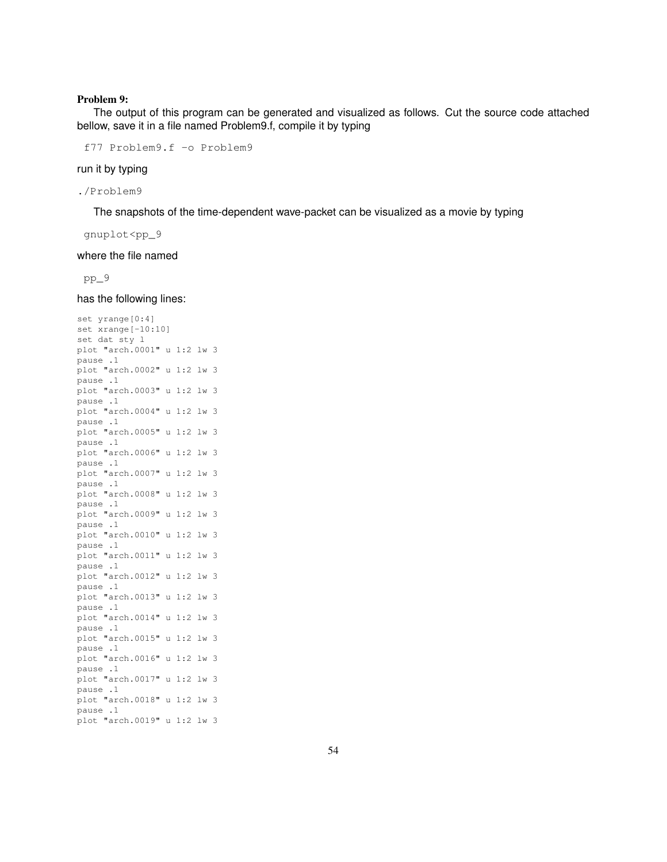#### Problem 9:

The output of this program can be generated and visualized as follows. Cut the source code attached bellow, save it in a file named Problem9.f, compile it by typing

f77 Problem9.f -o Problem9

#### run it by typing

./Problem9

The snapshots of the time-dependent wave-packet can be visualized as a movie by typing

gnuplot<pp\_9

where the file named

pp\_9

has the following lines:

```
set yrange[0:4]
set xrange[-10:10]
set dat sty l
plot "arch.0001" u 1:2 lw 3
pause .1
plot "arch.0002" u 1:2 lw 3
pause .1
plot "arch.0003" u 1:2 lw 3
pause .1
plot "arch.0004" u 1:2 lw 3
pause .1
plot "arch.0005" u 1:2 lw 3
pause .1
plot "arch.0006" u 1:2 lw 3
pause .1
plot "arch.0007" u 1:2 lw 3
pause .1
plot "arch.0008" u 1:2 lw 3
pause .1
plot "arch.0009" u 1:2 lw 3
pause .1
plot "arch.0010" u 1:2 lw 3
pause .1
plot "arch.0011" u 1:2 lw 3
pause .1
plot "arch.0012" u 1:2 lw 3
pause .1
plot "arch.0013" u 1:2 lw 3
pause .1
plot "arch.0014" u 1:2 lw 3
pause .1
plot "arch.0015" u 1:2 lw 3
pause .1
plot "arch.0016" u 1:2 lw 3
pause .1
plot "arch.0017" u 1:2 lw 3
pause .1
plot "arch.0018" u 1:2 lw 3
pause .1
plot "arch.0019" u 1:2 lw 3
```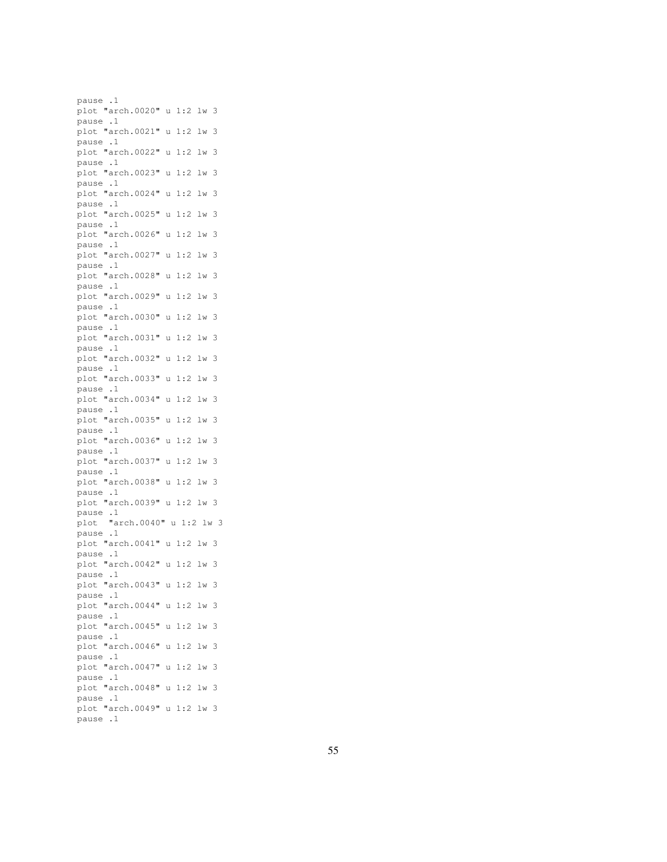pause .1 plot "arch.0020" u 1:2 lw 3 pause .1 plot "arch.0021" u 1:2 lw 3 pause .1 plot "arch.0022" u 1:2 lw 3 pause .1 plot "arch.0023" u 1:2 lw 3 pause .1 plot "arch.0024" u 1:2 lw 3 pause .1 plot "arch.0025" u 1:2 lw 3 pause .1 plot "arch.0026" u 1:2 lw 3 pause .1 plot "arch.0027" u 1:2 lw 3 pause .1 plot "arch.0028" u 1:2 lw 3 pause .1 plot "arch.0029" u 1:2 lw 3 pause .1 plot "arch.0030" u 1:2 lw 3 pause .1 plot "arch.0031" u 1:2 lw 3 pause .1 plot "arch.0032" u 1:2 lw 3 pause .1 plot "arch.0033" u 1:2 lw 3 pause .1 plot "arch.0034" u 1:2 lw 3 pause .1 plot "arch.0035" u 1:2 lw 3 pause .1 plot "arch.0036" u 1:2 lw 3 pause .1 plot "arch.0037" u 1:2 lw 3 pause .1 plot "arch.0038" u 1:2 lw 3 pause .1 plot "arch.0039" u 1:2 lw 3 pause .1 plot "arch.0040" u 1:2 lw 3 pause .1 plot "arch.0041" u 1:2 lw 3 pause .1 plot "arch.0042" u 1:2 lw 3 pause .1 plot "arch.0043" u 1:2 lw 3 pause .1 plot "arch.0044" u 1:2 lw 3 pause .1 plot "arch.0045" u 1:2 lw 3 pause .1 plot "arch.0046" u 1:2 lw 3 pause .1 plot "arch.0047" u 1:2 lw 3 pause .1 plot "arch.0048" u 1:2 lw 3 pause .1 plot "arch.0049" u 1:2 lw 3 pause .1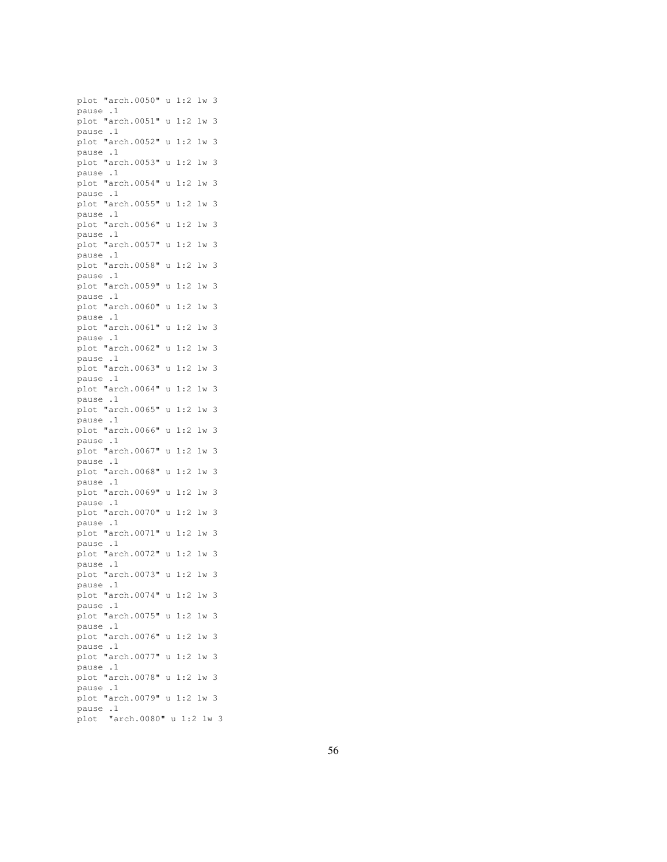plot "arch.0050" u 1:2 lw 3 pause .1 plot "arch.0051" u 1:2 lw 3 pause .1 plot "arch.0052" u 1:2 lw 3 pause .1 plot "arch.0053" u 1:2 lw 3 pause .1 plot "arch.0054" u 1:2 lw 3 pause .1 plot "arch.0055" u 1:2 lw 3 pause .1 plot "arch.0056" u 1:2 lw 3 pause .1 plot "arch.0057" u 1:2 lw 3 pause .1 plot "arch.0058" u 1:2 lw 3 pause .1 plot "arch.0059" u 1:2 lw 3 pause .1 plot "arch.0060" u 1:2 lw 3 pause .1 plot "arch.0061" u 1:2 lw 3 pause .1 plot "arch.0062" u 1:2 lw 3 pause .1 plot "arch.0063" u 1:2 lw 3 pause .1 plot "arch.0064" u 1:2 lw 3 pause .1 plot "arch.0065" u 1:2 lw 3 pause .1 plot "arch.0066" u 1:2 lw 3 pause .1 plot "arch.0067" u 1:2 lw 3 pause .1 plot "arch.0068" u 1:2 lw 3 pause .1 plot "arch.0069" u 1:2 lw 3 pause .1 plot "arch.0070" u 1:2 lw 3 pause .1 plot "arch.0071" u 1:2 lw 3 pause .1 plot "arch.0072" u 1:2 lw 3 pause .1 plot "arch.0073" u 1:2 lw 3 pause .1 plot "arch.0074" u 1:2 lw 3 pause .1 plot "arch.0075" u 1:2 lw 3 pause .1 plot "arch.0076" u 1:2 lw 3 pause .1 plot "arch.0077" u 1:2 lw 3 pause .1 plot "arch.0078" u 1:2 lw 3 pause .1 plot "arch.0079" u 1:2 lw 3 pause .1 plot "arch.0080" u 1:2 lw 3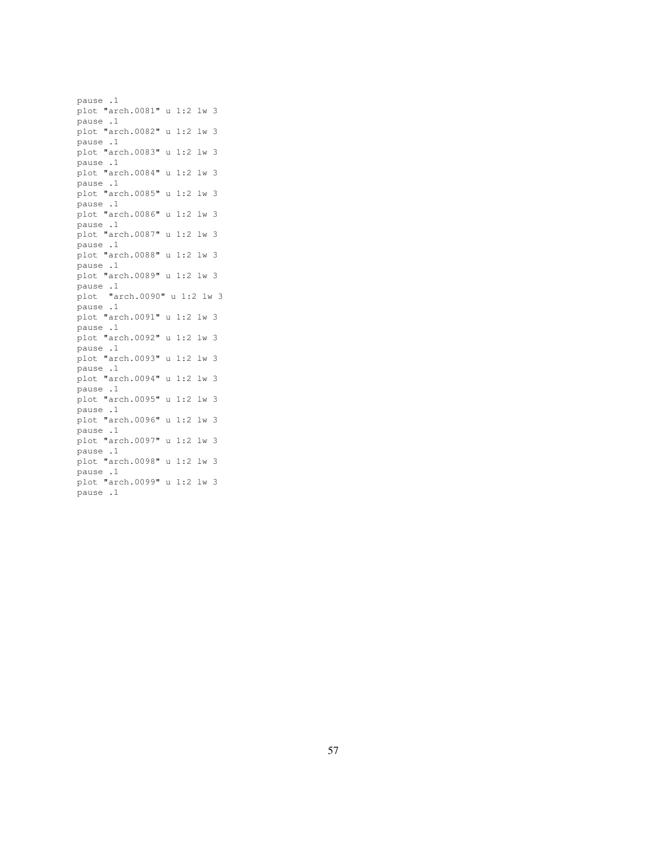pause .1 plot "arch.0081" u 1:2 lw 3 pause .1 plot "arch.0082" u 1:2 lw 3 pause .1 plot "arch.0083" u 1:2 lw 3 pause .1 plot "arch.0084" u 1:2 lw 3 pause .1 plot "arch.0085" u 1:2 lw 3 pause .1 plot "arch.0086" u 1:2 lw 3 pause .1 plot "arch.0087" u 1:2 lw 3 pause .1 plot "arch.0088" u 1:2 lw 3 pause .1 plot "arch.0089" u 1:2 lw 3 pause .1 plot "arch.0090" u 1:2 lw 3 pause .1 plot "arch.0091" u 1:2 lw 3 pause .1 plot "arch.0092" u 1:2 lw 3 pause .1 plot "arch.0093" u 1:2 lw 3 pause .1 plot "arch.0094" u 1:2 lw 3 pause .1 plot "arch.0095" u 1:2 lw 3 pause .1 plot "arch.0096" u 1:2 lw 3 pause .1 plot "arch.0097" u 1:2 lw 3 pause .1 plot "arch.0098" u 1:2 lw 3 pause .1 plot "arch.0099" u 1:2 lw 3 pause .1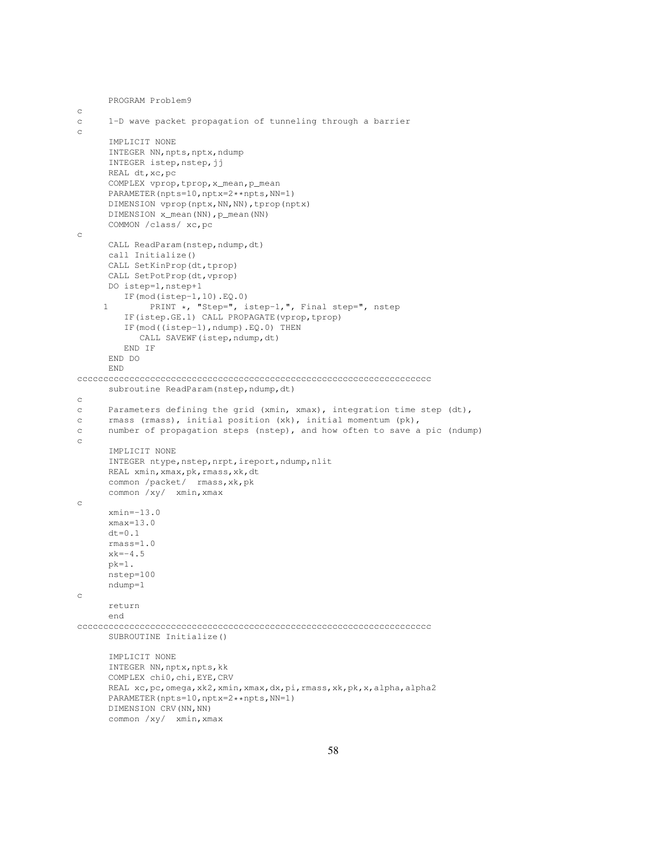```
PROGRAM Problem9
c
c 1-D wave packet propagation of tunneling through a barrier
c
      IMPLICIT NONE
      INTEGER NN, npts, nptx, ndump
      INTEGER istep, nstep, jj
      REAL dt,xc,pc
      COMPLEX vprop,tprop,x_mean,p_mean
      PARAMETER(npts=10,nptx=2**npts,NN=1)
      DIMENSION vprop(nptx,NN,NN),tprop(nptx)
      DIMENSION x_mean(NN), p_mean(NN)
      COMMON /class/ xc,pc
c
      CALL ReadParam(nstep,ndump,dt)
      call Initialize()
      CALL SetKinProp(dt,tprop)
      CALL SetPotProp(dt, vprop)
      DO istep=1,nstep+1
        IF(mod(istep-1,10).EQ.0)
     1 PRINT *, "Step=", istep-1,", Final step=", nstep
         IF(istep.GE.1) CALL PROPAGATE(vprop,tprop)
         IF(mod((istep-1),ndump).EQ.0) THEN
            CALL SAVEWF (istep, ndump, dt)
         END IF
      END DO
      END
cccccccccccccccccccccccccccccccccccccccccccccccccccccccccccccccccccc
      subroutine ReadParam(nstep,ndump,dt)
c
c Parameters defining the grid (xmin, xmax), integration time step (dt),
c rmass (rmass), initial position (xk), initial momentum (pk),
c number of propagation steps (nstep), and how often to save a pic (ndump)
c
      IMPLICIT NONE
      INTEGER ntype, nstep, nrpt, ireport, ndump, nlit
      REAL xmin, xmax, pk, rmass, xk, dt
      common /packet/ rmass,xk,pk
      common /xy/ xmin,xmax
c
      xmin=-13.0xmax=13.0
      dt = 0.1rmass=1.0
      xk=-4.5pk=1.
      nstep=100
      ndump=1
c
      return
      end
cccccccccccccccccccccccccccccccccccccccccccccccccccccccccccccccccccc
      SUBROUTINE Initialize()
      IMPLICIT NONE
      INTEGER NN, nptx, npts, kk
      COMPLEX chi0,chi,EYE,CRV
      REAL xc, pc, omega, xk2, xmin, xmax, dx, pi, rmass, xk, pk, x, alpha, alpha2
      PARAMETER(npts=10,nptx=2**npts,NN=1)
      DIMENSION CRV (NN, NN)
      common /xy/ xmin,xmax
```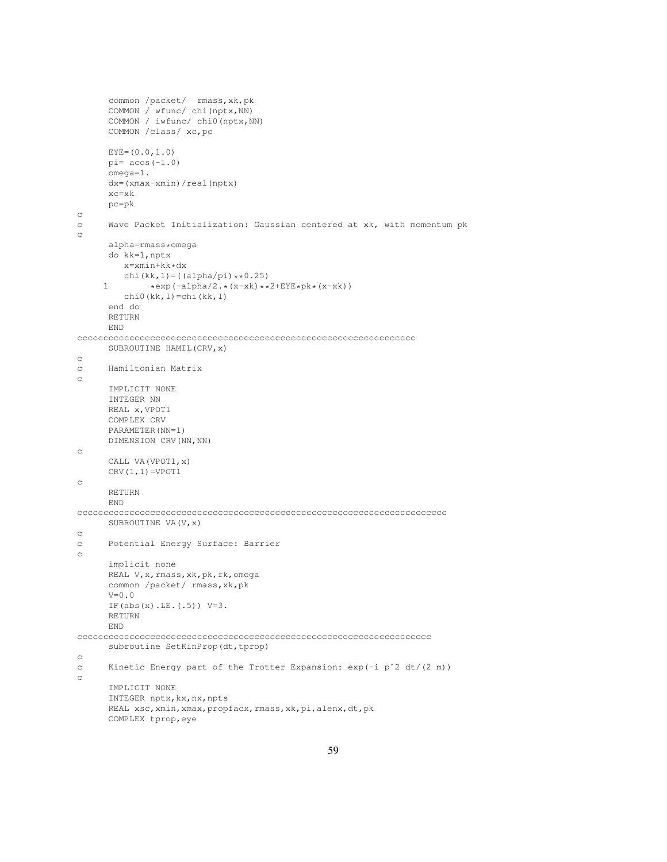```
common /packet/ rmass, xk, pk
      COMMON / wfunc/ chi(nptx,NN)
      COMMON / iwfunc/ chi0(nptx,NN)
      COMMON /class/ xc,pc
      EYE=(0.0,1.0)pi= acos(-1.0)omega=1.
      dx=(xmax-xmin)/real(nptx)
      xc=xk
      pc=pk
c
c Wave Packet Initialization: Gaussian centered at xk, with momentum pk
c
      alpha=rmass*omega
      do kk=1,nptx
         x=xmin+kk*dx
         chi(kk,1) = ((alpha/pi) * *0.25)1 *exp(-alpha/2.*(x-xk)**2+EYE*pk*(x-xk))
         chi(0(kk,1)=chi(kk,1)end do
      RETURN
      END
ccccccccccccccccccccccccccccccccccccccccccccccccccccccccccccccccc
      SUBROUTINE HAMIL(CRV,x)
c
c Hamiltonian Matrix
c
      IMPLICIT NONE
      INTEGER NN
      REAL x,VPOT1
      COMPLEX CRV
      PARAMETER(NN=1)
     DIMENSION CRV(NN,NN)
c
      CALL VA(VPOT1,x)
      CRV(1,1)=VPOT1c
      RETURN
     END
ccccccccccccccccccccccccccccccccccccccccccccccccccccccccccccccccccccccc
      SUBROUTINE VA(V,x)
\mathtt{C}c Potential Energy Surface: Barrier
c
      implicit none
      REAL V, x, rmass, xk, pk, rk, omega
      common /packet/ rmass,xk,pk
      \mathtt{V}{=}0 . 0IF(abs(x).LE.(.5)) V=3.
      RETURN
      END
cccccccccccccccccccccccccccccccccccccccccccccccccccccccccccccccccccc
      subroutine SetKinProp(dt,tprop)
c
c Kinetic Energy part of the Trotter Expansion: exp(-i pˆ2 dt/(2 m))
c
      IMPLICIT NONE
      INTEGER nptx, kx, nx, npts
      REAL xsc, xmin, xmax, propfacx, rmass, xk, pi, alenx, dt, pk
      COMPLEX tprop,eye
```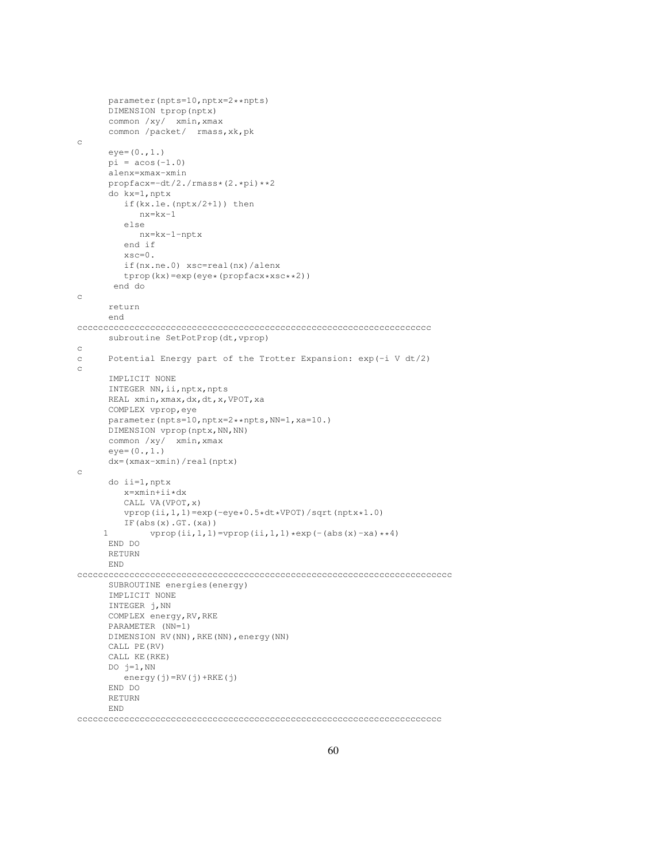```
parameter(npts=10,nptx=2**npts)
      DIMENSION tprop(nptx)
      common /xy/ xmin,xmax
      common /packet/ rmass,xk,pk
c
      eye=(0.,1.)pi = a cos(-1.0)alenx=xmax-xmin
      propfacx=-dt/2./rmass*(2.*pi)**2
      do kx=1,nptx
         if(kx.le.(nptx/2+1)) then
            nx=kx-1
         else
            nx=kx-1-nptx
         end if
         xsc=0.
         if(nx.ne.0) xsc=real(nx)/alenx
         tprop(kx)=exp(eye*(propfacx*xsc**2))
       end do
c
      return
      end
cccccccccccccccccccccccccccccccccccccccccccccccccccccccccccccccccccc
      subroutine SetPotProp(dt,vprop)
c
c Potential Energy part of the Trotter Expansion: exp(-i V dt/2)
c
      IMPLICIT NONE
      INTEGER NN, ii, nptx, npts
      REAL xmin,xmax,dx,dt,x,VPOT,xa
      COMPLEX vprop,eye
      parameter(npts=10,nptx=2**npts,NN=1,xa=10.)
      DIMENSION vprop(nptx, NN, NN)
      common /xy/ xmin,xmax
      eye=(0.,1.)dx=(xmax-xmin)/real(nptx)
c
      do ii=1,nptx
        x=xmin+ii*dx
         CALL VA(VPOT,x)
         vprop(ii,1,1)=exp(-eye*0.5*dt*VPOT)/sqrt(nptx*1.0)
         IF(abs(x).GT.(xa))
     1 vprop(ii,1,1)=vprop(ii,1,1)*exp(-(abs(x)-xa)**4)
      END DO
      RETURN
     END
cccccccccccccccccccccccccccccccccccccccccccccccccccccccccccccccccccccccc
     SUBROUTINE energies(energy)
      IMPLICIT NONE
      INTEGER j,NN
      COMPLEX energy,RV,RKE
      PARAMETER (NN=1)
      DIMENSION RV(NN),RKE(NN),energy(NN)
      CALL PE(RV)
      CALL KE(RKE)
      DO j=1, NN
         energy(j)=RV(j)+RKE(j)
      END DO
      RETURN
      END
```
cccccccccccccccccccccccccccccccccccccccccccccccccccccccccccccccccccccc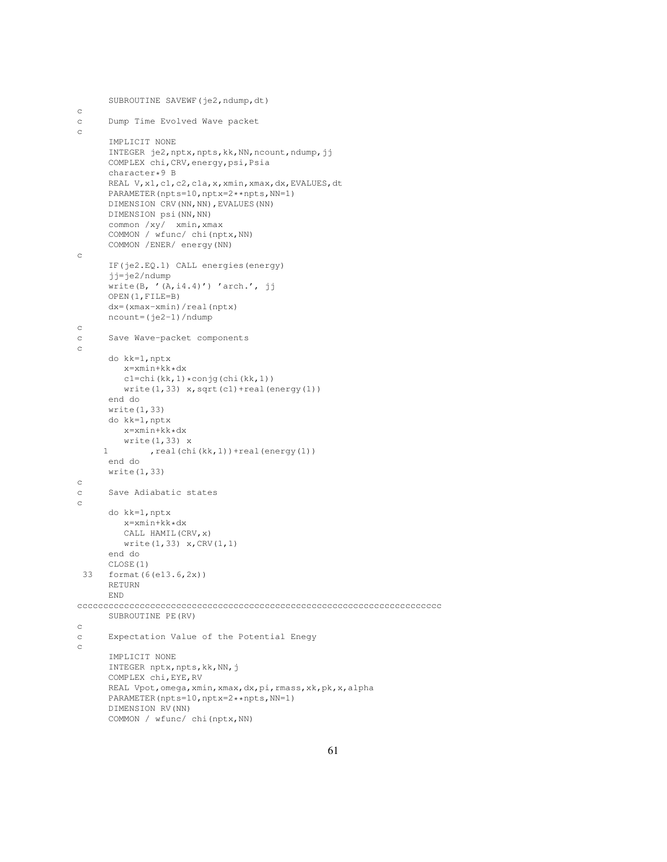```
SUBROUTINE SAVEWF(je2,ndump,dt)
c
c Dump Time Evolved Wave packet
c
     IMPLICIT NONE
     INTEGER je2,nptx,npts,kk,NN,ncount,ndump,jj
     COMPLEX chi,CRV,energy,psi,Psia
     character*9 B
     REAL V,x1,c1,c2,c1a,x,xmin,xmax,dx,EVALUES,dt
     PARAMETER(npts=10,nptx=2**npts,NN=1)
     DIMENSION CRV(NN, NN), EVALUES(NN)
     DIMENSION psi(NN,NN)
     common /xy/ xmin,xmax
     COMMON / wfunc/ chi(nptx,NN)
     COMMON /ENER/ energy(NN)
c
     IF(je2.EQ.1) CALL energies(energy)
      jj=je2/ndump
      write(B, '(A, i4.4)') 'arch,' , jjOPEN(1,FILE=B)
     dx=(xmax-xmin)/real(nptx)
     ncount=(je2-1)/ndump
c
c Save Wave-packet components
c
     do kk=1,nptx
        x=xmin+kk*dx
        cl = chi(kk,1)*conjg(chi(kk,1))write(1,33) x,sqrt(c1)+real(energy(1))
     end do
     write(1,33)
     do kk=1,nptx
        x=xmin+kk*dx
        write(1,33) x
     1 , real(chi(kk,1))+real(energy(1))
     end do
     write(1,33)
c
c Save Adiabatic states
c
     do kk=1,nptx
        x=xmin+kk*dx
        CALL HAMIL(CRV,x)
        write(1,33) x,CRV(1,1)
      end do
     CLOSE(1)
 33 format(6(e13.6,2x))
     RETURN
     END
cccccccccccccccccccccccccccccccccccccccccccccccccccccccccccccccccccccc
     SUBROUTINE PE(RV)
c
c Expectation Value of the Potential Enegy
c
     IMPLICIT NONE
      INTEGER nptx, npts, kk, NN, j
      COMPLEX chi,EYE,RV
     REAL Vpot,omega,xmin,xmax,dx,pi,rmass,xk,pk,x,alpha
     PARAMETER(npts=10,nptx=2**npts,NN=1)
     DIMENSION RV(NN)
     COMMON / wfunc/ chi(nptx,NN)
```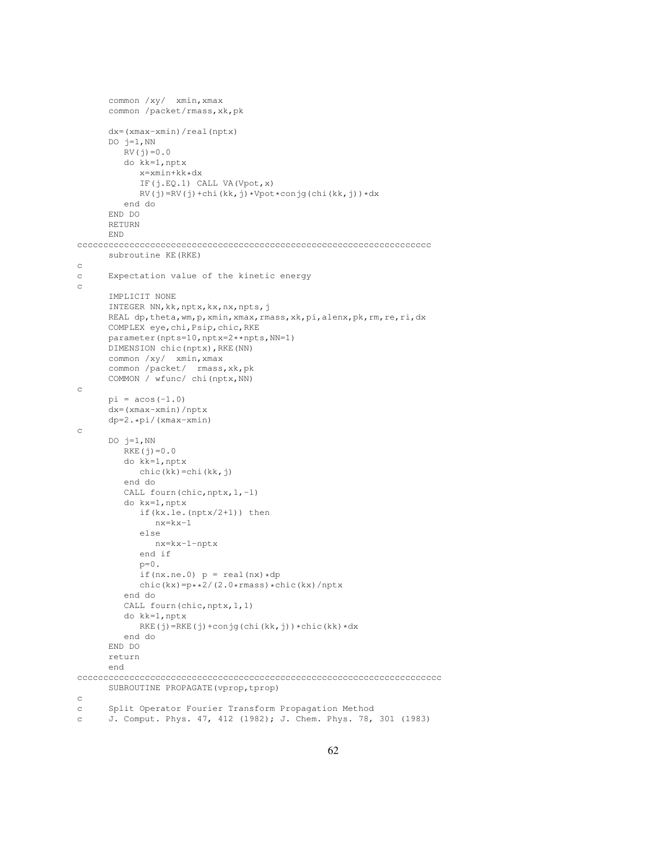```
common /xy/ xmin,xmax
      common /packet/rmass,xk,pk
      dx=(xmax-xmin)/real(nptx)
      DO j=1, NN
         RV(j) = 0.0do kk=1,nptx
            x=xmin+kk*dx
            IF(j.EQ.1) CALL VA(Vpot,x)
            RV(j)=RV(j)+chi(kk,j)*Vpot*conjg(chi(kk,j))*dx
         end do
      END DO
      RETURN
      END
cccccccccccccccccccccccccccccccccccccccccccccccccccccccccccccccccccc
      subroutine KE(RKE)
c
c Expectation value of the kinetic energy
\mathtt{c}IMPLICIT NONE
      INTEGER NN,kk,nptx,kx,nx,npts,j
      REAL dp, theta, wm, p, xmin, xmax, rmass, xk, pi, alenx, pk, rm, re, ri, dx
      COMPLEX eye,chi,Psip,chic,RKE
      parameter(npts=10,nptx=2**npts,NN=1)
      DIMENSION chic(nptx),RKE(NN)
      common /xy/ xmin,xmax
      common /packet/ rmass,xk,pk
      COMMON / wfunc/ chi(nptx,NN)
c
      pi = a cos(-1.0)dx=(xmax-xmin)/nptx
      dp=2.*pi/(xmax-xmin)
\simDO j=1, NN
         RKE(j) = 0.0do kk=1,nptx
           chic(kk)=chi(kk,j)
         end do
         CALL fourn(chic, nptx, 1,-1)
         do kx=1,nptx
            if(kx.le.(nptx/2+1)) then
               nx=kx-1
            else
               nx=kx-1-nptx
            end if
            \mathtt{p}{=}0 .
            if(nx.ne.0) p = real(nx) * dpchic(kx)=p**2/(2.0*rmass)*chic(kx)/nptx
         end do
         CALL fourn(chic, nptx, 1, 1)
         do kk=1,nptx
            RKE(j)=RKE(j)+conjg(chi(kk,j)) *chic(kk) *dx
         end do
      END DO
      return
      end
cccccccccccccccccccccccccccccccccccccccccccccccccccccccccccccccccccccc
      SUBROUTINE PROPAGATE(vprop, tprop)
c
c Split Operator Fourier Transform Propagation Method
c J. Comput. Phys. 47, 412 (1982); J. Chem. Phys. 78, 301 (1983)
```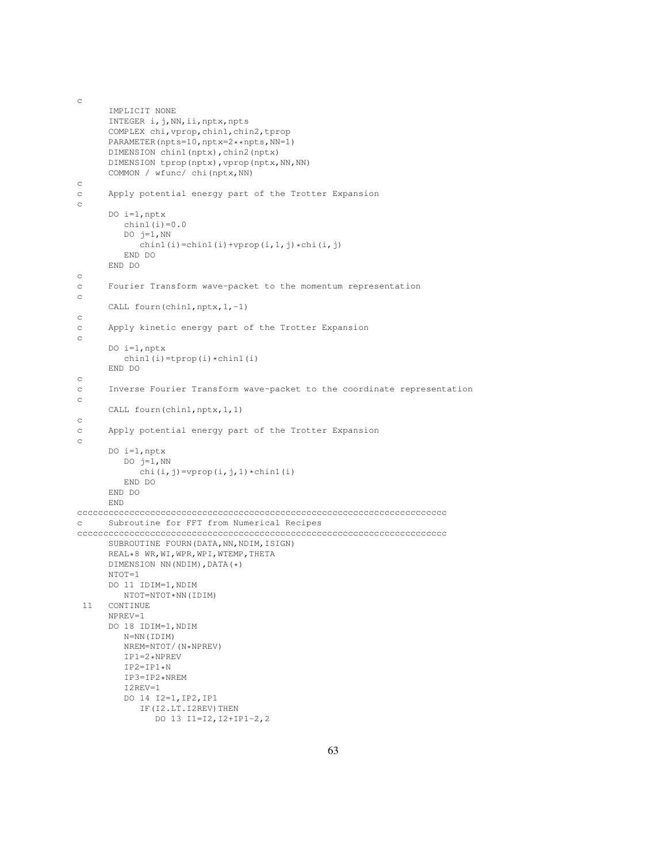```
IMPLICIT NONE
     INTEGER i,j,NN,ii,nptx,npts
      COMPLEX chi,vprop,chin1,chin2,tprop
     PARAMETER(npts=10,nptx=2**npts,NN=1)
     DIMENSION chin1(nptx),chin2(nptx)
     DIMENSION tprop(nptx), vprop(nptx,NN,NN)
     COMMON / wfunc/ chi(nptx,NN)
c
c Apply potential energy part of the Trotter Expansion
c
     DO i=1,nptx
        chin1(i)=0.0DO j=1, NN
           chin1(i)=chin1(i)+vprop(i,1,j)*chi(i,j)
        END DO
     END DO
c
c Fourier Transform wave-packet to the momentum representation
c
     CALL fourn(chin1,nptx,1,-1)
c
c Apply kinetic energy part of the Trotter Expansion
c
     DO i=1,nptx
        chin1(i)=tprop(i)*chin1(i)
     END DO
c
c Inverse Fourier Transform wave-packet to the coordinate representation
c
     CALL fourn(chin1,nptx,1,1)
c
c Apply potential energy part of the Trotter Expansion
c
     DO i=1,nptx
        DO j=1, NN
           chi(i,j)=vprop(i,j,1)*chin1(i)
        END DO
     END DO
     END
ccccccccccccccccccccccccccccccccccccccccccccccccccccccccccccccccccccccc
c Subroutine for FFT from Numerical Recipes
ccccccccccccccccccccccccccccccccccccccccccccccccccccccccccccccccccccccc
     SUBROUTINE FOURN(DATA, NN, NDIM, ISIGN)
     REAL*8 WR,WI,WPR,WPI,WTEMP,THETA
     DIMENSION NN(NDIM), DATA(\star)
      NTOT=1
     DO 11 IDIM=1,NDIM
       NTOT=NTOT*NN(IDIM)
 11 CONTINUE
     NPREV=1
     DO 18 IDIM=1,NDIM
        N=NN(IDIM)
        NREM=NTOT/(N*NPREV)
        IP1=2*NPREV
         IP2=IP1*NIP3=IP2*NREM
        I2REV=1
        DO 14 I2=1,IP2,IP1
            IF(I2.LT.I2REV)THEN
               DO 13 I1=I2,I2+IP1-2,2
```
c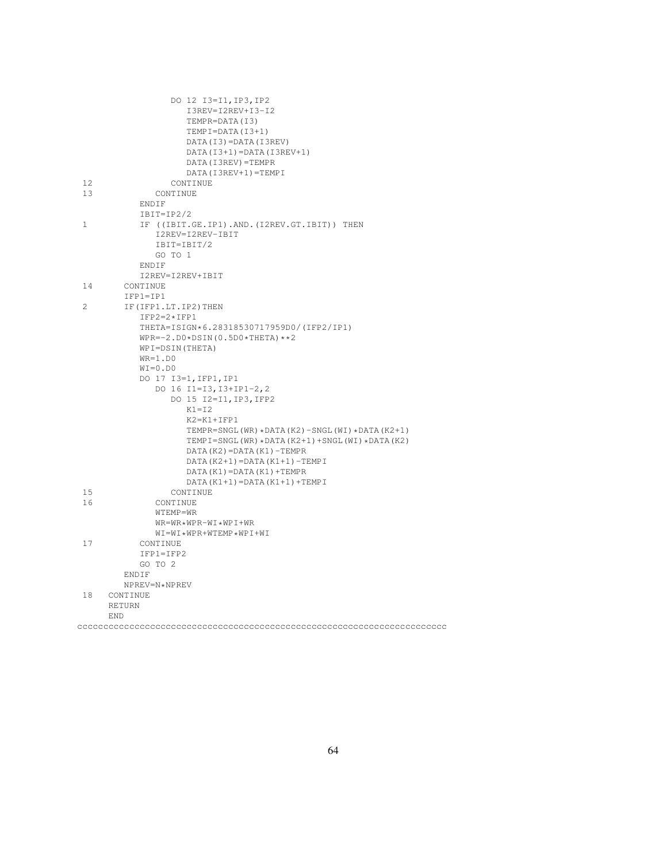| 13<br>CONTINUE<br>ENDIF<br>$IBIT=IP2/2$<br>IF ((IBIT.GE.IP1).AND.(I2REV.GT.IBIT)) THEN<br>$\mathbf{1}$<br>I2REV=I2REV-IBIT<br>IBIT=IBIT/2<br>GO TO 1<br>ENDIF<br>I2REV=I2REV+IBIT<br>14<br>CONTINUE<br>$IFPI=IP1$<br>2<br>IF (IFP1.LT. IP2) THEN<br>$IFP2=2*IFP1$<br>THETA=ISIGN*6.28318530717959D0/(IFP2/IP1)<br>$WPR=-2. D0 * DSIM(0.5D0 * THETA) * *2$<br>WPI=DSIN(THETA)<br>$WR=1.D0$<br>$WI = 0. D0$<br>DO 17 I3=1, IFP1, IP1<br>DO 16 I1=I3, I3+IP1-2, 2<br>DO 15 I2=I1, IP3, IFP2<br>$K1 = I2$<br>$K2 = K1 + IFP1$<br>TEMPR=SNGL(WR)*DATA(K2)-SNGL(WI)*DATA(K2+1)<br>TEMPI=SNGL(WR) *DATA(K2+1) +SNGL(WI) *DATA(K2)<br>$DATA(K2) = DATA(K1) - TEMPR$<br>$DATA(K2+1) = DATA(K1+1) - TEMPI$<br>$DATA(K1) = DATA(K1) + TEMPR$<br>$DATA(K1+1) = DATA(K1+1) + TEMPI$<br>15<br>CONTINUE<br>16<br>CONTINUE<br>WTEMP=WR<br>$WR = WR * WPR - WI * WPI + WR$<br>$WI = WI * WPR + WTEMP * WPI + WI$<br>17<br>CONTINUE<br>$IFPI=IFP2$<br>GO TO 2<br>ENDIF<br>NPREV=N*NPREV<br>18<br>CONTINUE<br><b>RETURN</b><br>END |    | DO 12 I3=I1, IP3, IP2<br>I3REV=I2REV+I3-I2<br>TEMPR=DATA(I3)<br>$TEMPI = DATA (I3+1)$<br>DATA(I3)=DATA(I3REV)<br>$DATA(I3+1)=DATA(I3REV+1)$<br>DATA (I3REV) = TEMPR<br>DATA(I3REV+1)=TEMPI |
|-----------------------------------------------------------------------------------------------------------------------------------------------------------------------------------------------------------------------------------------------------------------------------------------------------------------------------------------------------------------------------------------------------------------------------------------------------------------------------------------------------------------------------------------------------------------------------------------------------------------------------------------------------------------------------------------------------------------------------------------------------------------------------------------------------------------------------------------------------------------------------------------------------------------------------------------------------------------------------------------------------------------|----|--------------------------------------------------------------------------------------------------------------------------------------------------------------------------------------------|
|                                                                                                                                                                                                                                                                                                                                                                                                                                                                                                                                                                                                                                                                                                                                                                                                                                                                                                                                                                                                                 | 12 | CONTINUE                                                                                                                                                                                   |
|                                                                                                                                                                                                                                                                                                                                                                                                                                                                                                                                                                                                                                                                                                                                                                                                                                                                                                                                                                                                                 |    |                                                                                                                                                                                            |
|                                                                                                                                                                                                                                                                                                                                                                                                                                                                                                                                                                                                                                                                                                                                                                                                                                                                                                                                                                                                                 |    |                                                                                                                                                                                            |
|                                                                                                                                                                                                                                                                                                                                                                                                                                                                                                                                                                                                                                                                                                                                                                                                                                                                                                                                                                                                                 |    |                                                                                                                                                                                            |
|                                                                                                                                                                                                                                                                                                                                                                                                                                                                                                                                                                                                                                                                                                                                                                                                                                                                                                                                                                                                                 |    |                                                                                                                                                                                            |
|                                                                                                                                                                                                                                                                                                                                                                                                                                                                                                                                                                                                                                                                                                                                                                                                                                                                                                                                                                                                                 |    |                                                                                                                                                                                            |
|                                                                                                                                                                                                                                                                                                                                                                                                                                                                                                                                                                                                                                                                                                                                                                                                                                                                                                                                                                                                                 |    |                                                                                                                                                                                            |
|                                                                                                                                                                                                                                                                                                                                                                                                                                                                                                                                                                                                                                                                                                                                                                                                                                                                                                                                                                                                                 |    |                                                                                                                                                                                            |
|                                                                                                                                                                                                                                                                                                                                                                                                                                                                                                                                                                                                                                                                                                                                                                                                                                                                                                                                                                                                                 |    |                                                                                                                                                                                            |
|                                                                                                                                                                                                                                                                                                                                                                                                                                                                                                                                                                                                                                                                                                                                                                                                                                                                                                                                                                                                                 |    |                                                                                                                                                                                            |
|                                                                                                                                                                                                                                                                                                                                                                                                                                                                                                                                                                                                                                                                                                                                                                                                                                                                                                                                                                                                                 |    |                                                                                                                                                                                            |
|                                                                                                                                                                                                                                                                                                                                                                                                                                                                                                                                                                                                                                                                                                                                                                                                                                                                                                                                                                                                                 |    |                                                                                                                                                                                            |
|                                                                                                                                                                                                                                                                                                                                                                                                                                                                                                                                                                                                                                                                                                                                                                                                                                                                                                                                                                                                                 |    |                                                                                                                                                                                            |
|                                                                                                                                                                                                                                                                                                                                                                                                                                                                                                                                                                                                                                                                                                                                                                                                                                                                                                                                                                                                                 |    |                                                                                                                                                                                            |
|                                                                                                                                                                                                                                                                                                                                                                                                                                                                                                                                                                                                                                                                                                                                                                                                                                                                                                                                                                                                                 |    |                                                                                                                                                                                            |
|                                                                                                                                                                                                                                                                                                                                                                                                                                                                                                                                                                                                                                                                                                                                                                                                                                                                                                                                                                                                                 |    |                                                                                                                                                                                            |
|                                                                                                                                                                                                                                                                                                                                                                                                                                                                                                                                                                                                                                                                                                                                                                                                                                                                                                                                                                                                                 |    |                                                                                                                                                                                            |
|                                                                                                                                                                                                                                                                                                                                                                                                                                                                                                                                                                                                                                                                                                                                                                                                                                                                                                                                                                                                                 |    |                                                                                                                                                                                            |
|                                                                                                                                                                                                                                                                                                                                                                                                                                                                                                                                                                                                                                                                                                                                                                                                                                                                                                                                                                                                                 |    |                                                                                                                                                                                            |
|                                                                                                                                                                                                                                                                                                                                                                                                                                                                                                                                                                                                                                                                                                                                                                                                                                                                                                                                                                                                                 |    |                                                                                                                                                                                            |
|                                                                                                                                                                                                                                                                                                                                                                                                                                                                                                                                                                                                                                                                                                                                                                                                                                                                                                                                                                                                                 |    |                                                                                                                                                                                            |
|                                                                                                                                                                                                                                                                                                                                                                                                                                                                                                                                                                                                                                                                                                                                                                                                                                                                                                                                                                                                                 |    |                                                                                                                                                                                            |
|                                                                                                                                                                                                                                                                                                                                                                                                                                                                                                                                                                                                                                                                                                                                                                                                                                                                                                                                                                                                                 |    |                                                                                                                                                                                            |
|                                                                                                                                                                                                                                                                                                                                                                                                                                                                                                                                                                                                                                                                                                                                                                                                                                                                                                                                                                                                                 |    |                                                                                                                                                                                            |
|                                                                                                                                                                                                                                                                                                                                                                                                                                                                                                                                                                                                                                                                                                                                                                                                                                                                                                                                                                                                                 |    |                                                                                                                                                                                            |
|                                                                                                                                                                                                                                                                                                                                                                                                                                                                                                                                                                                                                                                                                                                                                                                                                                                                                                                                                                                                                 |    |                                                                                                                                                                                            |
|                                                                                                                                                                                                                                                                                                                                                                                                                                                                                                                                                                                                                                                                                                                                                                                                                                                                                                                                                                                                                 |    |                                                                                                                                                                                            |
|                                                                                                                                                                                                                                                                                                                                                                                                                                                                                                                                                                                                                                                                                                                                                                                                                                                                                                                                                                                                                 |    |                                                                                                                                                                                            |
|                                                                                                                                                                                                                                                                                                                                                                                                                                                                                                                                                                                                                                                                                                                                                                                                                                                                                                                                                                                                                 |    |                                                                                                                                                                                            |
|                                                                                                                                                                                                                                                                                                                                                                                                                                                                                                                                                                                                                                                                                                                                                                                                                                                                                                                                                                                                                 |    |                                                                                                                                                                                            |
|                                                                                                                                                                                                                                                                                                                                                                                                                                                                                                                                                                                                                                                                                                                                                                                                                                                                                                                                                                                                                 |    |                                                                                                                                                                                            |
|                                                                                                                                                                                                                                                                                                                                                                                                                                                                                                                                                                                                                                                                                                                                                                                                                                                                                                                                                                                                                 |    |                                                                                                                                                                                            |
|                                                                                                                                                                                                                                                                                                                                                                                                                                                                                                                                                                                                                                                                                                                                                                                                                                                                                                                                                                                                                 |    |                                                                                                                                                                                            |
|                                                                                                                                                                                                                                                                                                                                                                                                                                                                                                                                                                                                                                                                                                                                                                                                                                                                                                                                                                                                                 |    |                                                                                                                                                                                            |
|                                                                                                                                                                                                                                                                                                                                                                                                                                                                                                                                                                                                                                                                                                                                                                                                                                                                                                                                                                                                                 |    |                                                                                                                                                                                            |
|                                                                                                                                                                                                                                                                                                                                                                                                                                                                                                                                                                                                                                                                                                                                                                                                                                                                                                                                                                                                                 |    |                                                                                                                                                                                            |
|                                                                                                                                                                                                                                                                                                                                                                                                                                                                                                                                                                                                                                                                                                                                                                                                                                                                                                                                                                                                                 |    |                                                                                                                                                                                            |
|                                                                                                                                                                                                                                                                                                                                                                                                                                                                                                                                                                                                                                                                                                                                                                                                                                                                                                                                                                                                                 |    |                                                                                                                                                                                            |
|                                                                                                                                                                                                                                                                                                                                                                                                                                                                                                                                                                                                                                                                                                                                                                                                                                                                                                                                                                                                                 |    |                                                                                                                                                                                            |
|                                                                                                                                                                                                                                                                                                                                                                                                                                                                                                                                                                                                                                                                                                                                                                                                                                                                                                                                                                                                                 |    |                                                                                                                                                                                            |
|                                                                                                                                                                                                                                                                                                                                                                                                                                                                                                                                                                                                                                                                                                                                                                                                                                                                                                                                                                                                                 |    |                                                                                                                                                                                            |
|                                                                                                                                                                                                                                                                                                                                                                                                                                                                                                                                                                                                                                                                                                                                                                                                                                                                                                                                                                                                                 |    |                                                                                                                                                                                            |
|                                                                                                                                                                                                                                                                                                                                                                                                                                                                                                                                                                                                                                                                                                                                                                                                                                                                                                                                                                                                                 |    |                                                                                                                                                                                            |
|                                                                                                                                                                                                                                                                                                                                                                                                                                                                                                                                                                                                                                                                                                                                                                                                                                                                                                                                                                                                                 |    |                                                                                                                                                                                            |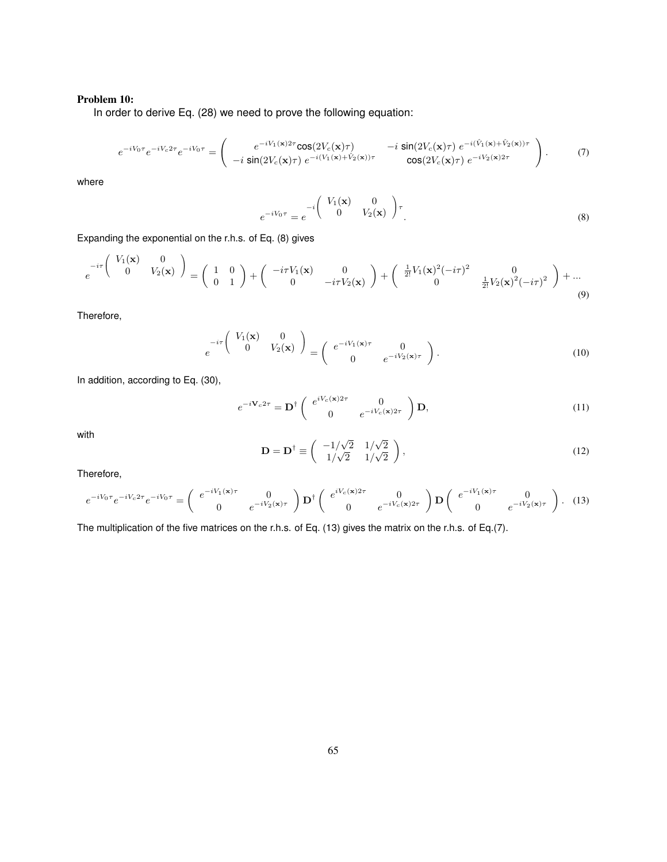# Problem 10:

In order to derive Eq. (28) we need to prove the following equation:

$$
e^{-iV_0\tau}e^{-iV_c2\tau}e^{-iV_0\tau} = \begin{pmatrix} e^{-iV_1(\mathbf{x})2\tau}\cos(2V_c(\mathbf{x})\tau) & -i\sin(2V_c(\mathbf{x})\tau) e^{-i(\hat{V}_1(\mathbf{x})+\hat{V}_2(\mathbf{x}))\tau} \\ -i\sin(2V_c(\mathbf{x})\tau) e^{-i(V_1(\mathbf{x})+\hat{V}_2(\mathbf{x}))\tau} & \cos(2V_c(\mathbf{x})\tau) e^{-iV_2(\mathbf{x})2\tau} \end{pmatrix}.
$$
 (7)

where

$$
e^{-iV_0\tau} = e^{-i\begin{pmatrix} V_1(\mathbf{x}) & 0 \\ 0 & V_2(\mathbf{x}) \end{pmatrix}\tau}.
$$
 (8)

Expanding the exponential on the r.h.s. of Eq. (8) gives

$$
e^{-i\tau \begin{pmatrix} V_1(\mathbf{x}) & 0 \\ 0 & V_2(\mathbf{x}) \end{pmatrix}} = \begin{pmatrix} 1 & 0 \\ 0 & 1 \end{pmatrix} + \begin{pmatrix} -i\tau V_1(\mathbf{x}) & 0 \\ 0 & -i\tau V_2(\mathbf{x}) \end{pmatrix} + \begin{pmatrix} \frac{1}{2!}V_1(\mathbf{x})^2(-i\tau)^2 & 0 \\ 0 & \frac{1}{2!}V_2(\mathbf{x})^2(-i\tau)^2 \end{pmatrix} + \dots
$$
\n(9)

Therefore,

$$
e^{-i\tau} \begin{pmatrix} V_1(\mathbf{x}) & 0 \\ 0 & V_2(\mathbf{x}) \end{pmatrix} = \begin{pmatrix} e^{-iV_1(\mathbf{x})\tau} & 0 \\ 0 & e^{-iV_2(\mathbf{x})\tau} \end{pmatrix}.
$$
 (10)

In addition, according to Eq. (30),

$$
e^{-i\mathbf{V}_c 2\tau} = \mathbf{D}^\dagger \begin{pmatrix} e^{iV_c(\mathbf{x})2\tau} & 0\\ 0 & e^{-iV_c(\mathbf{x})2\tau} \end{pmatrix} \mathbf{D},\tag{11}
$$

with

$$
\mathbf{D} = \mathbf{D}^{\dagger} \equiv \begin{pmatrix} -1/\sqrt{2} & 1/\sqrt{2} \\ 1/\sqrt{2} & 1/\sqrt{2} \end{pmatrix},\tag{12}
$$

Therefore,

$$
e^{-iV_0\tau}e^{-iV_c2\tau}e^{-iV_0\tau} = \begin{pmatrix} e^{-iV_1(\mathbf{x})\tau} & 0\\ 0 & e^{-iV_2(\mathbf{x})\tau} \end{pmatrix} \mathbf{D}^{\dagger} \begin{pmatrix} e^{iV_c(\mathbf{x})2\tau} & 0\\ 0 & e^{-iV_c(\mathbf{x})2\tau} \end{pmatrix} \mathbf{D} \begin{pmatrix} e^{-iV_1(\mathbf{x})\tau} & 0\\ 0 & e^{-iV_2(\mathbf{x})\tau} \end{pmatrix}.
$$
 (13)

The multiplication of the five matrices on the r.h.s. of Eq. (13) gives the matrix on the r.h.s. of Eq.(7).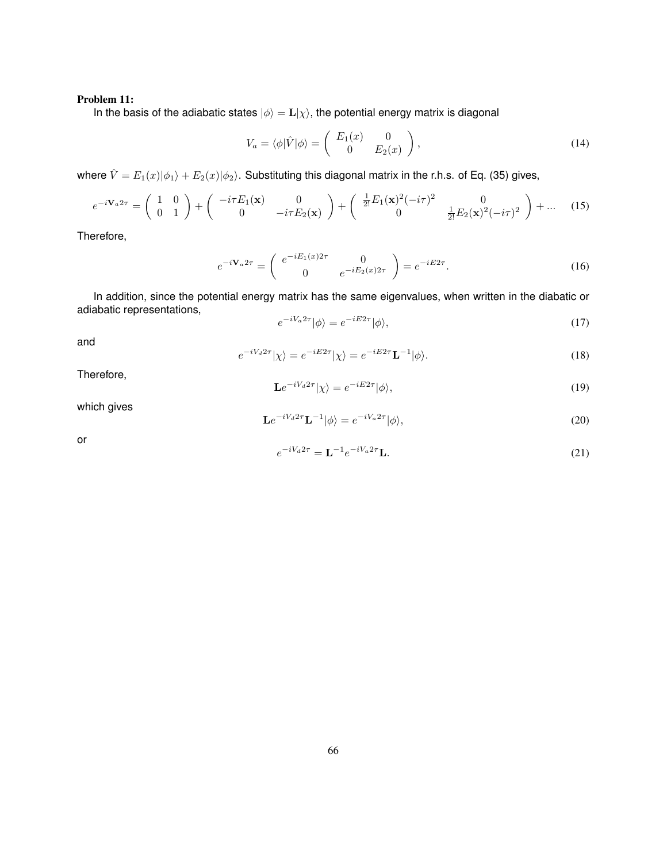# Problem 11:

In the basis of the adiabatic states  $|\phi\rangle = \mathbf{L}|\chi\rangle$ , the potential energy matrix is diagonal

$$
V_a = \langle \phi | \hat{V} | \phi \rangle = \begin{pmatrix} E_1(x) & 0 \\ 0 & E_2(x) \end{pmatrix}, \tag{14}
$$

where  $\hat{V} = E_1(x)|\phi_1\rangle + E_2(x)|\phi_2\rangle$ . Substituting this diagonal matrix in the r.h.s. of Eq. (35) gives,

$$
e^{-i\mathbf{V}_a 2\tau} = \begin{pmatrix} 1 & 0 \\ 0 & 1 \end{pmatrix} + \begin{pmatrix} -i\tau E_1(\mathbf{x}) & 0 \\ 0 & -i\tau E_2(\mathbf{x}) \end{pmatrix} + \begin{pmatrix} \frac{1}{2!} E_1(\mathbf{x})^2 (-i\tau)^2 & 0 \\ 0 & \frac{1}{2!} E_2(\mathbf{x})^2 (-i\tau)^2 \end{pmatrix} + \dots (15)
$$

Therefore,

$$
e^{-i\mathbf{V}_a 2\tau} = \begin{pmatrix} e^{-iE_1(x)2\tau} & 0\\ 0 & e^{-iE_2(x)2\tau} \end{pmatrix} = e^{-iE2\tau}.
$$
 (16)

In addition, since the potential energy matrix has the same eigenvalues, when written in the diabatic or adiabatic representations,

$$
e^{-iV_a 2\tau} |\phi\rangle = e^{-iE2\tau} |\phi\rangle,\tag{17}
$$

and

$$
e^{-iV_d 2\tau} |\chi\rangle = e^{-iE2\tau} |\chi\rangle = e^{-iE2\tau} \mathbf{L}^{-1} |\phi\rangle.
$$
 (18)

Therefore,

$$
\mathbf{L}e^{-iV_d 2\tau}|\chi\rangle = e^{-iE2\tau}|\phi\rangle,\tag{19}
$$

which gives

$$
\mathbf{L}e^{-iV_d 2\tau}\mathbf{L}^{-1}|\phi\rangle = e^{-iV_a 2\tau}|\phi\rangle,\tag{20}
$$

or

$$
e^{-iV_d 2\tau} = \mathbf{L}^{-1} e^{-iV_a 2\tau} \mathbf{L}.
$$
 (21)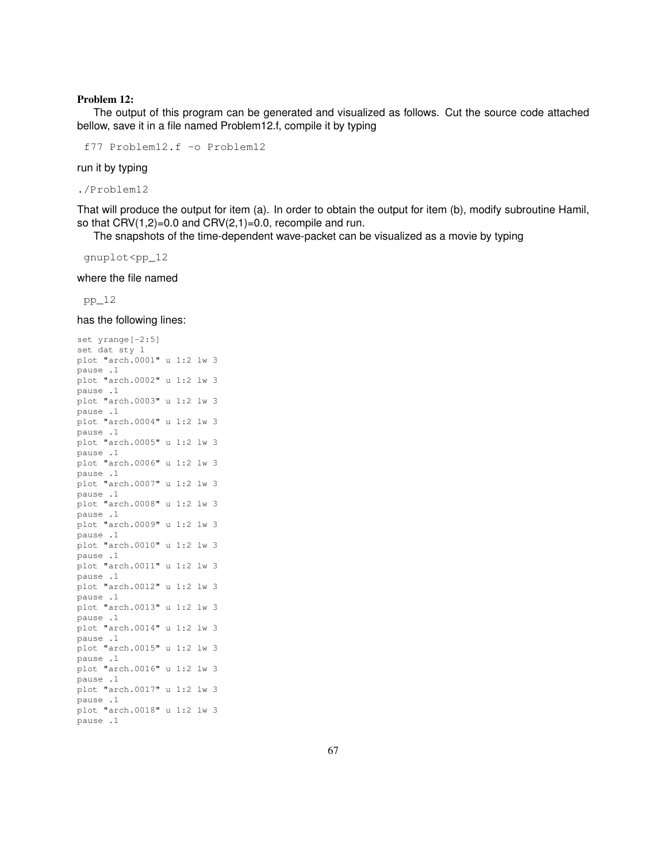### Problem 12:

The output of this program can be generated and visualized as follows. Cut the source code attached bellow, save it in a file named Problem12.f, compile it by typing

f77 Problem12.f -o Problem12

run it by typing

./Problem12

That will produce the output for item (a). In order to obtain the output for item (b), modify subroutine Hamil, so that  $CRV(1,2)=0.0$  and  $CRV(2,1)=0.0$ , recompile and run.

The snapshots of the time-dependent wave-packet can be visualized as a movie by typing

gnuplot<pp\_12

where the file named

pp\_12

has the following lines:

```
set yrange[-2:5]
set dat sty l
plot "arch.0001" u 1:2 lw 3
pause .1
plot "arch.0002" u 1:2 lw 3
pause .1
plot "arch.0003" u 1:2 lw 3
pause .1
plot "arch.0004" u 1:2 lw 3
pause .1
plot "arch.0005" u 1:2 lw 3
pause .1
plot "arch.0006" u 1:2 lw 3
pause .1
plot "arch.0007" u 1:2 lw 3
pause .1
plot "arch.0008" u 1:2 lw 3
pause .1
plot "arch.0009" u 1:2 lw 3
pause .1
plot "arch.0010" u 1:2 lw 3
pause .1
plot "arch.0011" u 1:2 lw 3
pause .1
plot "arch.0012" u 1:2 lw 3
pause .1
plot "arch.0013" u 1:2 lw 3
pause .1
plot "arch.0014" u 1:2 lw 3
pause .1
plot "arch.0015" u 1:2 lw 3
pause .1
plot "arch.0016" u 1:2 lw 3
pause .1
plot "arch.0017" u 1:2 lw 3
pause .1
plot "arch.0018" u 1:2 lw 3
pause .1
```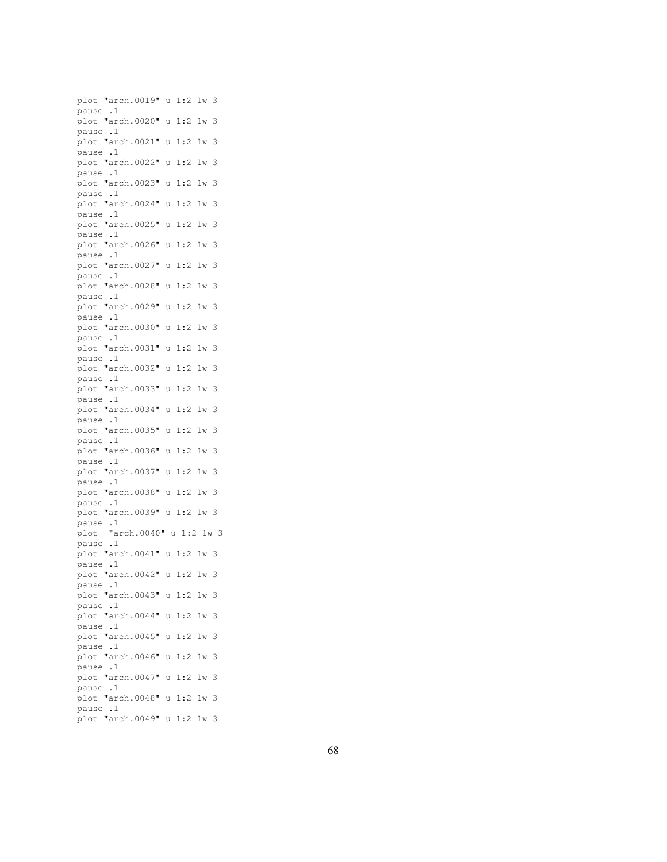plot "arch.0019" u 1:2 lw 3 pause .1 plot "arch.0020" u 1:2 lw 3 pause .1 plot "arch.0021" u 1:2 lw 3 pause .1 plot "arch.0022" u 1:2 lw 3 pause .1 plot "arch.0023" u 1:2 lw 3 pause .1 plot "arch.0024" u 1:2 lw 3 pause .1 plot "arch.0025" u 1:2 lw 3 pause .1 plot "arch.0026" u 1:2 lw 3 pause .1 plot "arch.0027" u 1:2 lw 3 pause .1 plot "arch.0028" u 1:2 lw 3 pause .1 plot "arch.0029" u 1:2 lw 3 pause .1 plot "arch.0030" u 1:2 lw 3 pause .1 plot "arch.0031" u 1:2 lw 3 pause .1 plot "arch.0032" u 1:2 lw 3 pause .1 plot "arch.0033" u 1:2 lw 3 pause .1 plot "arch.0034" u 1:2 lw 3 pause .1 plot "arch.0035" u 1:2 lw 3 pause .1 plot "arch.0036" u 1:2 lw 3 pause .1 plot "arch.0037" u 1:2 lw 3 pause .1 plot "arch.0038" u 1:2 lw 3 pause .1 plot "arch.0039" u 1:2 lw 3 pause .1 plot "arch.0040" u 1:2 lw 3 pause .1 plot "arch.0041" u 1:2 lw 3 pause .1 plot "arch.0042" u 1:2 lw 3 pause .1 plot "arch.0043" u 1:2 lw 3 pause .1 plot "arch.0044" u 1:2 lw 3 pause .1 plot "arch.0045" u 1:2 lw 3 pause .1 plot "arch.0046" u 1:2 lw 3 pause .1 plot "arch.0047" u 1:2 lw 3 pause .1 plot "arch.0048" u 1:2 lw 3 pause .1 plot "arch.0049" u 1:2 lw 3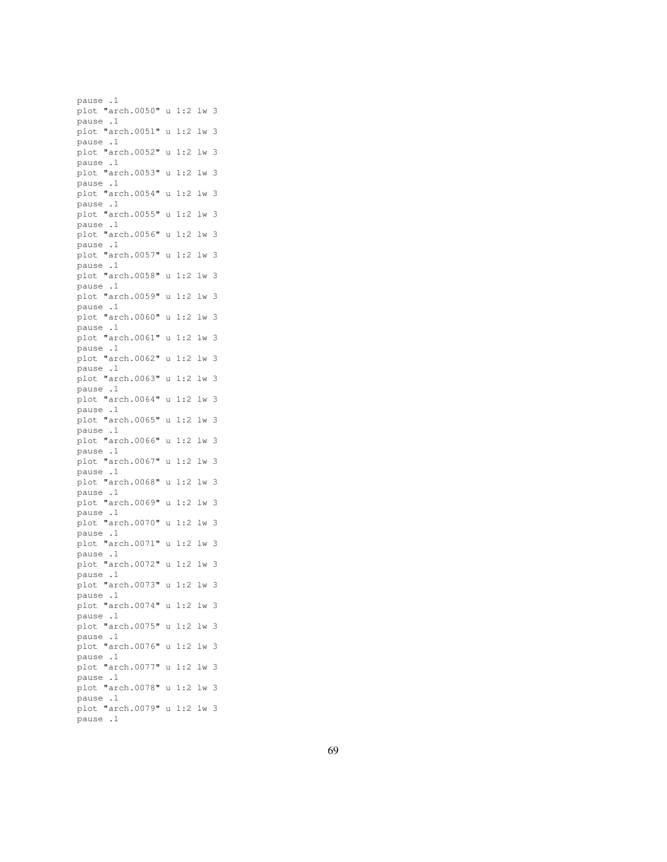pause .1 plot "arch.0050" u 1:2 lw 3 pause .1 plot "arch.0051" u 1:2 lw 3 pause .1 plot "arch.0052" u 1:2 lw 3 pause .1 plot "arch.0053" u 1:2 lw 3 pause .1 plot "arch.0054" u 1:2 lw 3 pause .1 plot "arch.0055" u 1:2 lw 3 pause .1 plot "arch.0056" u 1:2 lw 3 pause .1 plot "arch.0057" u 1:2 lw 3 pause .1 plot "arch.0058" u 1:2 lw 3 pause .1 plot "arch.0059" u 1:2 lw 3 pause .1 plot "arch.0060" u 1:2 lw 3 pause .1 plot "arch.0061" u 1:2 lw 3 pause .1 plot "arch.0062" u 1:2 lw 3 pause .1 plot "arch.0063" u 1:2 lw 3 pause .1 plot "arch.0064" u 1:2 lw 3 pause .1 plot "arch.0065" u 1:2 lw 3 pause .1 plot "arch.0066" u 1:2 lw 3 pause .1 plot "arch.0067" u 1:2 lw 3 pause .1 plot "arch.0068" u 1:2 lw 3 pause .1 plot "arch.0069" u 1:2 lw 3 pause .1 plot "arch.0070" u 1:2 lw 3 pause .1 plot "arch.0071" u 1:2 lw 3 pause .1 plot "arch.0072" u 1:2 lw 3 pause .1 plot "arch.0073" u 1:2 lw 3 pause .1 plot "arch.0074" u 1:2 lw 3 pause .1 plot "arch.0075" u 1:2 lw 3 pause .1 plot "arch.0076" u 1:2 lw 3 pause .1 plot "arch.0077" u 1:2 lw 3 pause .1 plot "arch.0078" u 1:2 lw 3 pause .1 plot "arch.0079" u 1:2 lw 3 pause .1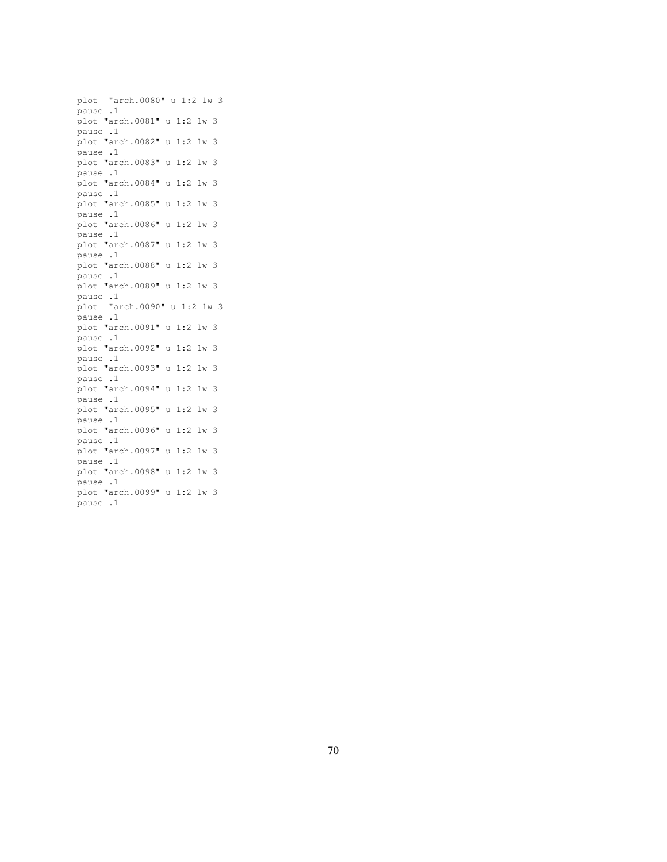plot "arch.0080" u 1:2 lw 3 pause .1 plot "arch.0081" u 1:2 lw 3 pause .1 plot "arch.0082" u 1:2 lw 3 pause .1 plot "arch.0083" u 1:2 lw 3 pause .1 plot "arch.0084" u 1:2 lw 3 pause .1 plot "arch.0085" u 1:2 lw 3 pause .1 plot "arch.0086" u 1:2 lw 3 pause .1 plot "arch.0087" u 1:2 lw 3 pause .1 plot "arch.0088" u 1:2 lw 3 pause .1 plot "arch.0089" u 1:2 lw 3 pause .1 plot "arch.0090" u 1:2 lw 3 pause .1 plot "arch.0091" u 1:2 lw 3 pause .1 plot "arch.0092" u 1:2 lw 3 pause .1 plot "arch.0093" u 1:2 lw 3 pause .1 plot "arch.0094" u 1:2 lw 3 pause .1 plot "arch.0095" u 1:2 lw 3 pause .1 plot "arch.0096" u 1:2 lw 3 pause .1 plot "arch.0097" u 1:2 lw 3 pause .1 plot "arch.0098" u 1:2 lw 3 pause .1 plot "arch.0099" u 1:2 lw 3 pause .1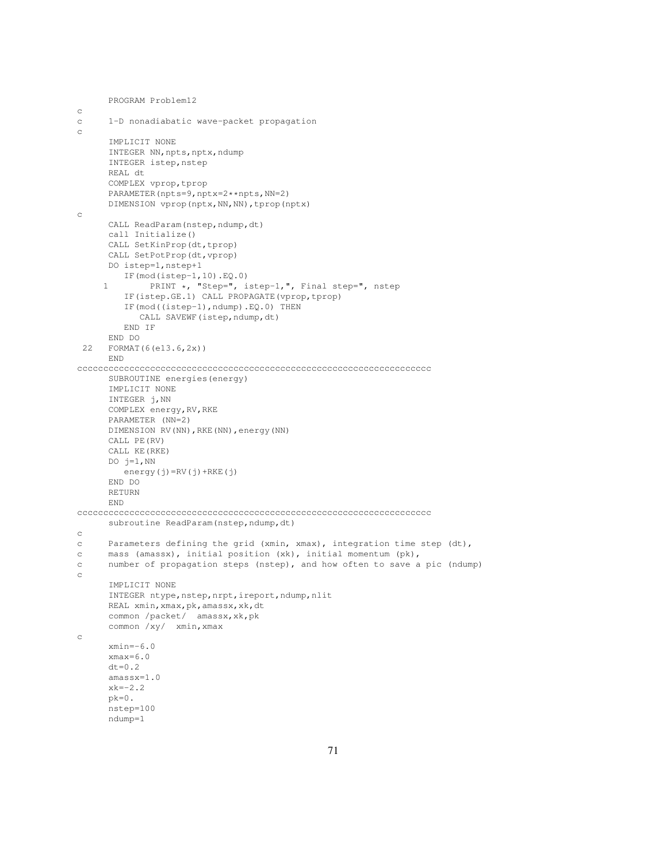```
PROGRAM Problem12
c
c 1-D nonadiabatic wave-packet propagation
c
      IMPLICIT NONE
      INTEGER NN, npts, nptx, ndump
      INTEGER istep, nstep
      REAL dt
      COMPLEX vprop,tprop
      PARAMETER(npts=9,nptx=2**npts,NN=2)
      DIMENSION vprop(nptx,NN,NN),tprop(nptx)
c
      CALL ReadParam(nstep,ndump,dt)
      call Initialize()
      CALL SetKinProp(dt,tprop)
      CALL SetPotProp(dt,vprop)
      DO istep=1,nstep+1
        IF(mod(istep-1,10).EQ.0)
     1 PRINT *, "Step=", istep-1,", Final step=", nstep
         IF(istep.GE.1) CALL PROPAGATE(vprop,tprop)
         IF(mod((istep-1),ndump).EQ.0) THEN
           CALL SAVEWF (istep, ndump, dt)
         END IF
      END DO
 22 FORMAT(6(e13.6,2x))
      END
cccccccccccccccccccccccccccccccccccccccccccccccccccccccccccccccccccc
      SUBROUTINE energies(energy)
      IMPLICIT NONE
     INTEGER j,NN
      COMPLEX energy,RV,RKE
      PARAMETER (NN=2)
      DIMENSION RV(NN),RKE(NN),energy(NN)
      CALL PE(RV)
      CALL KE(RKE)
      DO j=1,NN
        energy(j)=RV(j)+RKE(j)
      END DO
      RETURN
      END
cccccccccccccccccccccccccccccccccccccccccccccccccccccccccccccccccccc
      subroutine ReadParam(nstep, ndump, dt)
c
c Parameters defining the grid (xmin, xmax), integration time step (dt),
c mass (amassx), initial position (xk), initial momentum (pk),
c number of propagation steps (nstep), and how often to save a pic (ndump)
c
      IMPLICIT NONE
      INTEGER ntype, nstep, nrpt, ireport, ndump, nlit
      REAL xmin,xmax,pk,amassx,xk,dt
      common /packet/ amassx, xk, pk
      common /xy/ xmin,xmax
c
      xmin=-6.0
      xmax=6.0
      dt=0.2amassx=1.0
      xk=-2.2pk=0.
      nstep=100
      ndump=1
```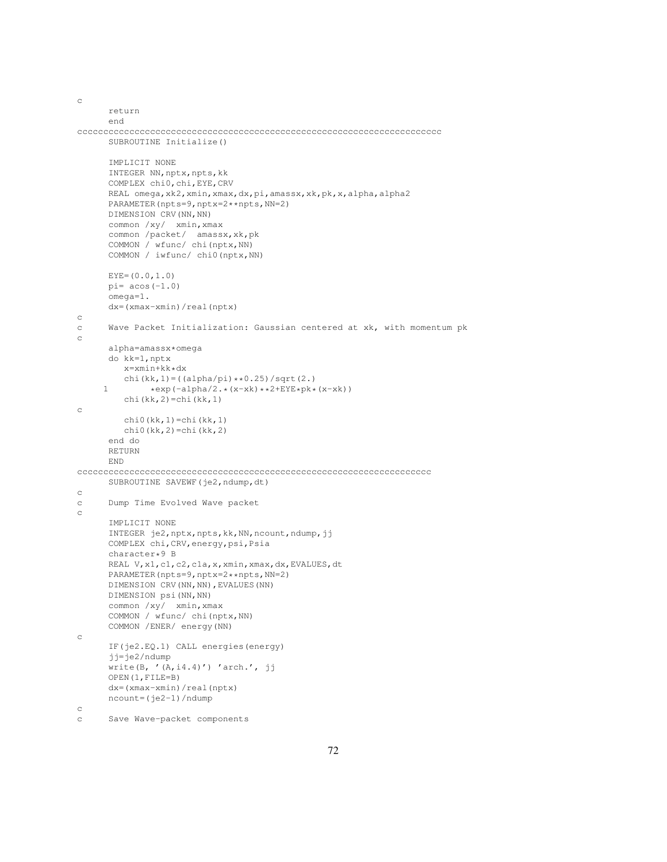```
c
      return
      end
cccccccccccccccccccccccccccccccccccccccccccccccccccccccccccccccccccccc
     SUBROUTINE Initialize()
     IMPLICIT NONE
      INTEGER NN, nptx, npts, kk
      COMPLEX chi0,chi,EYE,CRV
     REAL omega, xk2, xmin, xmax, dx, pi, amassx, xk, pk, x, alpha, alpha2
     PARAMETER(npts=9,nptx=2**npts,NN=2)
     DIMENSION CRV (NN, NN)
     common /xy/ xmin,xmax
      common /packet/ amassx,xk,pk
     COMMON / wfunc/ chi(nptx,NN)
     COMMON / iwfunc/ chi0(nptx,NN)
     EYE=(0.0,1.0)pi= acos(-1.0)omega=1.
     dx=(xmax-xmin)/real(nptx)
c
c Wave Packet Initialization: Gaussian centered at xk, with momentum pk
\mathcal{C}alpha=amassx*omega
     do kk=1,nptx
         x=xmin+kk*dx
         chi(kk, 1) = ((alpha/pi) **0.25)/sqrt(2.)
     1 *exp(-alpha/2.*(x-xk)**2+EYE*pk*(x-xk))
         chi(kk,2)=chi(kk,1)
c
         chi0(kk,1)=chi(kk,1)
         chi(0(kk,2)=chi(kk,2)end do
     RETURN
     END
cccccccccccccccccccccccccccccccccccccccccccccccccccccccccccccccccccc
     SUBROUTINE SAVEWF(je2,ndump,dt)
c
c Dump Time Evolved Wave packet
\simIMPLICIT NONE
      INTEGER je2,nptx,npts,kk,NN,ncount,ndump,jj
     COMPLEX chi,CRV,energy,psi,Psia
      character*9 B
     REAL V,x1,c1,c2,c1a,x,xmin,xmax,dx,EVALUES,dt
      PARAMETER(npts=9,nptx=2**npts,NN=2)
     DIMENSION CRV(NN,NN), EVALUES(NN)
     DIMENSION psi(NN,NN)
     common /xy/ xmin,xmax
     COMMON / wfunc/ chi(nptx,NN)
     COMMON /ENER/ energy(NN)
c
     IF(je2.EQ.1) CALL energies(energy)
      jj=je2/ndump
      write(B, '(A,i4.4)') 'arch.', jj
     OPEN(1,FILE=B)
     dx=(xmax-xmin)/real(nptx)
     ncount=(je2-1)/ndump
c
c Save Wave-packet components
```

```
72
```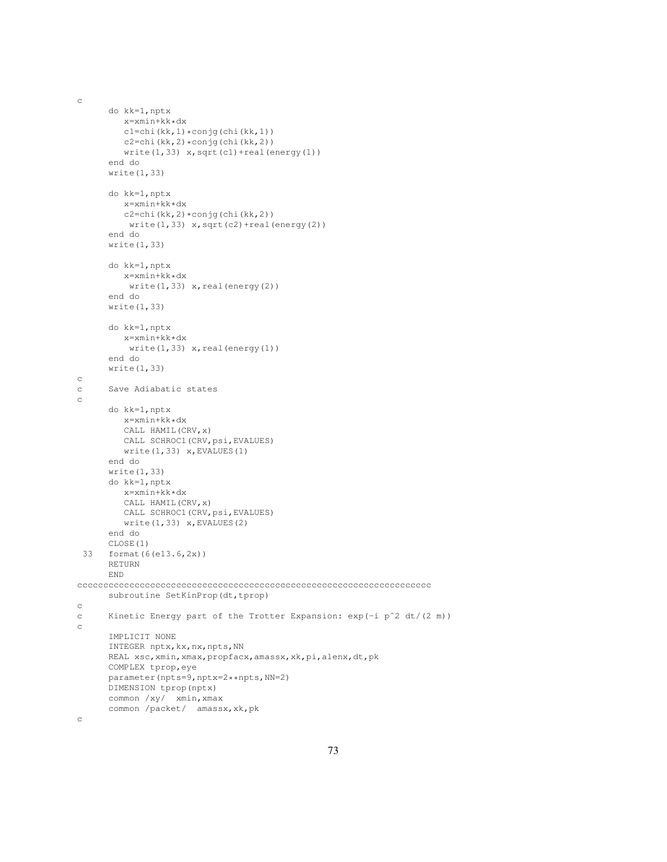c do kk=1,nptx x=xmin+kk\*dx c1=chi(kk,1)\*conjg(chi(kk,1)) c2=chi(kk,2)\*conjg(chi(kk,2)) write $(1,33)$  x, sqrt $(cl)$ +real(energy $(l)$ ) end do write(1,33) do kk=1,nptx x=xmin+kk\*dx c2=chi(kk,2)\*conjg(chi(kk,2))  $write(1,33)$   $x, sqrt(c2) + real(energy(2))$ end do write(1,33) do kk=1,nptx x=xmin+kk\*dx  $write(1,33)$   $x, real(energy(2))$ end do write(1,33) do kk=1,nptx x=xmin+kk\*dx  $write(1,33)$   $x, real(energy(1))$ end do write(1,33) c c Save Adiabatic states c do kk=1,nptx x=xmin+kk\*dx CALL HAMIL(CRV,x) CALL SCHROC1 (CRV, psi, EVALUES) write(1,33) x,EVALUES(1) end do write(1,33) do kk=1,nptx x=xmin+kk\*dx CALL HAMIL(CRV,x) CALL SCHROC1 (CRV, psi, EVALUES)  $write(1,33)$   $x, EVALUES(2)$ end do CLOSE(1) 33 format(6(e13.6,2x)) RETURN END cccccccccccccccccccccccccccccccccccccccccccccccccccccccccccccccccccc subroutine SetKinProp(dt,tprop) c c Kinetic Energy part of the Trotter Expansion: exp(-i pˆ2 dt/(2 m)) c IMPLICIT NONE INTEGER nptx, kx, nx, npts, NN REAL xsc,xmin,xmax,propfacx,amassx,xk,pi,alenx,dt,pk COMPLEX tprop,eye parameter(npts=9,nptx=2\*\*npts,NN=2) DIMENSION tprop(nptx) common /xy/ xmin,xmax common /packet/ amassx,xk,pk

c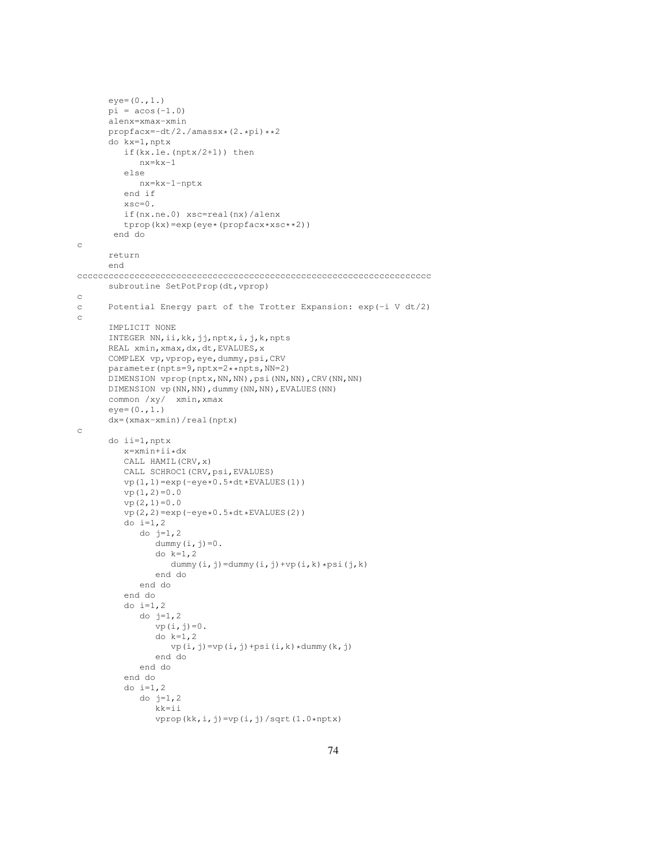```
eye=(0.,1.)pi = a cos(-1.0)alenx=xmax-xmin
      propfacx=-dt/2./amassx*(2.*pi)**2
      do kx=1,nptx
         if(kx.le.(nptx/2+1)) then
            nx=kx-1
         else
           nx=kx-1-nptx
         end if
         xsc=0.
         if(nx.ne.0) xsc=real(nx)/alenx
         tprop(kx)=exp(eye*(propfacx*xsc**2))
       end do
c
      return
      end
cccccccccccccccccccccccccccccccccccccccccccccccccccccccccccccccccccc
      subroutine SetPotProp(dt, vprop)
c
c Potential Energy part of the Trotter Expansion: exp(-i V dt/2)
c
      IMPLICIT NONE
      INTEGER NN,ii,kk,jj,nptx,i,j,k,npts
      REAL xmin, xmax, dx, dt, EVALUES, x
      COMPLEX vp,vprop,eye,dummy,psi,CRV
      parameter(npts=9,nptx=2**npts,NN=2)
      DIMENSION vprop(nptx,NN,NN),psi(NN,NN),CRV(NN,NN)
      DIMENSION vp(NN,NN),dummy(NN,NN),EVALUES(NN)
      common /xy/ xmin,xmax
      eye=(0.,1.)
      dx=(xmax-xmin)/real(nptx)
c
      do ii=1,nptx
         x=xmin+ii*dx
         CALL HAMIL(CRV,x)
         CALL SCHROC1 (CRV, psi, EVALUES)
         vp(1,1)=exp(-eye*0.5*dt*EVALUES(1))vp(1,2)=0.0vp(2,1)=0.0vp(2,2)=exp(-eye*0.5*dt*EVALUES(2))do i=1,2do j=1,2
               dummy(i, j) = 0.
               do k=1, 2dummy(i,j)=dummy(i,j)+vp(i,k)*psi(j,k)
               end do
            end do
         end do
         do i=1,2
            do j=1,2
               vp(i,j)=0.do k=1,2
                  vp(i,j)=vp(i,j)+psi(i,k)*dumm(y(k,j))end do
            end do
         end do
         do i=1, 2do j=1,2kk=ii
               vprop(kk,i,j)=vp(i,j)/sqrt(1.0*nptx)
```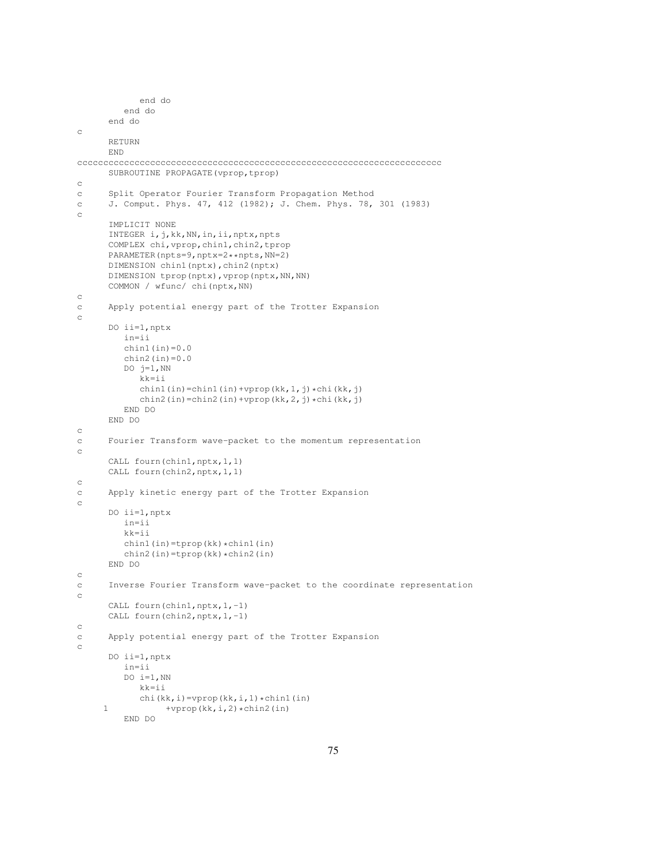```
end do
         end do
      end do
c
      RETURN
      END
cccccccccccccccccccccccccccccccccccccccccccccccccccccccccccccccccccccc
      SUBROUTINE PROPAGATE(vprop,tprop)
c
c Split Operator Fourier Transform Propagation Method
c J. Comput. Phys. 47, 412 (1982); J. Chem. Phys. 78, 301 (1983)
\simIMPLICIT NONE
      INTEGER i,j,kk,NN,in,ii,nptx,npts
      COMPLEX chi,vprop,chin1,chin2,tprop
      PARAMETER(npts=9,nptx=2**npts,NN=2)
      DIMENSION chin1(nptx), chin2(nptx)
      DIMENSION tprop(nptx), vprop(nptx, NN, NN)
      COMMON / wfunc/ chi(nptx,NN)
c
c Apply potential energy part of the Trotter Expansion
c
      DO ii=1,nptx
         in=ii
         chin1(in)=0.0chin2(in)=0.0DO j=1, NN
            kk=ii
            chin1(in)=chin1(in)+vprop(kk,1,j)*chi(kk,j)
            chin2(in)=chin2(in)+vprop(kk,2,j)*chi(kk,j)
         END DO
      END DO
c
c Fourier Transform wave-packet to the momentum representation
c
      CALL fourn(chin1,nptx,1,1)
      CALL fourn(chin2,nptx,1,1)
\rm _cc Apply kinetic energy part of the Trotter Expansion
c
      DO ii=1,nptx
         in=ii
         kk=ii
         chin1(in)=tprop(kk)*chin1(in)
        chin2(in)=tprop(kk)*chin2(in)
      END DO
c
c Inverse Fourier Transform wave-packet to the coordinate representation
c
      CALL fourn(chin1, nptx, 1,-1)
      CALL fourn(chin2, nptx, 1,-1)
c
c Apply potential energy part of the Trotter Expansion
c
      DO ii=1,nptx
         in=ii
         DO i=1, NN
           kk=ii
            chi(kk, i)=vprop(kk, i, 1) *chin1(in)
     1 +vprop(kk, i, 2) \starchin2(in)
         END DO
```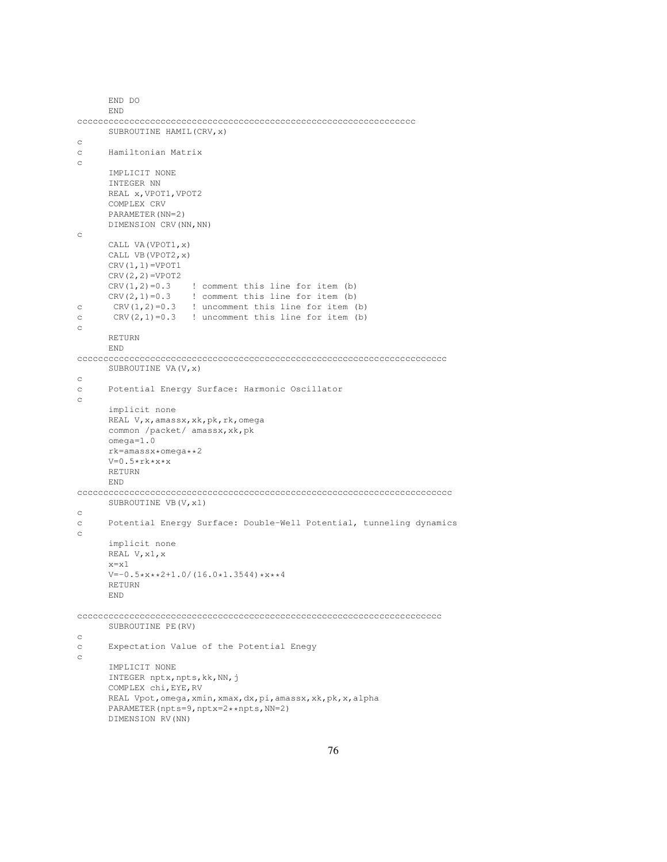```
END DO
     END
ccccccccccccccccccccccccccccccccccccccccccccccccccccccccccccccccc
     SUBROUTINE HAMIL(CRV,x)
c
c Hamiltonian Matrix
c
     IMPLICIT NONE
      INTEGER NN
     REAL x,VPOT1,VPOT2
     COMPLEX CRV
     PARAMETER(NN=2)
     DIMENSION CRV(NN,NN)
c
     CALL VA(VPOT1,x)
     CALL VB(VPOT2,x)
     CRV(1,1)=VPOT1CRV(2,2)=VPOT2
      CRV(1, 2)=0.3 ! comment this line for item (b)
      CRV(2, 1)=0.3 ! comment this line for item (b)
c CRV(1, 2)=0.3 ! uncomment this line for item (b)
c C R V(2, 1) = 0.3 ! uncomment this line for item (b)
c
     RETURN
     END
ccccccccccccccccccccccccccccccccccccccccccccccccccccccccccccccccccccccc
     SUBROUTINE VA(V, x)
c
c Potential Energy Surface: Harmonic Oscillator
c
     implicit none
     REAL V,x,amassx,xk,pk,rk,omega
     common /packet/ amassx,xk,pk
     omega=1.0
     rk=amassx*omega**2
     V=0.5*rk*x*x
     RETURN
     END
cccccccccccccccccccccccccccccccccccccccccccccccccccccccccccccccccccccccc
     SUBROUTINE VB(V, x1)
c
c Potential Energy Surface: Double-Well Potential, tunneling dynamics
c
     implicit none
     REAL V,x1,x
     x=x1
      V=-0.5*x**2+1.0/(16.0*1.3544)*x**4RETURN
     END
cccccccccccccccccccccccccccccccccccccccccccccccccccccccccccccccccccccc
      SUBROUTINE PE(RV)
c
c Expectation Value of the Potential Enegy
c
      IMPLICIT NONE
      INTEGER nptx, npts, kk, NN, j
     COMPLEX chi,EYE,RV
     REAL Vpot,omega,xmin,xmax,dx,pi,amassx,xk,pk,x,alpha
     PARAMETER(npts=9,nptx=2**npts,NN=2)
     DIMENSION RV(NN)
```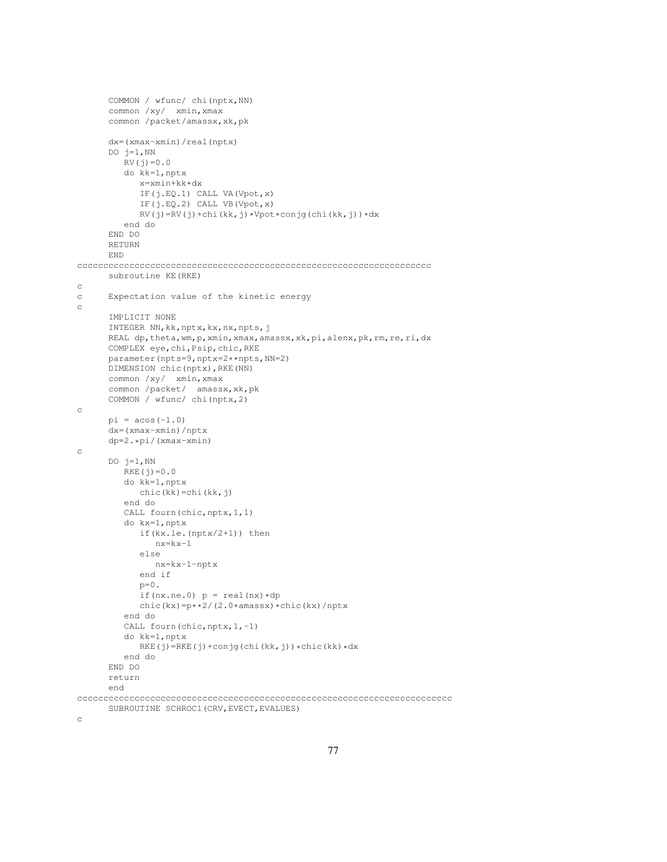```
COMMON / wfunc/ chi(nptx,NN)
      common /xy/ xmin,xmax
      common /packet/amassx,xk,pk
      dx=(xmax-xmin)/real(nptx)
      DO j=1, NN
         RV(j)=0.0do kk=1,nptx
            x=xmin+kk*dx
            IF(j.EQ.1) CALL VA(Vpot,x)
            IF(j.EQ.2) CALL VB(Vpot,x)
            RV(j)=RV(j)+chi(kk,j)*Vpot*conjg(chi(kk,j))*dx
         end do
      END DO
      RETURN
      END
cccccccccccccccccccccccccccccccccccccccccccccccccccccccccccccccccccc
      subroutine KE(RKE)
c
c Expectation value of the kinetic energy
c
      IMPLICIT NONE
      INTEGER NN,kk,nptx,kx,nx,npts,j
      REAL dp,theta,wm,p,xmin,xmax,amassx,xk,pi,alenx,pk,rm,re,ri,dx
      COMPLEX eye,chi,Psip,chic,RKE
      parameter(npts=9,nptx=2**npts,NN=2)
      DIMENSION chic(nptx),RKE(NN)
      common /xy/ xmin,xmax
      common /packet/ amassx,xk,pk
      COMMON / wfunc/ chi(nptx,2)
c
      pi = a cos(-1.0)dx=(xmax-xmin)/nptx
      dp=2.*pi/(xmax-xmin)
c
      DO j=1,NN
         RKE(j) = 0.0do kk=1,nptx
           chic(kk)=chi(kk,j)
         end do
         CALL fourn(chic, nptx, 1, 1)
         do kx=1,nptx
            if(kx.le.(nptx/2+1)) then
              nx=kx-1
            else
              nx=kx-1-nptx
            end if
            p=0.
            if(nx.ne.0) p = \text{real}(nx) * dpchic(kx)=p**2/(2.0*amassx)*chic(kx)/nptx
         end do
         CALL fourn(chic, nptx, 1,-1)
         do kk=1,nptx
            RKE(j)=RKE(j)+conjg(chi(kk,j))*chic(kk)*dx
         end do
      END DO
      return
      end
cccccccccccccccccccccccccccccccccccccccccccccccccccccccccccccccccccccccc
      SUBROUTINE SCHROC1(CRV,EVECT,EVALUES)
```
c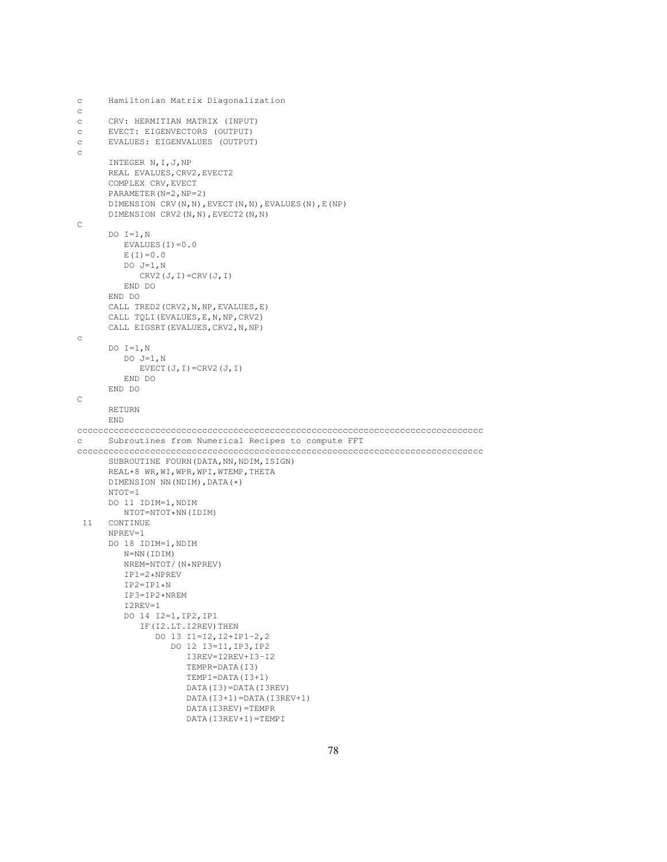```
c Hamiltonian Matrix Diagonalization
c
c CRV: HERMITIAN MATRIX (INPUT)
c EVECT: EIGENVECTORS (OUTPUT)
c EVALUES: EIGENVALUES (OUTPUT)
c
      INTEGER N,I,J,NP
      REAL EVALUES, CRV2, EVECT2
      COMPLEX CRV,EVECT
      PARAMETER(N=2,NP=2)
      DIMENSION CRV(N,N),EVECT(N,N),EVALUES(N),E(NP)
      DIMENSION CRV2(N,N),EVECT2(N,N)
C
      DO I=1,N
         EVALUES(I)=0.0E(I) = 0.0DO J=1,NCRV2(J, I)=CRV(J, I)END DO
      END DO
      CALL TRED2 (CRV2, N, NP, EVALUES, E)
      CALL TQLI(EVALUES,E,N,NP,CRV2)
      CALL EIGSRT(EVALUES,CRV2,N,NP)
c
      DO I=1,NDO J=1,N
           EVECT(J, I)=CRV2(J, I)END DO
      END DO
C
      RETURN
      END
cccccccccccccccccccccccccccccccccccccccccccccccccccccccccccccccccccccccccccccc
c Subroutines from Numerical Recipes to compute FFT
cccccccccccccccccccccccccccccccccccccccccccccccccccccccccccccccccccccccccccccc
      SUBROUTINE FOURN (DATA, NN, NDIM, ISIGN)
      REAL*8 WR,WI,WPR,WPI,WTEMP,THETA
      DIMENSION NN(NDIM),DATA(*)
      NTOT=1
      DO 11 IDIM=1,NDIM
        NTOT=NTOT*NN(IDIM)
 11 CONTINUE
      NPREV=1
      DO 18 IDIM=1,NDIM
         N=NN(IDIM)
         NREM=NTOT/(N*NPREV)
         IP1=2*NPREV
         IP2=IP1*N
         IP3=IP2*NREM
         I2REV=1
         DO 14 I2=1,IP2,IP1
            IF(I2.LT.I2REV)THEN
               DO 13 I1=I2,I2+IP1-2,2
                  DO 12 I3=I1,IP3,IP2
                     I3REV=I2REV+I3-I2
                     TEMPR=DATA(I3)
                     TEMPI=DATA(I3+1)
                     DATA(I3)=DATA(I3REV)
                     DATA(I3+1)=DATA(I3REV+1)
                     DATA(I3REV)=TEMPR
                     DATA(I3REV+1)=TEMPI
```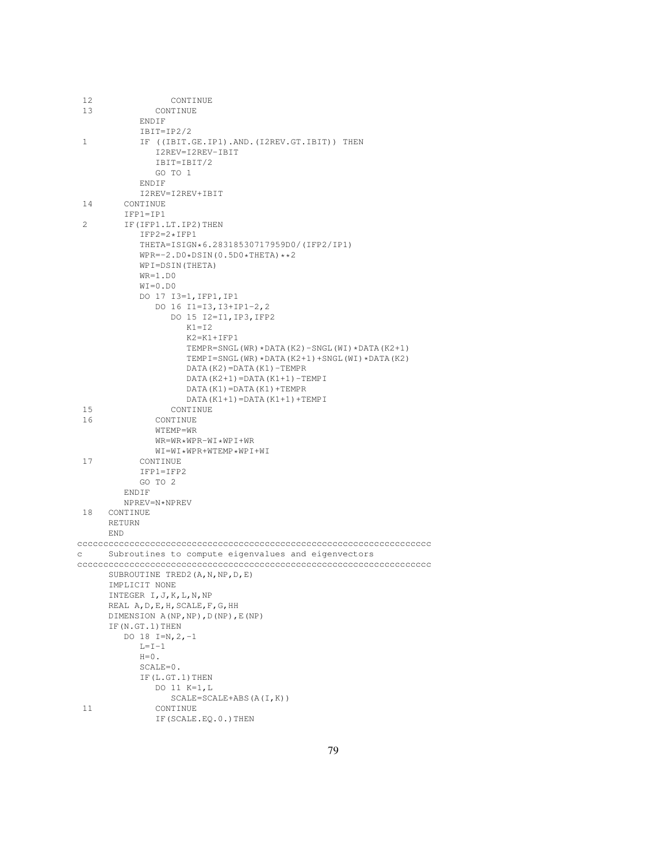| 12           | CONTINUE                                            |
|--------------|-----------------------------------------------------|
| 13           | CONTINUE                                            |
|              | ENDIF                                               |
|              | $IBIT=IP2/2$                                        |
| $\mathbf{1}$ | IF ((IBIT.GE.IP1).AND.(I2REV.GT.IBIT)) THEN         |
|              | I2REV=I2REV-IBIT                                    |
|              | IBIT=IBIT/2                                         |
|              | GO TO 1                                             |
|              | ENDIF                                               |
|              | I2REV=I2REV+IBIT                                    |
| 14           | CONTINUE                                            |
|              | $IFPI=IP1$                                          |
| 2            | IF (IFP1.LT.IP2) THEN                               |
|              | $IFP2=2*IFP1$                                       |
|              |                                                     |
|              | THETA=ISIGN*6.28318530717959D0/(IFP2/IP1)           |
|              | $WPR=-2. D0 * DSIM(0.5D0 * THETA) * *2$             |
|              | WPI=DSIN(THETA)                                     |
|              | $WR=1.D0$                                           |
|              | $WI = 0.DD0$                                        |
|              | DO 17 I3=1, IFP1, IP1                               |
|              | DO 16 I1=I3, I3+IP1-2, 2                            |
|              | DO 15 I2=I1, IP3, IFP2                              |
|              | $K1 = I2$                                           |
|              | $K2 = K1 + IFP1$                                    |
|              | TEMPR=SNGL(WR) *DATA(K2)-SNGL(WI) *DATA(K2+1)       |
|              | TEMPI=SNGL(WR) * DATA(K2+1) + SNGL(WI) * DATA(K2)   |
|              | $DATA(K2) = DATA(K1) - TEMPR$                       |
|              | $DATA(K2+1) = DATA(K1+1) - TEMPI$                   |
|              | DATA (K1) = DATA (K1) + TEMPR                       |
|              | $DATA(K1+1) = DATA(K1+1) + TEMPI$                   |
| 15           | CONTINUE                                            |
|              |                                                     |
| 16           | CONTINUE                                            |
|              | WTEMP=WR                                            |
|              | $WR = WR * WPR - WI * WPI + WR$                     |
|              | WI=WI*WPR+WTEMP*WPI+WI                              |
| 17           | CONTINUE                                            |
|              | IFP1=IFP2                                           |
|              | GO TO 2                                             |
|              | ENDIF                                               |
|              | NPREV=N*NPREV                                       |
| 18           | CONTINUE                                            |
|              | <b>RETURN</b>                                       |
|              | END                                                 |
|              |                                                     |
| С            | Subroutines to compute eigenvalues and eigenvectors |
|              |                                                     |
|              | SUBROUTINE TRED2 (A, N, NP, D, E)                   |
|              | IMPLICIT NONE                                       |
|              | INTEGER I, J, K, L, N, NP                           |
|              | REAL A, D, E, H, SCALE, F, G, HH                    |
|              | DIMENSION A(NP, NP), D(NP), E(NP)                   |
|              | IF (N.GT.1) THEN                                    |
|              | DO 18 I=N, $2, -1$                                  |
|              | $L = I - 1$                                         |
|              | $H=0$ .                                             |
|              |                                                     |
|              | $SCALE=0$ .                                         |
|              | IF(L.GT.1) THEN                                     |
|              | DO 11 K=1,L                                         |
|              | $SCALE=SCALE+ABS(A(I,K))$                           |
| 11           | CONTINUE                                            |
|              | IF (SCALE.EQ.0.) THEN                               |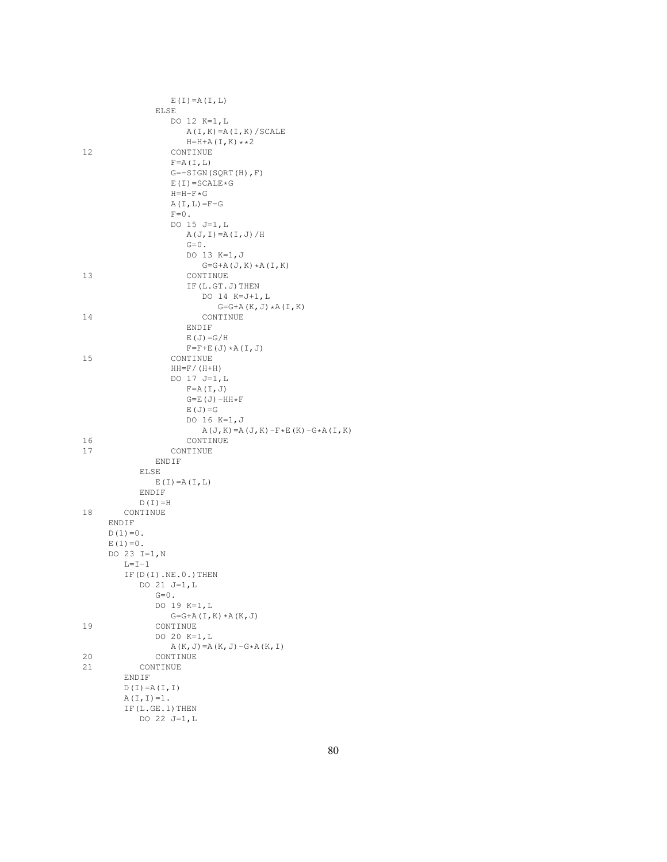|    | $E(I) = A(I, L)$                                  |
|----|---------------------------------------------------|
|    | ELSE                                              |
|    | DO 12 K=1, L                                      |
|    | $A(I, K) = A(I, K) / SCALE$                       |
|    | H=H+A(I,K) $\star\star2$                          |
| 12 | CONTINUE                                          |
|    | $F = A (I, L)$                                    |
|    | $G=-SIGN(SQRT(H), F)$                             |
|    | $E(I) = SCALE * G$                                |
|    | $H=H-F*G$                                         |
|    | $A(I, L) = F - G$                                 |
|    | $F=0$ .                                           |
|    | DO 15 J=1, L                                      |
|    | $A(J, I) = A(I, J) / H$                           |
|    | $G=0$ .                                           |
|    | DO 13 K=1, J                                      |
|    | $G=G+A(J,K)*A(I,K)$                               |
| 13 | CONTINUE                                          |
|    | IF (L.GT.J) THEN                                  |
|    | DO 14 K=J+1, L                                    |
|    | $G=G+A(K,J) * A(I,K)$                             |
| 14 | CONTINUE                                          |
|    | ENDIF                                             |
|    | $E(J) = G/H$                                      |
|    | $F=F+E(J) * A(I,J)$                               |
| 15 | CONTINUE                                          |
|    |                                                   |
|    | $HH=F/(H+H)$                                      |
|    | DO 17 J=1, L                                      |
|    | $F=A(I,J)$                                        |
|    | $G=E(J)-HH*F$                                     |
|    | $E(J) = G$                                        |
|    | DO 16 K=1, J                                      |
|    | $A(J,K) = A(J,K) - F \star E(K) - G \star A(I,K)$ |
| 16 | CONTINUE                                          |
| 17 | CONTINUE                                          |
|    | ENDIF                                             |
|    | ELSE                                              |
|    | $E(I) = A(I, L)$                                  |
|    | ENDIF                                             |
|    | $D(I) = H$                                        |
| 18 | CONTINUE                                          |
|    | ENDIF                                             |
|    | $D(1) = 0$ .                                      |
|    | $E(1) = 0$ .                                      |
|    | DO 23 I=1, N                                      |
|    | $L = I - 1$                                       |
|    | IF $(D(I) .NE.0.)$ THEN                           |
|    | DO 21 J=1,L                                       |
|    | $G=0$ .                                           |
|    | DO 19 K=1, L                                      |
|    | $G=G+A(I,K) * A(K,J)$                             |
| 19 | CONTINUE                                          |
|    | DO 20 K=1, L                                      |
|    | $A(K, J) = A(K, J) - G * A(K, I)$                 |
| 20 | CONTINUE                                          |
| 21 | CONTINUE                                          |
|    | ENDIF                                             |
|    | $D(I) = A(I, I)$                                  |
|    | $A(I, I) = 1$ .                                   |
|    | IF(L.GE.1) THEN                                   |
|    | DO 22 J=1,L                                       |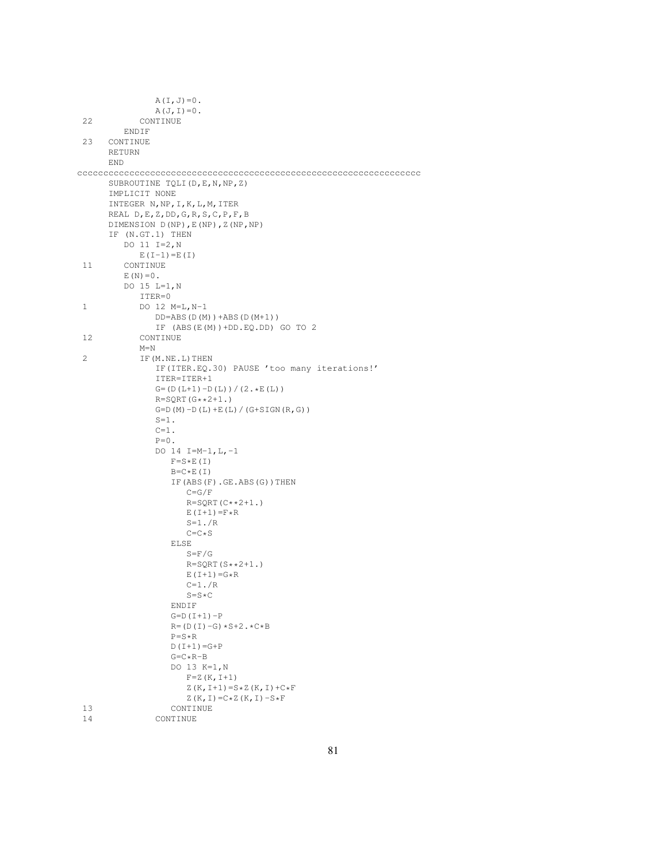|    | $A(I,J)=0$ .                                |
|----|---------------------------------------------|
|    | $A(J, I) = 0$ .                             |
| 22 | CONTINUE                                    |
|    | ENDIF                                       |
| 23 | CONTINUE                                    |
|    | <b>RETURN</b>                               |
|    | END                                         |
|    |                                             |
|    | SUBROUTINE TQLI (D, E, N, NP, Z)            |
|    | IMPLICIT NONE                               |
|    | INTEGER N, NP, I, K, L, M, ITER             |
|    | REAL $D, E, Z, DD, G, R, S, C, P, F, B$     |
|    | DIMENSION D(NP), E(NP), Z(NP, NP)           |
|    | IF (N.GT.1) THEN                            |
|    | DO 11 $I=2,N$                               |
|    | $E(I-1) = E(I)$                             |
| 11 | CONTINUE                                    |
|    | $E(N) = 0$ .                                |
|    | DO 15 L=1, N                                |
|    | ITER=0                                      |
| 1  | DO 12 $M=L, N-1$                            |
|    | $DD=ABS(D(M))+ABS(D(M+1))$                  |
|    | IF $(ABS(E(M))+DD.EQ.DD) GO TO 2$           |
| 12 | CONTINUE                                    |
|    | $M=N$                                       |
| 2  | IF (M.NE.L) THEN                            |
|    | IF(ITER.EQ.30) PAUSE 'too many iterations!' |
|    | ITER=ITER+1                                 |
|    | $G = (D(L+1) - D(L)) / (2 \cdot E(L))$      |
|    | $R = SQRT(G**2+1.)$                         |
|    | $G = D(M) - D(L) + E(L) / (G + SIGN(R, G))$ |
|    | $S=1$ .                                     |
|    | $C=1$ .                                     |
|    | $P=0$ .                                     |
|    | DO 14 I=M-1, L, -1                          |
|    | $F = S \star E(T)$                          |
|    | $B=C E(T)$                                  |
|    | IF $(ABS(F) . GE . ABS(G)) THEN$            |
|    | $C = G/F$                                   |
|    | $R = SQRT(C**2+1.)$                         |
|    | $E(I+1) = F \star R$                        |
|    | $S=1.7R$                                    |
|    | $C = C * S$                                 |
|    | ELSE<br>$S = F/G$                           |
|    | $R = SQRT(S**2+1.)$                         |
|    | $E(I+1) = G * R$                            |
|    | $C=1$ . $/R$                                |
|    | $S = S \star C$                             |
|    | ENDIF                                       |
|    | $G = D (I + 1) - P$                         |
|    | $R = (D (I) - G) * S + 2 \cdot * C * B$     |
|    | $P = S \star R$                             |
|    | $D(I+1) = G+P$                              |
|    | $G = C \star R - B$                         |
|    | DO 13 K=1, N                                |
|    | $F = Z (K, I + 1)$                          |
|    | $Z(K, I+1) = S \times Z(K, I) + C \times F$ |
|    | $Z(K, I) = C \star Z(K, I) - S \star F$     |
| 13 | CONTINUE                                    |
| 14 | CONTINUE                                    |
|    |                                             |